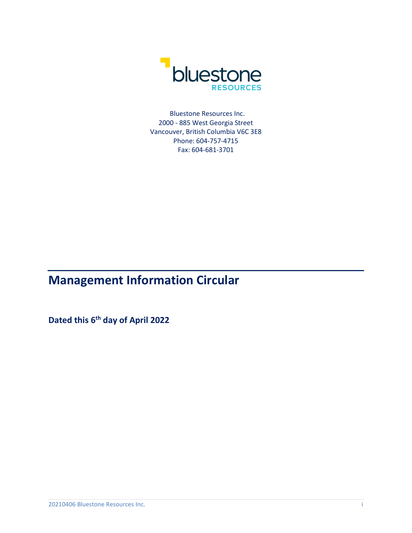

Bluestone Resources Inc. 2000 - 885 West Georgia Street Vancouver, British Columbia V6C 3E8 Phone: 604-757-4715 Fax: 604-681-3701

# **Management Information Circular**

**Dated this 6th day of April 2022**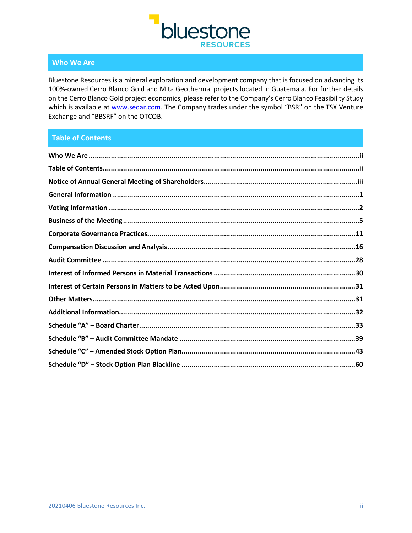

# **Who We Are**

Bluestone Resources is a mineral exploration and development company that is focused on advancing its 100%-owned Cerro Blanco Gold and Mita Geothermal projects located in Guatemala. For further details on the Cerro Blanco Gold project economics, please refer to the Company's Cerro Blanco Feasibility Study which is available at [www.sedar.com.](http://www.sedar.com/) The Company trades under the symbol "BSR" on the TSX Venture Exchange and "BBSRF" on the OTCQB.

# **Table of Contents**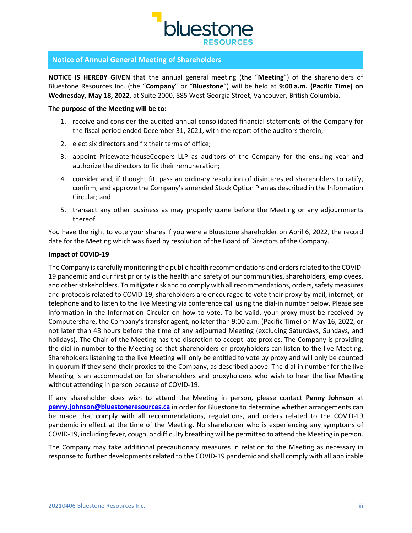

# **Notice of Annual General Meeting of Shareholders**

**NOTICE IS HEREBY GIVEN** that the annual general meeting (the "**Meeting**") of the shareholders of Bluestone Resources Inc. (the "**Company**" or "**Bluestone**") will be held at **9:00 a.m. (Pacific Time) on Wednesday, May 18, 2022,** at Suite 2000, 885 West Georgia Street, Vancouver, British Columbia.

## **The purpose of the Meeting will be to:**

- 1. receive and consider the audited annual consolidated financial statements of the Company for the fiscal period ended December 31, 2021, with the report of the auditors therein;
- 2. elect six directors and fix their terms of office;
- 3. appoint PricewaterhouseCoopers LLP as auditors of the Company for the ensuing year and authorize the directors to fix their remuneration;
- 4. consider and, if thought fit, pass an ordinary resolution of disinterested shareholders to ratify, confirm, and approve the Company's amended Stock Option Plan as described in the Information Circular; and
- 5. transact any other business as may properly come before the Meeting or any adjournments thereof.

You have the right to vote your shares if you were a Bluestone shareholder on April 6, 2022, the record date for the Meeting which was fixed by resolution of the Board of Directors of the Company.

# **Impact of COVID-19**

The Company is carefully monitoring the public health recommendations and orders related to the COVID-19 pandemic and our first priority is the health and safety of our communities, shareholders, employees, and other stakeholders. To mitigate risk and to comply with all recommendations, orders, safety measures and protocols related to COVID-19, shareholders are encouraged to vote their proxy by mail, internet, or telephone and to listen to the live Meeting via conference call using the dial-in number below. Please see information in the Information Circular on how to vote. To be valid, your proxy must be received by Computershare, the Company's transfer agent, no later than 9:00 a.m. (Pacific Time) on May 16, 2022, or not later than 48 hours before the time of any adjourned Meeting (excluding Saturdays, Sundays, and holidays). The Chair of the Meeting has the discretion to accept late proxies. The Company is providing the dial-in number to the Meeting so that shareholders or proxyholders can listen to the live Meeting. Shareholders listening to the live Meeting will only be entitled to vote by proxy and will only be counted in quorum if they send their proxies to the Company, as described above. The dial-in number for the live Meeting is an accommodation for shareholders and proxyholders who wish to hear the live Meeting without attending in person because of COVID-19.

If any shareholder does wish to attend the Meeting in person, please contact **Penny Johnson** at **[penny.johnson@bluestoneresources.ca](mailto:penny.johnson@bluestoneresources.ca)** in order for Bluestone to determine whether arrangements can be made that comply with all recommendations, regulations, and orders related to the COVID-19 pandemic in effect at the time of the Meeting. No shareholder who is experiencing any symptoms of COVID-19, including fever, cough, or difficulty breathing will be permitted to attend the Meeting in person.

The Company may take additional precautionary measures in relation to the Meeting as necessary in response to further developments related to the COVID-19 pandemic and shall comply with all applicable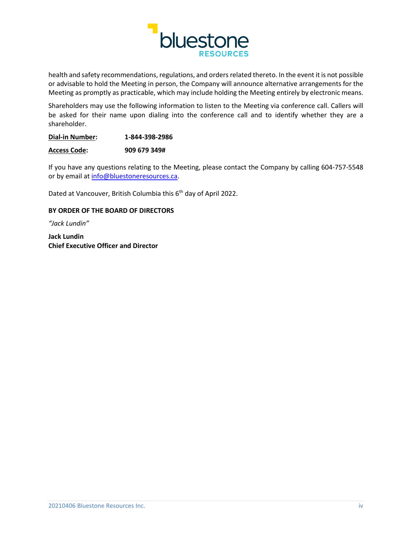

health and safety recommendations, regulations, and orders related thereto. In the event it is not possible or advisable to hold the Meeting in person, the Company will announce alternative arrangements for the Meeting as promptly as practicable, which may include holding the Meeting entirely by electronic means.

Shareholders may use the following information to listen to the Meeting via conference call. Callers will be asked for their name upon dialing into the conference call and to identify whether they are a shareholder.

| <b>Dial-in Number:</b> | 1-844-398-2986 |
|------------------------|----------------|
|------------------------|----------------|

**Access Code: 909 679 349#** 

If you have any questions relating to the Meeting, please contact the Company by calling 604-757-5548 or by email at [info@bluestoneresources.ca.](mailto:info@bluestoneresources.ca)

Dated at Vancouver, British Columbia this 6<sup>th</sup> day of April 2022.

# **BY ORDER OF THE BOARD OF DIRECTORS**

*"Jack Lundin"*

**Jack Lundin Chief Executive Officer and Director**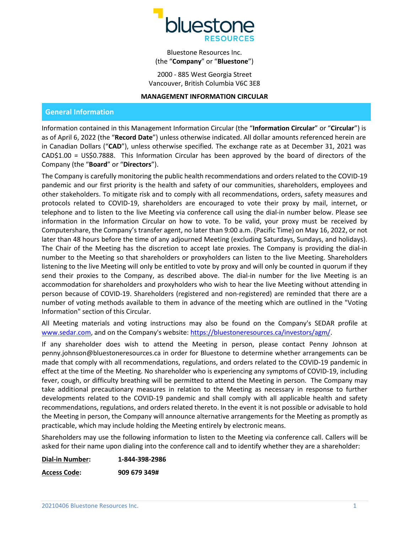

Bluestone Resources Inc. (the "**Company**" or "**Bluestone**")

2000 - 885 West Georgia Street Vancouver, British Columbia V6C 3E8

#### **MANAGEMENT INFORMATION CIRCULAR**

# **General Information**

Information contained in this Management Information Circular (the "**Information Circular**" or "**Circular**") is as of April 6, 2022 (the "**Record Date**") unless otherwise indicated. All dollar amounts referenced herein are in Canadian Dollars ("**CAD**"), unless otherwise specified. The exchange rate as at December 31, 2021 was CAD\$1.00 = US\$0.7888. This Information Circular has been approved by the board of directors of the Company (the "**Board**" or "**Directors**").

The Company is carefully monitoring the public health recommendations and orders related to the COVID-19 pandemic and our first priority is the health and safety of our communities, shareholders, employees and other stakeholders. To mitigate risk and to comply with all recommendations, orders, safety measures and protocols related to COVID-19, shareholders are encouraged to vote their proxy by mail, internet, or telephone and to listen to the live Meeting via conference call using the dial-in number below. Please see information in the Information Circular on how to vote. To be valid, your proxy must be received by Computershare, the Company's transfer agent, no later than 9:00 a.m. (Pacific Time) on May 16, 2022, or not later than 48 hours before the time of any adjourned Meeting (excluding Saturdays, Sundays, and holidays). The Chair of the Meeting has the discretion to accept late proxies. The Company is providing the dial-in number to the Meeting so that shareholders or proxyholders can listen to the live Meeting. Shareholders listening to the live Meeting will only be entitled to vote by proxy and will only be counted in quorum if they send their proxies to the Company, as described above. The dial-in number for the live Meeting is an accommodation for shareholders and proxyholders who wish to hear the live Meeting without attending in person because of COVID-19. Shareholders (registered and non-registered) are reminded that there are a number of voting methods available to them in advance of the meeting which are outlined in the "Voting Information" section of this Circular.

All Meeting materials and voting instructions may also be found on the Company's SEDAR profile at [www.sedar.com,](http://www.sedar.com/) and on the Company's website: [https://bluestoneresources.ca/investors/agm/.](https://bluestoneresources.ca/investors/agm/)

If any shareholder does wish to attend the Meeting in person, please contact Penny Johnson at penny.johnson@bluestoneresources.ca in order for Bluestone to determine whether arrangements can be made that comply with all recommendations, regulations, and orders related to the COVID-19 pandemic in effect at the time of the Meeting. No shareholder who is experiencing any symptoms of COVID-19, including fever, cough, or difficulty breathing will be permitted to attend the Meeting in person. The Company may take additional precautionary measures in relation to the Meeting as necessary in response to further developments related to the COVID-19 pandemic and shall comply with all applicable health and safety recommendations, regulations, and orders related thereto. In the event it is not possible or advisable to hold the Meeting in person, the Company will announce alternative arrangements for the Meeting as promptly as practicable, which may include holding the Meeting entirely by electronic means.

Shareholders may use the following information to listen to the Meeting via conference call. Callers will be asked for their name upon dialing into the conference call and to identify whether they are a shareholder:

**Dial-in Number: 1-844-398-2986 Access Code: 909 679 349#**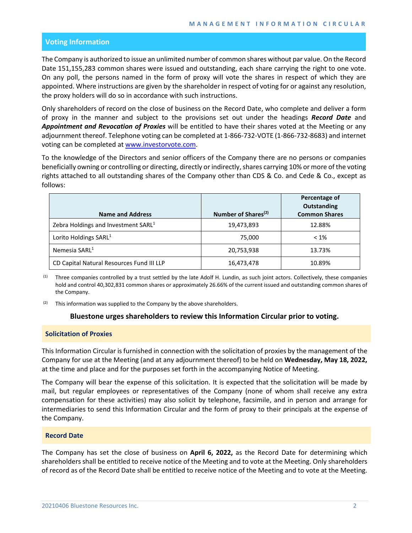# **Voting Information**

The Company is authorized to issue an unlimited number of common shares without par value. On the Record Date 151,155,283 common shares were issued and outstanding, each share carrying the right to one vote. On any poll, the persons named in the form of proxy will vote the shares in respect of which they are appointed. Where instructions are given by the shareholder in respect of voting for or against any resolution, the proxy holders will do so in accordance with such instructions.

Only shareholders of record on the close of business on the Record Date, who complete and deliver a form of proxy in the manner and subject to the provisions set out under the headings *Record Date* and *Appointment and Revocation of Proxies* will be entitled to have their shares voted at the Meeting or any adjournment thereof. Telephone voting can be completed at 1-866-732-VOTE (1-866-732-8683) and internet voting can be completed at [www.investorvote.com.](http://www.investorvote.com/)

To the knowledge of the Directors and senior officers of the Company there are no persons or companies beneficially owning or controlling or directing, directly or indirectly, shares carrying 10% or more of the voting rights attached to all outstanding shares of the Company other than CDS & Co. and Cede & Co., except as follows:

| <b>Name and Address</b>                         | Number of Shares <sup>(2)</sup> | Percentage of<br>Outstanding<br><b>Common Shares</b> |
|-------------------------------------------------|---------------------------------|------------------------------------------------------|
| Zebra Holdings and Investment SARL <sup>1</sup> | 19,473,893                      | 12.88%                                               |
| Lorito Holdings SARL <sup>1</sup>               | 75,000                          | $< 1\%$                                              |
| Nemesia SARL <sup>1</sup>                       | 20,753,938                      | 13.73%                                               |
| CD Capital Natural Resources Fund III LLP       | 16,473,478                      | 10.89%                                               |

<sup>(1)</sup> Three companies controlled by a trust settled by the late Adolf H. Lundin, as such joint actors. Collectively, these companies hold and control 40,302,831 common shares or approximately 26.66% of the current issued and outstanding common shares of the Company.

 $(2)$  This information was supplied to the Company by the above shareholders.

## **Bluestone urges shareholders to review this Information Circular prior to voting.**

# **Solicitation of Proxies**

This Information Circular is furnished in connection with the solicitation of proxies by the management of the Company for use at the Meeting (and at any adjournment thereof) to be held on **Wednesday, May 18, 2022,** at the time and place and for the purposes set forth in the accompanying Notice of Meeting.

The Company will bear the expense of this solicitation. It is expected that the solicitation will be made by mail, but regular employees or representatives of the Company (none of whom shall receive any extra compensation for these activities) may also solicit by telephone, facsimile, and in person and arrange for intermediaries to send this Information Circular and the form of proxy to their principals at the expense of the Company.

## **Record Date**

The Company has set the close of business on **April 6, 2022,** as the Record Date for determining which shareholders shall be entitled to receive notice of the Meeting and to vote at the Meeting. Only shareholders of record as of the Record Date shall be entitled to receive notice of the Meeting and to vote at the Meeting.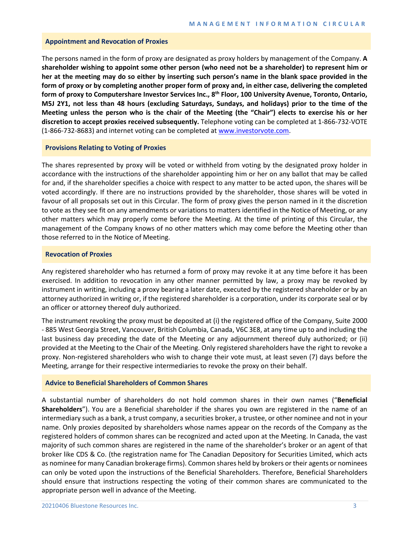#### **Appointment and Revocation of Proxies**

The persons named in the form of proxy are designated as proxy holders by management of the Company. **A shareholder wishing to appoint some other person (who need not be a shareholder) to represent him or her at the meeting may do so either by inserting such person's name in the blank space provided in the form of proxy or by completing another proper form of proxy and, in either case, delivering the completed form of proxy to Computershare Investor Services Inc., 8th Floor, 100 University Avenue, Toronto, Ontario, M5J 2Y1, not less than 48 hours (excluding Saturdays, Sundays, and holidays) prior to the time of the Meeting unless the person who is the chair of the Meeting (the "Chair") elects to exercise his or her discretion to accept proxies received subsequently.** Telephone voting can be completed at 1-866-732-VOTE (1-866-732-8683) and internet voting can be completed at [www.investorvote.com.](http://www.investorvote.com/)

#### **Provisions Relating to Voting of Proxies**

The shares represented by proxy will be voted or withheld from voting by the designated proxy holder in accordance with the instructions of the shareholder appointing him or her on any ballot that may be called for and, if the shareholder specifies a choice with respect to any matter to be acted upon, the shares will be voted accordingly. If there are no instructions provided by the shareholder, those shares will be voted in favour of all proposals set out in this Circular. The form of proxy gives the person named in it the discretion to vote as they see fit on any amendments or variations to matters identified in the Notice of Meeting, or any other matters which may properly come before the Meeting. At the time of printing of this Circular, the management of the Company knows of no other matters which may come before the Meeting other than those referred to in the Notice of Meeting.

#### **Revocation of Proxies**

Any registered shareholder who has returned a form of proxy may revoke it at any time before it has been exercised. In addition to revocation in any other manner permitted by law, a proxy may be revoked by instrument in writing, including a proxy bearing a later date, executed by the registered shareholder or by an attorney authorized in writing or, if the registered shareholder is a corporation, under its corporate seal or by an officer or attorney thereof duly authorized.

The instrument revoking the proxy must be deposited at (i) the registered office of the Company, Suite 2000 - 885 West Georgia Street, Vancouver, British Columbia, Canada, V6C 3E8, at any time up to and including the last business day preceding the date of the Meeting or any adjournment thereof duly authorized; or (ii) provided at the Meeting to the Chair of the Meeting. Only registered shareholders have the right to revoke a proxy. Non-registered shareholders who wish to change their vote must, at least seven (7) days before the Meeting, arrange for their respective intermediaries to revoke the proxy on their behalf.

#### **Advice to Beneficial Shareholders of Common Shares**

A substantial number of shareholders do not hold common shares in their own names ("**Beneficial Shareholders**"). You are a Beneficial shareholder if the shares you own are registered in the name of an intermediary such as a bank, a trust company, a securities broker, a trustee, or other nominee and not in your name. Only proxies deposited by shareholders whose names appear on the records of the Company as the registered holders of common shares can be recognized and acted upon at the Meeting. In Canada, the vast majority of such common shares are registered in the name of the shareholder's broker or an agent of that broker like CDS & Co. (the registration name for The Canadian Depository for Securities Limited, which acts as nominee for many Canadian brokerage firms). Common shares held by brokers or their agents or nominees can only be voted upon the instructions of the Beneficial Shareholders. Therefore, Beneficial Shareholders should ensure that instructions respecting the voting of their common shares are communicated to the appropriate person well in advance of the Meeting.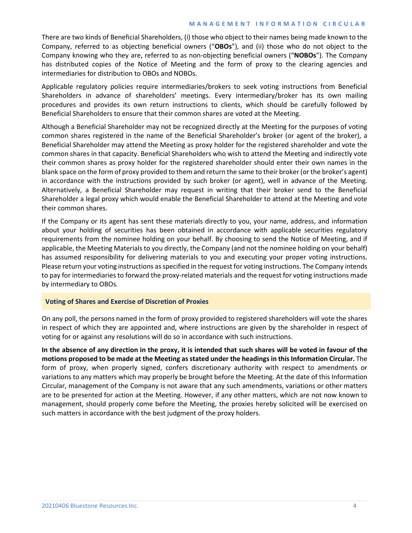## **MANAGEMENT INFORMATION CIRCULAR**

There are two kinds of Beneficial Shareholders, (i) those who object to their names being made known to the Company, referred to as objecting beneficial owners ("**OBOs**"), and (ii) those who do not object to the Company knowing who they are, referred to as non-objecting beneficial owners ("**NOBOs**"). The Company has distributed copies of the Notice of Meeting and the form of proxy to the clearing agencies and intermediaries for distribution to OBOs and NOBOs.

Applicable regulatory policies require intermediaries/brokers to seek voting instructions from Beneficial Shareholders in advance of shareholders' meetings. Every intermediary/broker has its own mailing procedures and provides its own return instructions to clients, which should be carefully followed by Beneficial Shareholders to ensure that their common shares are voted at the Meeting.

Although a Beneficial Shareholder may not be recognized directly at the Meeting for the purposes of voting common shares registered in the name of the Beneficial Shareholder's broker (or agent of the broker), a Beneficial Shareholder may attend the Meeting as proxy holder for the registered shareholder and vote the common shares in that capacity. Beneficial Shareholders who wish to attend the Meeting and indirectly vote their common shares as proxy holder for the registered shareholder should enter their own names in the blank space on the form of proxy provided to them and return the same to their broker (or the broker's agent) in accordance with the instructions provided by such broker (or agent), well in advance of the Meeting. Alternatively, a Beneficial Shareholder may request in writing that their broker send to the Beneficial Shareholder a legal proxy which would enable the Beneficial Shareholder to attend at the Meeting and vote their common shares.

If the Company or its agent has sent these materials directly to you, your name, address, and information about your holding of securities has been obtained in accordance with applicable securities regulatory requirements from the nominee holding on your behalf. By choosing to send the Notice of Meeting, and if applicable, the Meeting Materials to you directly, the Company (and not the nominee holding on your behalf) has assumed responsibility for delivering materials to you and executing your proper voting instructions. Please return your voting instructions as specified in the request for voting instructions. The Company intends to pay for intermediaries to forward the proxy-related materials and the request for voting instructions made by intermediary to OBOs*.* 

# **Voting of Shares and Exercise of Discretion of Proxies**

On any poll, the persons named in the form of proxy provided to registered shareholders will vote the shares in respect of which they are appointed and, where instructions are given by the shareholder in respect of voting for or against any resolutions will do so in accordance with such instructions.

**In the absence of any direction in the proxy, it is intended that such shares will be voted in favour of the motions proposed to be made at the Meeting as stated under the headings in this Information Circular.** The form of proxy, when properly signed, confers discretionary authority with respect to amendments or variations to any matters which may properly be brought before the Meeting. At the date of this Information Circular, management of the Company is not aware that any such amendments, variations or other matters are to be presented for action at the Meeting. However, if any other matters, which are not now known to management, should properly come before the Meeting, the proxies hereby solicited will be exercised on such matters in accordance with the best judgment of the proxy holders.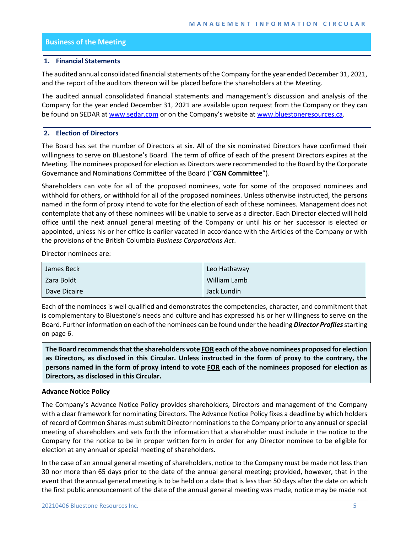# **Business of the Meeting**

## **1. Financial Statements**

The audited annual consolidated financial statements of the Company for the year ended December 31, 2021, and the report of the auditors thereon will be placed before the shareholders at the Meeting.

The audited annual consolidated financial statements and management's discussion and analysis of the Company for the year ended December 31, 2021 are available upon request from the Company or they can be found on SEDAR at [www.sedar.com](http://www.sedar.com/) or on the Company's website at [www.bluestoneresources.ca.](http://www.bluestoneresources.ca/)

# **2. Election of Directors**

The Board has set the number of Directors at six. All of the six nominated Directors have confirmed their willingness to serve on Bluestone's Board. The term of office of each of the present Directors expires at the Meeting. The nominees proposed for election as Directors were recommended to the Board by the Corporate Governance and Nominations Committee of the Board ("**CGN Committee**").

Shareholders can vote for all of the proposed nominees, vote for some of the proposed nominees and withhold for others, or withhold for all of the proposed nominees. Unless otherwise instructed, the persons named in the form of proxy intend to vote for the election of each of these nominees. Management does not contemplate that any of these nominees will be unable to serve as a director. Each Director elected will hold office until the next annual general meeting of the Company or until his or her successor is elected or appointed, unless his or her office is earlier vacated in accordance with the Articles of the Company or with the provisions of the British Columbia *Business Corporations Act*.

Director nominees are:

| James Beck   | Leo Hathaway |
|--------------|--------------|
| Zara Boldt   | William Lamb |
| Dave Dicaire | Jack Lundin  |

Each of the nominees is well qualified and demonstrates the competencies, character, and commitment that is complementary to Bluestone's needs and culture and has expressed his or her willingness to serve on the Board. Further information on each of the nominees can be found under the heading *Director Profiles*starting on page 6.

**The Board recommends that the shareholders vote FOR each of the above nominees proposed for election as Directors, as disclosed in this Circular. Unless instructed in the form of proxy to the contrary, the persons named in the form of proxy intend to vote FOR each of the nominees proposed for election as Directors, as disclosed in this Circular.**

## **Advance Notice Policy**

The Company's Advance Notice Policy provides shareholders, Directors and management of the Company with a clear framework for nominating Directors. The Advance Notice Policy fixes a deadline by which holders of record of Common Shares must submit Director nominations to the Company prior to any annual or special meeting of shareholders and sets forth the information that a shareholder must include in the notice to the Company for the notice to be in proper written form in order for any Director nominee to be eligible for election at any annual or special meeting of shareholders.

In the case of an annual general meeting of shareholders, notice to the Company must be made not less than 30 nor more than 65 days prior to the date of the annual general meeting; provided, however, that in the event that the annual general meeting is to be held on a date that is less than 50 days after the date on which the first public announcement of the date of the annual general meeting was made, notice may be made not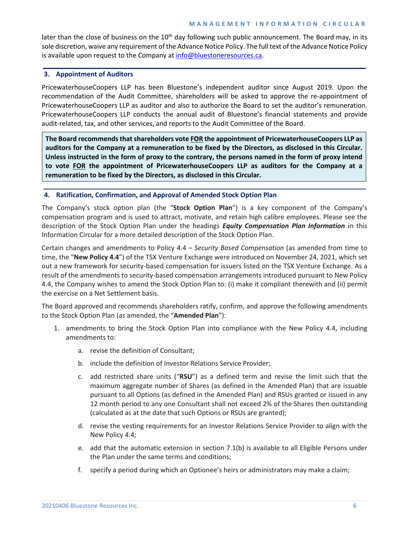## **MANAGEMENT INFORMATION CIRCULAR**

later than the close of business on the  $10<sup>th</sup>$  day following such public announcement. The Board may, in its sole discretion, waive any requirement of the Advance Notice Policy. The full text of the Advance Notice Policy is available upon request to the Company a[t info@bluestoneresources.ca.](mailto:info@bluestoneresources.ca)

# **3. Appointment of Auditors**

PricewaterhouseCoopers LLP has been Bluestone's independent auditor since August 2019. Upon the recommendation of the Audit Committee, shareholders will be asked to approve the re-appointment of PricewaterhouseCoopers LLP as auditor and also to authorize the Board to set the auditor's remuneration. PricewaterhouseCoopers LLP conducts the annual audit of Bluestone's financial statements and provide audit-related, tax, and other services, and reports to the Audit Committee of the Board.

**The Board recommends that shareholders vote FOR the appointment of PricewaterhouseCoopers LLP as auditors for the Company at a remuneration to be fixed by the Directors, as disclosed in this Circular. Unless instructed in the form of proxy to the contrary, the persons named in the form of proxy intend to vote FOR the appointment of PricewaterhouseCoopers LLP as auditors for the Company at a remuneration to be fixed by the Directors, as disclosed in this Circular.**

# **4. Ratification, Confirmation, and Approval of Amended Stock Option Plan**

The Company's stock option plan (the "**Stock Option Plan**") is a key component of the Company's compensation program and is used to attract, motivate, and retain high calibre employees. Please see the description of the Stock Option Plan under the headings *Equity Compensation Plan Information* in this Information Circular for a more detailed description of the Stock Option Plan.

Certain changes and amendments to Policy 4.4 – *Security Based Compensation* (as amended from time to time, the "**New Policy 4.4**") of the TSX Venture Exchange were introduced on November 24, 2021, which set out a new framework for security-based compensation for issuers listed on the TSX Venture Exchange. As a result of the amendments to security-based compensation arrangements introduced pursuant to New Policy 4.4, the Company wishes to amend the Stock Option Plan to: (i) make it compliant therewith and (ii) permit the exercise on a Net Settlement basis.

The Board approved and recommends shareholders ratify, confirm, and approve the following amendments to the Stock Option Plan (as amended, the "**Amended Plan**"):

- 1. amendments to bring the Stock Option Plan into compliance with the New Policy 4.4, including amendments to:
	- a. revise the definition of Consultant;
	- b. include the definition of Investor Relations Service Provider;
	- c. add restricted share units ("**RSU**") as a defined term and revise the limit such that the maximum aggregate number of Shares (as defined in the Amended Plan) that are issuable pursuant to all Options (as defined in the Amended Plan) and RSUs granted or issued in any 12 month period to any one Consultant shall not exceed 2% of the Shares then outstanding (calculated as at the date that such Options or RSUs are granted);
	- d. revise the vesting requirements for an Investor Relations Service Provider to align with the New Policy 4.4;
	- e. add that the automatic extension in section 7.1(b) is available to all Eligible Persons under the Plan under the same terms and conditions;
	- f. specify a period during which an Optionee's heirs or administrators may make a claim;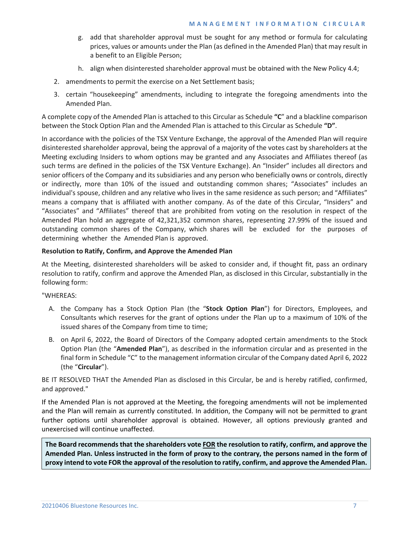- g. add that shareholder approval must be sought for any method or formula for calculating prices, values or amounts under the Plan (as defined in the Amended Plan) that may result in a benefit to an Eligible Person;
- h. align when disinterested shareholder approval must be obtained with the New Policy 4.4;
- 2. amendments to permit the exercise on a Net Settlement basis;
- 3. certain "housekeeping" amendments, including to integrate the foregoing amendments into the Amended Plan.

A complete copy of the Amended Plan is attached to this Circular as Schedule **"C**" and a blackline comparison between the Stock Option Plan and the Amended Plan is attached to this Circular as Schedule **"D"**.

In accordance with the policies of the TSX Venture Exchange, the approval of the Amended Plan will require disinterested shareholder approval, being the approval of a majority of the votes cast by shareholders at the Meeting excluding Insiders to whom options may be granted and any Associates and Affiliates thereof (as such terms are defined in the policies of the TSX Venture Exchange). An "Insider" includes all directors and senior officers of the Company and its subsidiaries and any person who beneficially owns or controls, directly or indirectly, more than 10% of the issued and outstanding common shares; "Associates" includes an individual's spouse, children and any relative who lives in the same residence as such person; and "Affiliates" means a company that is affiliated with another company. As of the date of this Circular, "Insiders" and "Associates" and "Affiliates" thereof that are prohibited from voting on the resolution in respect of the Amended Plan hold an aggregate of 42,321,352 common shares, representing 27.99% of the issued and outstanding common shares of the Company, which shares will be excluded for the purposes of determining whether the Amended Plan is approved.

# **Resolution to Ratify, Confirm, and Approve the Amended Plan**

At the Meeting, disinterested shareholders will be asked to consider and, if thought fit, pass an ordinary resolution to ratify, confirm and approve the Amended Plan, as disclosed in this Circular, substantially in the following form:

"WHEREAS:

- A. the Company has a Stock Option Plan (the "**Stock Option Plan**") for Directors, Employees, and Consultants which reserves for the grant of options under the Plan up to a maximum of 10% of the issued shares of the Company from time to time;
- B. on April 6, 2022, the Board of Directors of the Company adopted certain amendments to the Stock Option Plan (the "**Amended Plan**"), as described in the information circular and as presented in the final form in Schedule "C" to the management information circular of the Company dated April 6, 2022 (the "**Circular**").

BE IT RESOLVED THAT the Amended Plan as disclosed in this Circular, be and is hereby ratified, confirmed, and approved."

If the Amended Plan is not approved at the Meeting, the foregoing amendments will not be implemented and the Plan will remain as currently constituted. In addition, the Company will not be permitted to grant further options until shareholder approval is obtained. However, all options previously granted and unexercised will continue unaffected.

**The Board recommends that the shareholders vote FOR the resolution to ratify, confirm, and approve the Amended Plan. Unless instructed in the form of proxy to the contrary, the persons named in the form of proxy intend to vote FOR the approval of the resolution to ratify, confirm, and approve the Amended Plan.**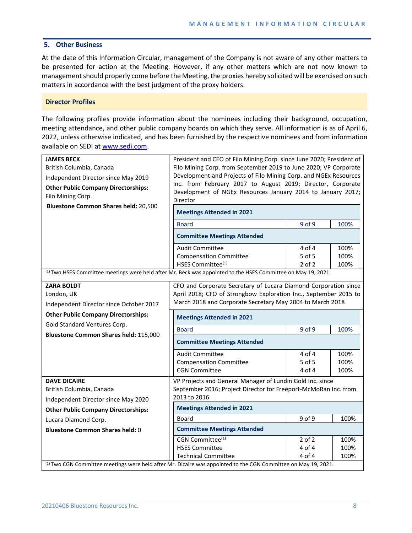## **5. Other Business**

At the date of this Information Circular, management of the Company is not aware of any other matters to be presented for action at the Meeting. However, if any other matters which are not now known to management should properly come before the Meeting, the proxies hereby solicited will be exercised on such matters in accordance with the best judgment of the proxy holders.

#### **Director Profiles**

The following profiles provide information about the nominees including their background, occupation, meeting attendance, and other public company boards on which they serve. All information is as of April 6, 2022, unless otherwise indicated, and has been furnished by the respective nominees and from information available on SEDI at [www.sedi.com.](http://www.sedi.com/)

| <b>JAMES BECK</b><br>British Columbia, Canada<br>Independent Director since May 2019<br><b>Other Public Company Directorships:</b><br>Filo Mining Corp.<br><b>Bluestone Common Shares held: 20,500</b> | President and CEO of Filo Mining Corp. since June 2020; President of<br>Filo Mining Corp. from September 2019 to June 2020; VP Corporate<br>Development and Projects of Filo Mining Corp. and NGEx Resources<br>Inc. from February 2017 to August 2019; Director, Corporate<br>Development of NGEx Resources January 2014 to January 2017;<br>Director<br><b>Meetings Attended in 2021</b><br><b>Board</b><br><b>Committee Meetings Attended</b> | 9 of 9                         | 100%                 |  |
|--------------------------------------------------------------------------------------------------------------------------------------------------------------------------------------------------------|--------------------------------------------------------------------------------------------------------------------------------------------------------------------------------------------------------------------------------------------------------------------------------------------------------------------------------------------------------------------------------------------------------------------------------------------------|--------------------------------|----------------------|--|
|                                                                                                                                                                                                        | <b>Audit Committee</b><br><b>Compensation Committee</b><br>HSES Committee <sup>(1)</sup>                                                                                                                                                                                                                                                                                                                                                         | 4 of 4<br>5 of 5<br>$2$ of $2$ | 100%<br>100%<br>100% |  |
| <sup>(1)</sup> Two HSES Committee meetings were held after Mr. Beck was appointed to the HSES Committee on May 19, 2021.                                                                               |                                                                                                                                                                                                                                                                                                                                                                                                                                                  |                                |                      |  |
| <b>ZARA BOLDT</b><br>London, UK<br>Independent Director since October 2017                                                                                                                             | CFO and Corporate Secretary of Lucara Diamond Corporation since<br>April 2018; CFO of Strongbow Exploration Inc., September 2015 to<br>March 2018 and Corporate Secretary May 2004 to March 2018                                                                                                                                                                                                                                                 |                                |                      |  |
| <b>Other Public Company Directorships:</b>                                                                                                                                                             | <b>Meetings Attended in 2021</b>                                                                                                                                                                                                                                                                                                                                                                                                                 |                                |                      |  |
| Gold Standard Ventures Corp.                                                                                                                                                                           | 9 of 9<br><b>Board</b><br>100%                                                                                                                                                                                                                                                                                                                                                                                                                   |                                |                      |  |
| Bluestone Common Shares held: 115,000                                                                                                                                                                  | <b>Committee Meetings Attended</b>                                                                                                                                                                                                                                                                                                                                                                                                               |                                |                      |  |
|                                                                                                                                                                                                        | <b>Audit Committee</b>                                                                                                                                                                                                                                                                                                                                                                                                                           | 4 of 4                         | 100%                 |  |
|                                                                                                                                                                                                        | <b>Compensation Committee</b>                                                                                                                                                                                                                                                                                                                                                                                                                    | 5 of 5                         | 100%                 |  |
| <b>DAVE DICAIRE</b>                                                                                                                                                                                    | <b>CGN Committee</b>                                                                                                                                                                                                                                                                                                                                                                                                                             | 4 of 4                         | 100%                 |  |
| British Columbia, Canada<br>Independent Director since May 2020                                                                                                                                        | VP Projects and General Manager of Lundin Gold Inc. since<br>September 2016; Project Director for Freeport-McMoRan Inc. from<br>2013 to 2016                                                                                                                                                                                                                                                                                                     |                                |                      |  |
| <b>Other Public Company Directorships:</b>                                                                                                                                                             | <b>Meetings Attended in 2021</b>                                                                                                                                                                                                                                                                                                                                                                                                                 |                                |                      |  |
| Lucara Diamond Corp.                                                                                                                                                                                   | Board                                                                                                                                                                                                                                                                                                                                                                                                                                            | 9 of 9                         | 100%                 |  |
| <b>Bluestone Common Shares held: 0</b>                                                                                                                                                                 | <b>Committee Meetings Attended</b>                                                                                                                                                                                                                                                                                                                                                                                                               |                                |                      |  |
| <sup>(1)</sup> Two CGN Committee meetings were held after Mr. Dicaire was appointed to the CGN Committee on May 19, 2021.                                                                              | CGN Committee <sup>(1)</sup><br><b>HSES Committee</b><br><b>Technical Committee</b>                                                                                                                                                                                                                                                                                                                                                              | $2$ of $2$<br>4 of 4<br>4 of 4 | 100%<br>100%<br>100% |  |
|                                                                                                                                                                                                        |                                                                                                                                                                                                                                                                                                                                                                                                                                                  |                                |                      |  |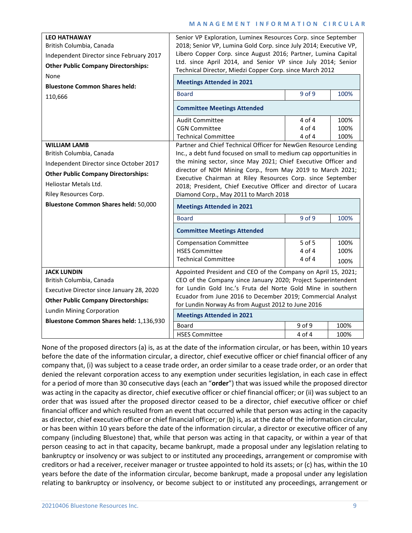# **MANAGEMENT INFORMATION CIRCULAR**

| <b>LEO HATHAWAY</b><br>British Columbia, Canada<br>Independent Director since February 2017<br><b>Other Public Company Directorships:</b><br>None<br><b>Bluestone Common Shares held:</b><br>110,666                               | Senior VP Exploration, Luminex Resources Corp. since September<br>2018; Senior VP, Lumina Gold Corp. since July 2014; Executive VP,<br>Libero Copper Corp. since August 2016; Partner, Lumina Capital<br>Ltd. since April 2014, and Senior VP since July 2014; Senior<br>Technical Director, Miedzi Copper Corp. since March 2012<br><b>Meetings Attended in 2021</b><br>$9$ of $9$<br><b>Board</b><br>100%<br><b>Committee Meetings Attended</b>                                                                                                                                                                                                                                                 |                                |                      |  |
|------------------------------------------------------------------------------------------------------------------------------------------------------------------------------------------------------------------------------------|---------------------------------------------------------------------------------------------------------------------------------------------------------------------------------------------------------------------------------------------------------------------------------------------------------------------------------------------------------------------------------------------------------------------------------------------------------------------------------------------------------------------------------------------------------------------------------------------------------------------------------------------------------------------------------------------------|--------------------------------|----------------------|--|
|                                                                                                                                                                                                                                    | <b>Audit Committee</b><br><b>CGN Committee</b><br><b>Technical Committee</b>                                                                                                                                                                                                                                                                                                                                                                                                                                                                                                                                                                                                                      | 4 of 4<br>4 of 4<br>$4$ of $4$ | 100%<br>100%<br>100% |  |
| <b>WILLIAM LAMB</b><br>British Columbia, Canada<br>Independent Director since October 2017<br><b>Other Public Company Directorships:</b><br>Heliostar Metals Ltd.<br>Riley Resources Corp.<br>Bluestone Common Shares held: 50,000 | Partner and Chief Technical Officer for NewGen Resource Lending<br>Inc., a debt fund focused on small to medium cap opportunities in<br>the mining sector, since May 2021; Chief Executive Officer and<br>director of NDH Mining Corp., from May 2019 to March 2021;<br>Executive Chairman at Riley Resources Corp. since September<br>2018; President, Chief Executive Officer and director of Lucara<br>Diamond Corp., May 2011 to March 2018<br><b>Meetings Attended in 2021</b><br>9 of 9<br><b>Board</b><br>100%<br><b>Committee Meetings Attended</b><br>5 of 5<br>100%<br><b>Compensation Committee</b><br><b>HSES Committee</b><br>4 of 4<br>100%<br>4 of 4<br><b>Technical Committee</b> |                                |                      |  |
| <b>JACK LUNDIN</b><br>British Columbia, Canada<br>Executive Director since January 28, 2020<br><b>Other Public Company Directorships:</b><br>Lundin Mining Corporation                                                             | 100%<br>Appointed President and CEO of the Company on April 15, 2021;<br>CEO of the Company since January 2020; Project Superintendent<br>for Lundin Gold Inc.'s Fruta del Norte Gold Mine in southern<br>Ecuador from June 2016 to December 2019; Commercial Analyst<br>for Lundin Norway As from August 2012 to June 2016<br><b>Meetings Attended in 2021</b>                                                                                                                                                                                                                                                                                                                                   |                                |                      |  |
| Bluestone Common Shares held: 1,136,930                                                                                                                                                                                            | Board<br><b>HSES Committee</b>                                                                                                                                                                                                                                                                                                                                                                                                                                                                                                                                                                                                                                                                    | 9 of 9<br>4 of 4               | 100%<br>100%         |  |

None of the proposed directors (a) is, as at the date of the information circular, or has been, within 10 years before the date of the information circular, a director, chief executive officer or chief financial officer of any company that, (i) was subject to a cease trade order, an order similar to a cease trade order, or an order that denied the relevant corporation access to any exemption under securities legislation, in each case in effect for a period of more than 30 consecutive days (each an "**order**") that was issued while the proposed director was acting in the capacity as director, chief executive officer or chief financial officer; or (ii) was subject to an order that was issued after the proposed director ceased to be a director, chief executive officer or chief financial officer and which resulted from an event that occurred while that person was acting in the capacity as director, chief executive officer or chief financial officer; or (b) is, as at the date of the information circular, or has been within 10 years before the date of the information circular, a director or executive officer of any company (including Bluestone) that, while that person was acting in that capacity, or within a year of that person ceasing to act in that capacity, became bankrupt, made a proposal under any legislation relating to bankruptcy or insolvency or was subject to or instituted any proceedings, arrangement or compromise with creditors or had a receiver, receiver manager or trustee appointed to hold its assets; or (c) has, within the 10 years before the date of the information circular, become bankrupt, made a proposal under any legislation relating to bankruptcy or insolvency, or become subject to or instituted any proceedings, arrangement or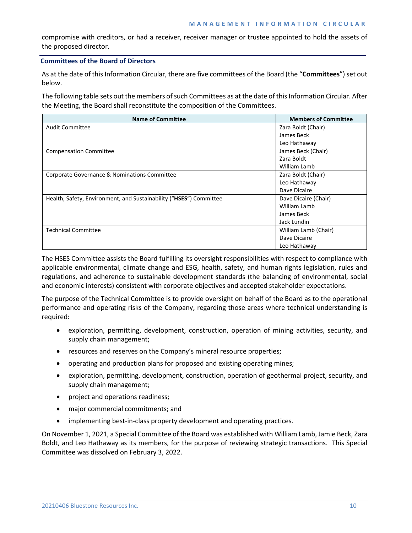compromise with creditors, or had a receiver, receiver manager or trustee appointed to hold the assets of the proposed director.

# **Committees of the Board of Directors**

As at the date of this Information Circular, there are five committees of the Board (the "**Committees**") set out below.

The following table sets out the members of such Committees as at the date of this Information Circular. After the Meeting, the Board shall reconstitute the composition of the Committees.

| <b>Name of Committee</b>                                           | <b>Members of Committee</b> |
|--------------------------------------------------------------------|-----------------------------|
| Audit Committee                                                    | Zara Boldt (Chair)          |
|                                                                    | James Beck                  |
|                                                                    | Leo Hathaway                |
| <b>Compensation Committee</b>                                      | James Beck (Chair)          |
|                                                                    | Zara Boldt                  |
|                                                                    | William Lamb                |
| Corporate Governance & Nominations Committee                       | Zara Boldt (Chair)          |
|                                                                    | Leo Hathaway                |
|                                                                    | Dave Dicaire                |
| Health, Safety, Environment, and Sustainability ("HSES") Committee | Dave Dicaire (Chair)        |
|                                                                    | William Lamb                |
|                                                                    | James Beck                  |
|                                                                    | Jack Lundin                 |
| <b>Technical Committee</b>                                         | William Lamb (Chair)        |
|                                                                    | Dave Dicaire                |
|                                                                    | Leo Hathaway                |

The HSES Committee assists the Board fulfilling its oversight responsibilities with respect to compliance with applicable environmental, climate change and ESG, health, safety, and human rights legislation, rules and regulations, and adherence to sustainable development standards (the balancing of environmental, social and economic interests) consistent with corporate objectives and accepted stakeholder expectations.

The purpose of the Technical Committee is to provide oversight on behalf of the Board as to the operational performance and operating risks of the Company, regarding those areas where technical understanding is required:

- exploration, permitting, development, construction, operation of mining activities, security, and supply chain management;
- resources and reserves on the Company's mineral resource properties;
- operating and production plans for proposed and existing operating mines;
- exploration, permitting, development, construction, operation of geothermal project, security, and supply chain management;
- project and operations readiness;
- major commercial commitments; and
- implementing best-in-class property development and operating practices.

On November 1, 2021, a Special Committee of the Board was established with William Lamb, Jamie Beck, Zara Boldt, and Leo Hathaway as its members, for the purpose of reviewing strategic transactions. This Special Committee was dissolved on February 3, 2022.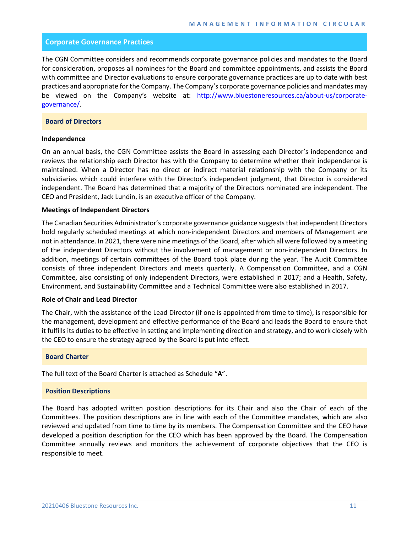## **Corporate Governance Practices**

The CGN Committee considers and recommends corporate governance policies and mandates to the Board for consideration, proposes all nominees for the Board and committee appointments, and assists the Board with committee and Director evaluations to ensure corporate governance practices are up to date with best practices and appropriate for the Company. The Company's corporate governance policies and mandates may be viewed on the Company's website at: [http://www.bluestoneresources.ca/about-us/corporate](http://www.bluestoneresources.ca/about-us/corporate-governance/)[governance/.](http://www.bluestoneresources.ca/about-us/corporate-governance/)

# **Board of Directors**

## **Independence**

On an annual basis, the CGN Committee assists the Board in assessing each Director's independence and reviews the relationship each Director has with the Company to determine whether their independence is maintained. When a Director has no direct or indirect material relationship with the Company or its subsidiaries which could interfere with the Director's independent judgment, that Director is considered independent. The Board has determined that a majority of the Directors nominated are independent. The CEO and President, Jack Lundin, is an executive officer of the Company.

## **Meetings of Independent Directors**

The Canadian Securities Administrator's corporate governance guidance suggests that independent Directors hold regularly scheduled meetings at which non-independent Directors and members of Management are not in attendance. In 2021, there were nine meetings of the Board, after which all were followed by a meeting of the independent Directors without the involvement of management or non-independent Directors. In addition, meetings of certain committees of the Board took place during the year. The Audit Committee consists of three independent Directors and meets quarterly. A Compensation Committee, and a CGN Committee, also consisting of only independent Directors, were established in 2017; and a Health, Safety, Environment, and Sustainability Committee and a Technical Committee were also established in 2017.

## **Role of Chair and Lead Director**

The Chair, with the assistance of the Lead Director (if one is appointed from time to time), is responsible for the management, development and effective performance of the Board and leads the Board to ensure that it fulfills its duties to be effective in setting and implementing direction and strategy, and to work closely with the CEO to ensure the strategy agreed by the Board is put into effect.

#### **Board Charter**

The full text of the Board Charter is attached as Schedule "**A**".

## **Position Descriptions**

The Board has adopted written position descriptions for its Chair and also the Chair of each of the Committees. The position descriptions are in line with each of the Committee mandates, which are also reviewed and updated from time to time by its members. The Compensation Committee and the CEO have developed a position description for the CEO which has been approved by the Board. The Compensation Committee annually reviews and monitors the achievement of corporate objectives that the CEO is responsible to meet.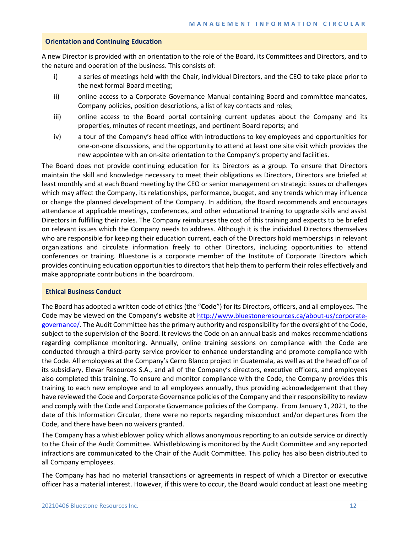#### **Orientation and Continuing Education**

A new Director is provided with an orientation to the role of the Board, its Committees and Directors, and to the nature and operation of the business. This consists of:

- i) a series of meetings held with the Chair, individual Directors, and the CEO to take place prior to the next formal Board meeting;
- ii) online access to a Corporate Governance Manual containing Board and committee mandates, Company policies, position descriptions, a list of key contacts and roles;
- iii) online access to the Board portal containing current updates about the Company and its properties, minutes of recent meetings, and pertinent Board reports; and
- iv) a tour of the Company's head office with introductions to key employees and opportunities for one-on-one discussions, and the opportunity to attend at least one site visit which provides the new appointee with an on-site orientation to the Company's property and facilities.

The Board does not provide continuing education for its Directors as a group. To ensure that Directors maintain the skill and knowledge necessary to meet their obligations as Directors, Directors are briefed at least monthly and at each Board meeting by the CEO or senior management on strategic issues or challenges which may affect the Company, its relationships, performance, budget, and any trends which may influence or change the planned development of the Company. In addition, the Board recommends and encourages attendance at applicable meetings, conferences, and other educational training to upgrade skills and assist Directors in fulfilling their roles. The Company reimburses the cost of this training and expects to be briefed on relevant issues which the Company needs to address. Although it is the individual Directors themselves who are responsible for keeping their education current, each of the Directors hold memberships in relevant organizations and circulate information freely to other Directors, including opportunities to attend conferences or training. Bluestone is a corporate member of the Institute of Corporate Directors which provides continuing education opportunities to directors that help them to perform their roles effectively and make appropriate contributions in the boardroom.

## **Ethical Business Conduct**

The Board has adopted a written code of ethics (the "**Code**") for its Directors, officers, and all employees. The Code may be viewed on the Company's website at [http://www.bluestoneresources.ca/about-us/corporate](http://www.bluestoneresources.ca/about-us/corporate-governance/)[governance/.](http://www.bluestoneresources.ca/about-us/corporate-governance/) The Audit Committee has the primary authority and responsibility for the oversight of the Code, subject to the supervision of the Board. It reviews the Code on an annual basis and makes recommendations regarding compliance monitoring. Annually, online training sessions on compliance with the Code are conducted through a third-party service provider to enhance understanding and promote compliance with the Code. All employees at the Company's Cerro Blanco project in Guatemala, as well as at the head office of its subsidiary, Elevar Resources S.A., and all of the Company's directors, executive officers, and employees also completed this training. To ensure and monitor compliance with the Code, the Company provides this training to each new employee and to all employees annually, thus providing acknowledgement that they have reviewed the Code and Corporate Governance policies of the Company and their responsibility to review and comply with the Code and Corporate Governance policies of the Company. From January 1, 2021, to the date of this Information Circular, there were no reports regarding misconduct and/or departures from the Code, and there have been no waivers granted.

The Company has a whistleblower policy which allows anonymous reporting to an outside service or directly to the Chair of the Audit Committee. Whistleblowing is monitored by the Audit Committee and any reported infractions are communicated to the Chair of the Audit Committee. This policy has also been distributed to all Company employees.

The Company has had no material transactions or agreements in respect of which a Director or executive officer has a material interest. However, if this were to occur, the Board would conduct at least one meeting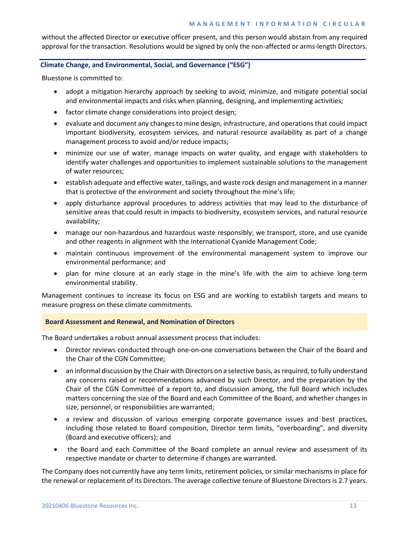without the affected Director or executive officer present, and this person would abstain from any required approval for the transaction. Resolutions would be signed by only the non-affected or arms-length Directors.

# **Climate Change, and Environmental, Social, and Governance ("ESG")**

Bluestone is committed to:

- adopt a mitigation hierarchy approach by seeking to avoid, minimize, and mitigate potential social and environmental impacts and risks when planning, designing, and implementing activities;
- factor climate change considerations into project design;
- evaluate and document any changes to mine design, infrastructure, and operations that could impact important biodiversity, ecosystem services, and natural resource availability as part of a change management process to avoid and/or reduce impacts;
- minimize our use of water, manage impacts on water quality, and engage with stakeholders to identify water challenges and opportunities to implement sustainable solutions to the management of water resources;
- establish adequate and effective water, tailings, and waste rock design and management in a manner that is protective of the environment and society throughout the mine's life;
- apply disturbance approval procedures to address activities that may lead to the disturbance of sensitive areas that could result in impacts to biodiversity, ecosystem services, and natural resource availability;
- manage our non-hazardous and hazardous waste responsibly; we transport, store, and use cyanide and other reagents in alignment with the International Cyanide Management Code;
- maintain continuous improvement of the environmental management system to improve our environmental performance; and
- plan for mine closure at an early stage in the mine's life with the aim to achieve long-term environmental stability.

Management continues to increase its focus on ESG and are working to establish targets and means to measure progress on these climate commitments.

## **Board Assessment and Renewal, and Nomination of Directors**

The Board undertakes a robust annual assessment process that includes:

- Director reviews conducted through one-on-one conversations between the Chair of the Board and the Chair of the CGN Committee;
- an informal discussion by the Chair with Directors on a selective basis, as required, to fully understand any concerns raised or recommendations advanced by such Director, and the preparation by the Chair of the CGN Committee of a report to, and discussion among, the full Board which includes matters concerning the size of the Board and each Committee of the Board, and whether changes in size, personnel, or responsibilities are warranted;
- a review and discussion of various emerging corporate governance issues and best practices, including those related to Board composition, Director term limits, "overboarding", and diversity (Board and executive officers); and
- the Board and each Committee of the Board complete an annual review and assessment of its respective mandate or charter to determine if changes are warranted.

The Company does not currently have any term limits, retirement policies, or similar mechanisms in place for the renewal or replacement of its Directors. The average collective tenure of Bluestone Directors is 2.7 years.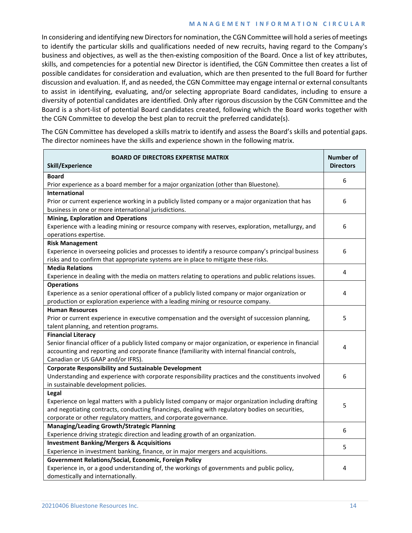## **MANAGEMENT INFORMATION CIRCULAR**

In considering and identifying new Directors for nomination, the CGN Committee will hold a series of meetings to identify the particular skills and qualifications needed of new recruits, having regard to the Company's business and objectives, as well as the then-existing composition of the Board. Once a list of key attributes, skills, and competencies for a potential new Director is identified, the CGN Committee then creates a list of possible candidates for consideration and evaluation, which are then presented to the full Board for further discussion and evaluation. If, and as needed, the CGN Committee may engage internal or external consultants to assist in identifying, evaluating, and/or selecting appropriate Board candidates, including to ensure a diversity of potential candidates are identified. Only after rigorous discussion by the CGN Committee and the Board is a short-list of potential Board candidates created, following which the Board works together with the CGN Committee to develop the best plan to recruit the preferred candidate(s).

The CGN Committee has developed a skills matrix to identify and assess the Board's skills and potential gaps. The director nominees have the skills and experience shown in the following matrix.

| BOARD OF DIRECTORS EXPERTISE MATRIX<br>Skill/Experience                                                 | <b>Number of</b><br><b>Directors</b> |
|---------------------------------------------------------------------------------------------------------|--------------------------------------|
| <b>Board</b>                                                                                            | 6                                    |
| Prior experience as a board member for a major organization (other than Bluestone).                     |                                      |
| <b>International</b>                                                                                    |                                      |
| Prior or current experience working in a publicly listed company or a major organization that has       | 6                                    |
| business in one or more international jurisdictions.                                                    |                                      |
| <b>Mining, Exploration and Operations</b>                                                               |                                      |
| Experience with a leading mining or resource company with reserves, exploration, metallurgy, and        | 6                                    |
| operations expertise.                                                                                   |                                      |
| <b>Risk Management</b>                                                                                  |                                      |
| Experience in overseeing policies and processes to identify a resource company's principal business     | 6                                    |
| risks and to confirm that appropriate systems are in place to mitigate these risks.                     |                                      |
| <b>Media Relations</b>                                                                                  | 4                                    |
| Experience in dealing with the media on matters relating to operations and public relations issues.     |                                      |
| <b>Operations</b>                                                                                       |                                      |
| Experience as a senior operational officer of a publicly listed company or major organization or        | 4                                    |
| production or exploration experience with a leading mining or resource company.                         |                                      |
| <b>Human Resources</b>                                                                                  |                                      |
| Prior or current experience in executive compensation and the oversight of succession planning,         | 5                                    |
| talent planning, and retention programs.                                                                |                                      |
| <b>Financial Literacy</b>                                                                               |                                      |
| Senior financial officer of a publicly listed company or major organization, or experience in financial | 4                                    |
| accounting and reporting and corporate finance (familiarity with internal financial controls,           |                                      |
| Canadian or US GAAP and/or IFRS).                                                                       |                                      |
| <b>Corporate Responsibility and Sustainable Development</b>                                             |                                      |
| Understanding and experience with corporate responsibility practices and the constituents involved      | 6                                    |
| in sustainable development policies.                                                                    |                                      |
| Legal                                                                                                   |                                      |
| Experience on legal matters with a publicly listed company or major organization including drafting     | 5                                    |
| and negotiating contracts, conducting financings, dealing with regulatory bodies on securities,         |                                      |
| corporate or other regulatory matters, and corporate governance.                                        |                                      |
| <b>Managing/Leading Growth/Strategic Planning</b>                                                       | 6                                    |
| Experience driving strategic direction and leading growth of an organization.                           |                                      |
| <b>Investment Banking/Mergers &amp; Acquisitions</b>                                                    | 5                                    |
| Experience in investment banking, finance, or in major mergers and acquisitions.                        |                                      |
| Government Relations/Social, Economic, Foreign Policy                                                   |                                      |
| Experience in, or a good understanding of, the workings of governments and public policy,               | 4                                    |
| domestically and internationally.                                                                       |                                      |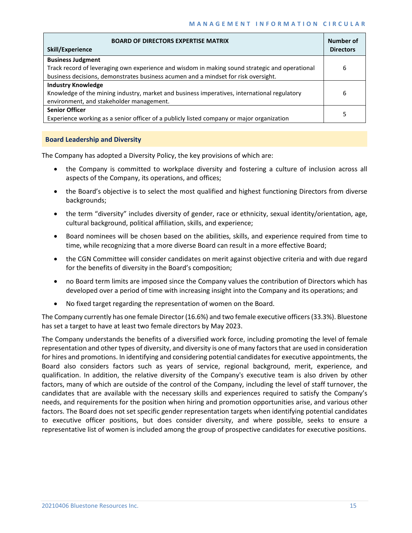| <b>BOARD OF DIRECTORS EXPERTISE MATRIX</b><br>Skill/Experience                                 | Number of<br><b>Directors</b> |
|------------------------------------------------------------------------------------------------|-------------------------------|
| <b>Business Judgment</b>                                                                       |                               |
| Track record of leveraging own experience and wisdom in making sound strategic and operational | 6                             |
| business decisions, demonstrates business acumen and a mindset for risk oversight.             |                               |
| <b>Industry Knowledge</b>                                                                      |                               |
| Knowledge of the mining industry, market and business imperatives, international regulatory    | 6                             |
| environment, and stakeholder management.                                                       |                               |
| <b>Senior Officer</b>                                                                          | 5                             |
| Experience working as a senior officer of a publicly listed company or major organization      |                               |

## **Board Leadership and Diversity**

The Company has adopted a Diversity Policy, the key provisions of which are:

- the Company is committed to workplace diversity and fostering a culture of inclusion across all aspects of the Company, its operations, and offices;
- the Board's objective is to select the most qualified and highest functioning Directors from diverse backgrounds;
- the term "diversity" includes diversity of gender, race or ethnicity, sexual identity/orientation, age, cultural background, political affiliation, skills, and experience;
- Board nominees will be chosen based on the abilities, skills, and experience required from time to time, while recognizing that a more diverse Board can result in a more effective Board;
- the CGN Committee will consider candidates on merit against objective criteria and with due regard for the benefits of diversity in the Board's composition;
- no Board term limits are imposed since the Company values the contribution of Directors which has developed over a period of time with increasing insight into the Company and its operations; and
- No fixed target regarding the representation of women on the Board.

The Company currently has one female Director (16.6%) and two female executive officers (33.3%). Bluestone has set a target to have at least two female directors by May 2023.

The Company understands the benefits of a diversified work force, including promoting the level of female representation and other types of diversity, and diversity is one of many factors that are used in consideration for hires and promotions. In identifying and considering potential candidates for executive appointments, the Board also considers factors such as years of service, regional background, merit, experience, and qualification. In addition, the relative diversity of the Company's executive team is also driven by other factors, many of which are outside of the control of the Company, including the level of staff turnover, the candidates that are available with the necessary skills and experiences required to satisfy the Company's needs, and requirements for the position when hiring and promotion opportunities arise, and various other factors. The Board does not set specific gender representation targets when identifying potential candidates to executive officer positions, but does consider diversity, and where possible, seeks to ensure a representative list of women is included among the group of prospective candidates for executive positions.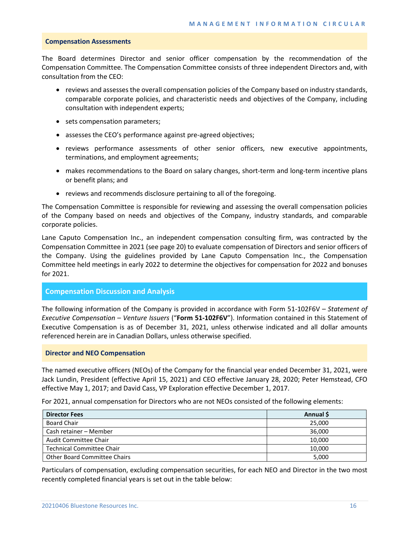#### **Compensation Assessments**

The Board determines Director and senior officer compensation by the recommendation of the Compensation Committee. The Compensation Committee consists of three independent Directors and, with consultation from the CEO:

- reviews and assesses the overall compensation policies of the Company based on industry standards, comparable corporate policies, and characteristic needs and objectives of the Company, including consultation with independent experts;
- sets compensation parameters;
- assesses the CEO's performance against pre-agreed objectives;
- reviews performance assessments of other senior officers, new executive appointments, terminations, and employment agreements;
- makes recommendations to the Board on salary changes, short-term and long-term incentive plans or benefit plans; and
- reviews and recommends disclosure pertaining to all of the foregoing.

The Compensation Committee is responsible for reviewing and assessing the overall compensation policies of the Company based on needs and objectives of the Company, industry standards, and comparable corporate policies.

Lane Caputo Compensation Inc., an independent compensation consulting firm, was contracted by the Compensation Committee in 2021 (see page 20) to evaluate compensation of Directors and senior officers of the Company. Using the guidelines provided by Lane Caputo Compensation Inc., the Compensation Committee held meetings in early 2022 to determine the objectives for compensation for 2022 and bonuses for 2021.

# **Compensation Discussion and Analysis**

The following information of the Company is provided in accordance with Form 51-102F6V – *Statement of Executive Compensation – Venture Issuers* ("**Form 51-102F6V**"). Information contained in this Statement of Executive Compensation is as of December 31, 2021, unless otherwise indicated and all dollar amounts referenced herein are in Canadian Dollars, unless otherwise specified.

## **Director and NEO Compensation**

The named executive officers (NEOs) of the Company for the financial year ended December 31, 2021, were Jack Lundin, President (effective April 15, 2021) and CEO effective January 28, 2020; Peter Hemstead, CFO effective May 1, 2017; and David Cass, VP Exploration effective December 1, 2017.

For 2021, annual compensation for Directors who are not NEOs consisted of the following elements:

| <b>Director Fees</b>                | Annual \$ |
|-------------------------------------|-----------|
| Board Chair                         | 25,000    |
| Cash retainer – Member              | 36,000    |
| Audit Committee Chair               | 10,000    |
| <b>Technical Committee Chair</b>    | 10,000    |
| <b>Other Board Committee Chairs</b> | 5,000     |

Particulars of compensation, excluding compensation securities, for each NEO and Director in the two most recently completed financial years is set out in the table below: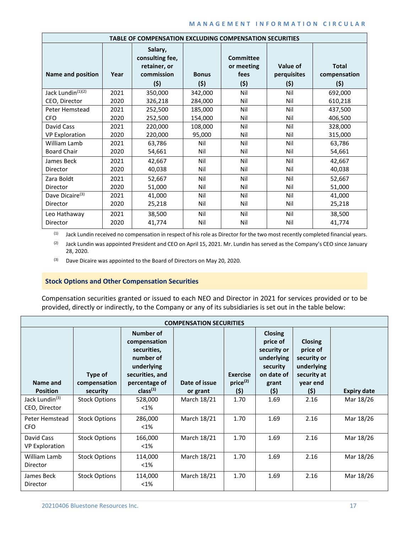## **MANAGEMENT INFORMATION CIRCULAR**

| TABLE OF COMPENSATION EXCLUDING COMPENSATION SECURITIES |      |                                                                 |                     |                                               |                                |                                      |  |
|---------------------------------------------------------|------|-----------------------------------------------------------------|---------------------|-----------------------------------------------|--------------------------------|--------------------------------------|--|
| <b>Name and position</b>                                | Year | Salary,<br>consulting fee,<br>retainer, or<br>commission<br>(5) | <b>Bonus</b><br>(5) | <b>Committee</b><br>or meeting<br>fees<br>(5) | Value of<br>perquisites<br>(5) | <b>Total</b><br>compensation<br>(\$) |  |
| Jack Lundin <sup>(1)(2)</sup>                           | 2021 | 350,000                                                         | 342,000             | Nil                                           | Nil                            | 692,000                              |  |
| CEO, Director                                           | 2020 | 326,218                                                         | 284,000             | Nil                                           | Nil                            | 610,218                              |  |
| Peter Hemstead                                          | 2021 | 252,500                                                         | 185,000             | Nil                                           | Nil                            | 437,500                              |  |
| <b>CFO</b>                                              | 2020 | 252,500                                                         | 154,000             | Nil                                           | Nil                            | 406,500                              |  |
| David Cass                                              | 2021 | 220,000                                                         | 108,000             | Nil                                           | Nil                            | 328,000                              |  |
| <b>VP Exploration</b>                                   | 2020 | 220,000                                                         | 95,000              | Nil                                           | Nil                            | 315,000                              |  |
| William Lamb                                            | 2021 | 63,786                                                          | Nil                 | Nil                                           | Nil                            | 63,786                               |  |
| <b>Board Chair</b>                                      | 2020 | 54,661                                                          | Nil                 | Nil                                           | Nil                            | 54,661                               |  |
| James Beck                                              | 2021 | 42,667                                                          | Nil                 | Nil                                           | Nil                            | 42,667                               |  |
| Director                                                | 2020 | 40,038                                                          | Nil                 | Nil                                           | Nil                            | 40,038                               |  |
| Zara Boldt                                              | 2021 | 52,667                                                          | Nil                 | Nil                                           | Nil                            | 52,667                               |  |
| Director                                                | 2020 | 51,000                                                          | Nil                 | Nil                                           | Nil                            | 51,000                               |  |
| Dave Dicaire <sup>(3)</sup>                             | 2021 | 41,000                                                          | Nil                 | Nil                                           | Nil                            | 41,000                               |  |
| Director                                                | 2020 | 25,218                                                          | Nil                 | Nil                                           | Nil                            | 25,218                               |  |
| Leo Hathaway                                            | 2021 | 38,500                                                          | Nil                 | Nil                                           | Nil                            | 38,500                               |  |
| Director                                                | 2020 | 41,774                                                          | Nil                 | Nil                                           | Nil                            | 41,774                               |  |

(1) Jack Lundin received no compensation in respect of his role as Director for the two most recently completed financial years.

(2) Jack Lundin was appointed President and CEO on April 15, 2021. Mr. Lundin has served as the Company's CEO since January 28, 2020.

(3) Dave Dicaire was appointed to the Board of Directors on May 20, 2020.

# **Stock Options and Other Compensation Securities**

Compensation securities granted or issued to each NEO and Director in 2021 for services provided or to be provided, directly or indirectly, to the Company or any of its subsidiaries is set out in the table below:

|                                             |                                     |                                                                                                                                 | <b>COMPENSATION SECURITIES</b> |                                         |                                                                                                   |                                                                                            |                    |
|---------------------------------------------|-------------------------------------|---------------------------------------------------------------------------------------------------------------------------------|--------------------------------|-----------------------------------------|---------------------------------------------------------------------------------------------------|--------------------------------------------------------------------------------------------|--------------------|
| Name and<br><b>Position</b>                 | Type of<br>compensation<br>security | Number of<br>compensation<br>securities,<br>number of<br>underlying<br>securities, and<br>percentage of<br>class <sup>(1)</sup> | Date of issue<br>or grant      | <b>Exercise</b><br>$price^{(2)}$<br>(5) | <b>Closing</b><br>price of<br>security or<br>underlying<br>security<br>on date of<br>grant<br>(5) | <b>Closing</b><br>price of<br>security or<br>underlying<br>security at<br>year end<br>(\$) | <b>Expiry date</b> |
| Jack Lundin <sup>(3)</sup><br>CEO, Director | <b>Stock Options</b>                | 528,000<br>$< 1\%$                                                                                                              | March 18/21                    | 1.70                                    | 1.69                                                                                              | 2.16                                                                                       | Mar 18/26          |
| Peter Hemstead<br><b>CFO</b>                | <b>Stock Options</b>                | 286,000<br>$<$ 1%                                                                                                               | March 18/21                    | 1.70                                    | 1.69                                                                                              | 2.16                                                                                       | Mar 18/26          |
| David Cass<br><b>VP Exploration</b>         | <b>Stock Options</b>                | 166,000<br>$<$ 1%                                                                                                               | March 18/21                    | 1.70                                    | 1.69                                                                                              | 2.16                                                                                       | Mar 18/26          |
| William Lamb<br>Director                    | <b>Stock Options</b>                | 114,000<br>$<$ 1%                                                                                                               | March 18/21                    | 1.70                                    | 1.69                                                                                              | 2.16                                                                                       | Mar 18/26          |
| James Beck<br>Director                      | <b>Stock Options</b>                | 114,000<br>$< 1\%$                                                                                                              | March 18/21                    | 1.70                                    | 1.69                                                                                              | 2.16                                                                                       | Mar 18/26          |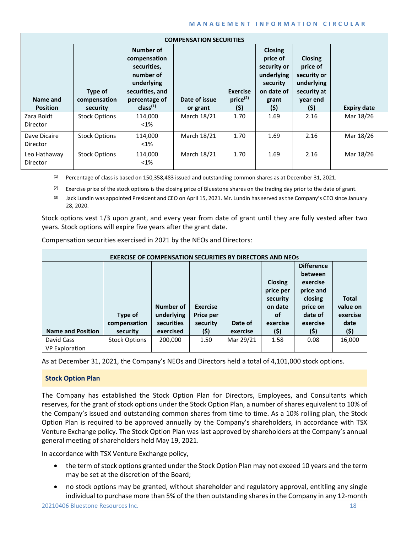## **MANAGEMENT INFORMATION CIRCULAR**

|                             |                                     |                                                                                                                                 | <b>COMPENSATION SECURITIES</b> |                                                |                                                                                                   |                                                                                            |                    |
|-----------------------------|-------------------------------------|---------------------------------------------------------------------------------------------------------------------------------|--------------------------------|------------------------------------------------|---------------------------------------------------------------------------------------------------|--------------------------------------------------------------------------------------------|--------------------|
| Name and<br><b>Position</b> | Type of<br>compensation<br>security | Number of<br>compensation<br>securities,<br>number of<br>underlying<br>securities, and<br>percentage of<br>class <sup>(1)</sup> | Date of issue<br>or grant      | <b>Exercise</b><br>price <sup>(2)</sup><br>(5) | <b>Closing</b><br>price of<br>security or<br>underlying<br>security<br>on date of<br>grant<br>(5) | <b>Closing</b><br>price of<br>security or<br>underlying<br>security at<br>year end<br>(\$) | <b>Expiry date</b> |
| Zara Boldt                  | <b>Stock Options</b>                | 114,000                                                                                                                         | March 18/21                    | 1.70                                           | 1.69                                                                                              | 2.16                                                                                       | Mar 18/26          |
| Director                    |                                     | $<$ 1%                                                                                                                          |                                |                                                |                                                                                                   |                                                                                            |                    |
| Dave Dicaire<br>Director    | <b>Stock Options</b>                | 114,000<br>$<$ 1%                                                                                                               | March 18/21                    | 1.70                                           | 1.69                                                                                              | 2.16                                                                                       | Mar 18/26          |
| Leo Hathaway<br>Director    | <b>Stock Options</b>                | 114,000<br>$<$ 1%                                                                                                               | March 18/21                    | 1.70                                           | 1.69                                                                                              | 2.16                                                                                       | Mar 18/26          |

(1) Percentage of class is based on 150,358,483 issued and outstanding common shares as at December 31, 2021.

(2) Exercise price of the stock options is the closing price of Bluestone shares on the trading day prior to the date of grant.

<sup>(3)</sup> Jack Lundin was appointed President and CEO on April 15, 2021. Mr. Lundin has served as the Company's CEO since January 28, 2020.

Stock options vest 1/3 upon grant, and every year from date of grant until they are fully vested after two years. Stock options will expire five years after the grant date.

| <b>EXERCISE OF COMPENSATION SECURITIES BY DIRECTORS AND NEOS</b> |                      |            |                 |           |                |                   |              |
|------------------------------------------------------------------|----------------------|------------|-----------------|-----------|----------------|-------------------|--------------|
|                                                                  |                      |            |                 |           |                | <b>Difference</b> |              |
|                                                                  |                      |            |                 |           |                | between           |              |
|                                                                  |                      |            |                 |           | <b>Closing</b> | exercise          |              |
|                                                                  |                      |            |                 |           | price per      | price and         |              |
|                                                                  |                      |            |                 |           | security       | closing           | <b>Total</b> |
|                                                                  |                      | Number of  | <b>Exercise</b> |           | on date        | price on          | value on     |
|                                                                  | Type of              | underlying | Price per       |           | οf             | date of           | exercise     |
|                                                                  | compensation         | securities | security        | Date of   | exercise       | exercise          | date         |
| <b>Name and Position</b>                                         | security             | exercised  | (\$)            | exercise  | (\$)           | (\$)              | (\$)         |
| David Cass                                                       | <b>Stock Options</b> | 200,000    | 1.50            | Mar 29/21 | 1.58           | 0.08              | 16,000       |
| <b>VP Exploration</b>                                            |                      |            |                 |           |                |                   |              |

Compensation securities exercised in 2021 by the NEOs and Directors:

As at December 31, 2021, the Company's NEOs and Directors held a total of 4,101,000 stock options.

## **Stock Option Plan**

The Company has established the Stock Option Plan for Directors, Employees, and Consultants which reserves, for the grant of stock options under the Stock Option Plan, a number of shares equivalent to 10% of the Company's issued and outstanding common shares from time to time. As a 10% rolling plan, the Stock Option Plan is required to be approved annually by the Company's shareholders, in accordance with TSX Venture Exchange policy. The Stock Option Plan was last approved by shareholders at the Company's annual general meeting of shareholders held May 19, 2021.

In accordance with TSX Venture Exchange policy,

- the term of stock options granted under the Stock Option Plan may not exceed 10 years and the term may be set at the discretion of the Board;
- no stock options may be granted, without shareholder and regulatory approval, entitling any single individual to purchase more than 5% of the then outstanding shares in the Company in any 12-month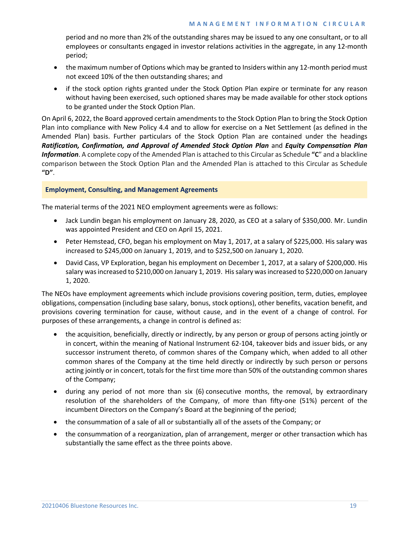period and no more than 2% of the outstanding shares may be issued to any one consultant, or to all employees or consultants engaged in investor relations activities in the aggregate, in any 12-month period;

- the maximum number of Options which may be granted to Insiders within any 12-month period must not exceed 10% of the then outstanding shares; and
- if the stock option rights granted under the Stock Option Plan expire or terminate for any reason without having been exercised, such optioned shares may be made available for other stock options to be granted under the Stock Option Plan.

On April 6, 2022, the Board approved certain amendments to the Stock Option Plan to bring the Stock Option Plan into compliance with New Policy 4.4 and to allow for exercise on a Net Settlement (as defined in the Amended Plan) basis. Further particulars of the Stock Option Plan are contained under the headings *Ratification, Confirmation, and Approval of Amended Stock Option Plan* and *Equity Compensation Plan Information*. A complete copy of the Amended Plan is attached to this Circular as Schedule **"C**" and a blackline comparison between the Stock Option Plan and the Amended Plan is attached to this Circular as Schedule **"D"**.

# **Employment, Consulting, and Management Agreements**

The material terms of the 2021 NEO employment agreements were as follows:

- Jack Lundin began his employment on January 28, 2020, as CEO at a salary of \$350,000. Mr. Lundin was appointed President and CEO on April 15, 2021.
- Peter Hemstead, CFO, began his employment on May 1, 2017, at a salary of \$225,000. His salary was increased to \$245,000 on January 1, 2019, and to \$252,500 on January 1, 2020.
- David Cass, VP Exploration, began his employment on December 1, 2017, at a salary of \$200,000. His salary was increased to \$210,000 on January 1, 2019. His salary wasincreased to \$220,000 on January 1, 2020.

The NEOs have employment agreements which include provisions covering position, term, duties, employee obligations, compensation (including base salary, bonus, stock options), other benefits, vacation benefit, and provisions covering termination for cause, without cause, and in the event of a change of control. For purposes of these arrangements, a change in control is defined as:

- the acquisition, beneficially, directly or indirectly, by any person or group of persons acting jointly or in concert, within the meaning of National Instrument 62-104, takeover bids and issuer bids, or any successor instrument thereto, of common shares of the Company which, when added to all other common shares of the Company at the time held directly or indirectly by such person or persons acting jointly or in concert, totals for the first time more than 50% of the outstanding common shares of the Company;
- during any period of not more than six (6) consecutive months, the removal, by extraordinary resolution of the shareholders of the Company, of more than fifty-one (51%) percent of the incumbent Directors on the Company's Board at the beginning of the period;
- the consummation of a sale of all or substantially all of the assets of the Company; or
- the consummation of a reorganization, plan of arrangement, merger or other transaction which has substantially the same effect as the three points above.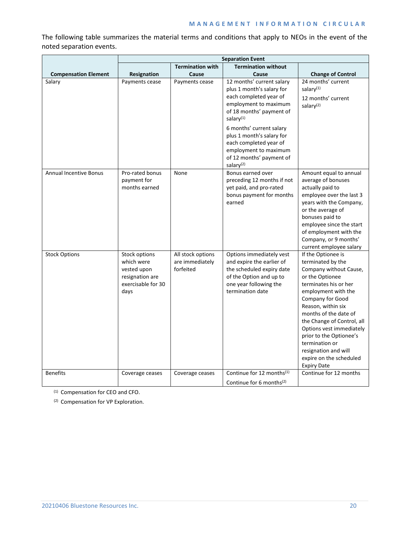# **MANAGEMENT INFORMATION CIRCULAR**

The following table summarizes the material terms and conditions that apply to NEOs in the event of the noted separation events.

|                               | <b>Separation Event</b>                                                                     |                                                   |                                                                                                                                                                |                                                                                                                                                                                                                                                                                                                                                                                         |
|-------------------------------|---------------------------------------------------------------------------------------------|---------------------------------------------------|----------------------------------------------------------------------------------------------------------------------------------------------------------------|-----------------------------------------------------------------------------------------------------------------------------------------------------------------------------------------------------------------------------------------------------------------------------------------------------------------------------------------------------------------------------------------|
|                               |                                                                                             | <b>Termination with</b>                           | <b>Termination without</b>                                                                                                                                     |                                                                                                                                                                                                                                                                                                                                                                                         |
| <b>Compensation Element</b>   | <b>Resignation</b>                                                                          | Cause                                             | Cause                                                                                                                                                          | <b>Change of Control</b>                                                                                                                                                                                                                                                                                                                                                                |
| Salary                        | Payments cease                                                                              | Payments cease                                    | 12 months' current salary<br>plus 1 month's salary for<br>each completed year of<br>employment to maximum<br>of 18 months' payment of<br>salary <sup>(1)</sup> | 24 months' current<br>salary <sup>(1)</sup><br>12 months' current<br>salary <sup>(2)</sup>                                                                                                                                                                                                                                                                                              |
|                               |                                                                                             |                                                   | 6 months' current salary<br>plus 1 month's salary for<br>each completed year of<br>employment to maximum<br>of 12 months' payment of<br>salary $(2)$           |                                                                                                                                                                                                                                                                                                                                                                                         |
| <b>Annual Incentive Bonus</b> | Pro-rated bonus<br>payment for<br>months earned                                             | None                                              | Bonus earned over<br>preceding 12 months if not<br>yet paid, and pro-rated<br>bonus payment for months<br>earned                                               | Amount equal to annual<br>average of bonuses<br>actually paid to<br>employee over the last 3<br>years with the Company,<br>or the average of<br>bonuses paid to<br>employee since the start<br>of employment with the<br>Company, or 9 months'<br>current employee salary                                                                                                               |
| <b>Stock Options</b>          | Stock options<br>which were<br>vested upon<br>resignation are<br>exercisable for 30<br>days | All stock options<br>are immediately<br>forfeited | Options immediately vest<br>and expire the earlier of<br>the scheduled expiry date<br>of the Option and up to<br>one year following the<br>termination date    | If the Optionee is<br>terminated by the<br>Company without Cause,<br>or the Optionee<br>terminates his or her<br>employment with the<br>Company for Good<br>Reason, within six<br>months of the date of<br>the Change of Control, all<br>Options vest immediately<br>prior to the Optionee's<br>termination or<br>resignation and will<br>expire on the scheduled<br><b>Expiry Date</b> |
| <b>Benefits</b>               | Coverage ceases                                                                             | Coverage ceases                                   | Continue for 12 months(1)<br>Continue for 6 months $(2)$                                                                                                       | Continue for 12 months                                                                                                                                                                                                                                                                                                                                                                  |

(1) Compensation for CEO and CFO.

(2) Compensation for VP Exploration.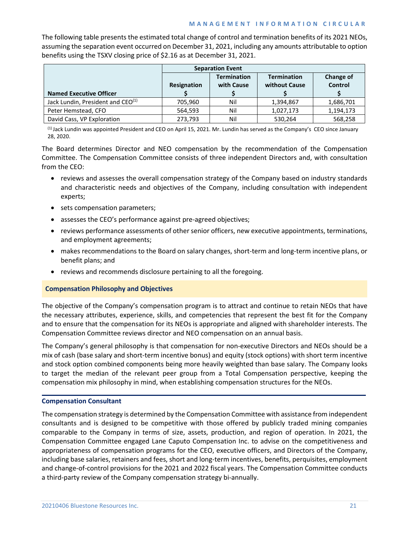## **MANAGEMENT INFORMATION CIRCULAR**

The following table presents the estimated total change of control and termination benefits of its 2021 NEOs, assuming the separation event occurred on December 31, 2021, including any amounts attributable to option benefits using the TSXV closing price of \$2.16 as at December 31, 2021.

|                                               | <b>Separation Event</b> |                                  |                                     |                             |
|-----------------------------------------------|-------------------------|----------------------------------|-------------------------------------|-----------------------------|
| <b>Named Executive Officer</b>                | Resignation             | <b>Termination</b><br>with Cause | <b>Termination</b><br>without Cause | Change of<br><b>Control</b> |
| Jack Lundin, President and CEO <sup>(1)</sup> | 705,960                 | Nil                              | 1,394,867                           | 1,686,701                   |
| Peter Hemstead, CFO                           | 564,593                 | Nil                              | 1,027,173                           | 1,194,173                   |
| David Cass, VP Exploration                    | 273,793                 | Nil                              | 530,264                             | 568,258                     |

(1) Jack Lundin was appointed President and CEO on April 15, 2021. Mr. Lundin has served as the Company's CEO since January 28, 2020.

The Board determines Director and NEO compensation by the recommendation of the Compensation Committee. The Compensation Committee consists of three independent Directors and, with consultation from the CEO:

- reviews and assesses the overall compensation strategy of the Company based on industry standards and characteristic needs and objectives of the Company, including consultation with independent experts;
- sets compensation parameters;
- assesses the CEO's performance against pre-agreed objectives;
- reviews performance assessments of other senior officers, new executive appointments, terminations, and employment agreements;
- makes recommendations to the Board on salary changes, short-term and long-term incentive plans, or benefit plans; and
- reviews and recommends disclosure pertaining to all the foregoing.

## **Compensation Philosophy and Objectives**

The objective of the Company's compensation program is to attract and continue to retain NEOs that have the necessary attributes, experience, skills, and competencies that represent the best fit for the Company and to ensure that the compensation for its NEOs is appropriate and aligned with shareholder interests. The Compensation Committee reviews director and NEO compensation on an annual basis.

The Company's general philosophy is that compensation for non-executive Directors and NEOs should be a mix of cash (base salary and short-term incentive bonus) and equity (stock options) with short term incentive and stock option combined components being more heavily weighted than base salary. The Company looks to target the median of the relevant peer group from a Total Compensation perspective, keeping the compensation mix philosophy in mind, when establishing compensation structures for the NEOs.

## **Compensation Consultant**

The compensation strategy is determined by the Compensation Committee with assistance from independent consultants and is designed to be competitive with those offered by publicly traded mining companies comparable to the Company in terms of size, assets, production, and region of operation. In 2021, the Compensation Committee engaged Lane Caputo Compensation Inc. to advise on the competitiveness and appropriateness of compensation programs for the CEO, executive officers, and Directors of the Company, including base salaries, retainers and fees, short and long-term incentives, benefits, perquisites, employment and change-of-control provisions for the 2021 and 2022 fiscal years. The Compensation Committee conducts a third-party review of the Company compensation strategy bi-annually.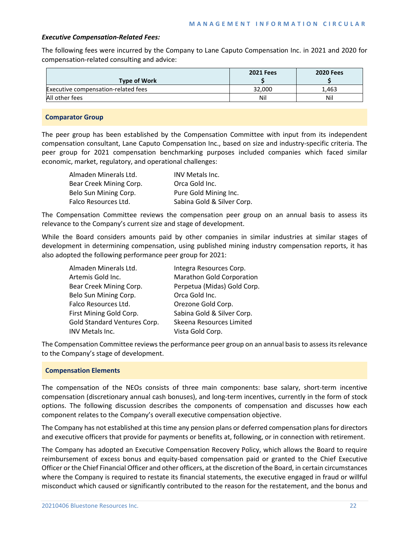## *Executive Compensation-Related Fees:*

The following fees were incurred by the Company to Lane Caputo Compensation Inc. in 2021 and 2020 for compensation-related consulting and advice:

|                                     | <b>2021 Fees</b> | <b>2020 Fees</b> |
|-------------------------------------|------------------|------------------|
| <b>Type of Work</b>                 |                  |                  |
| Executive compensation-related fees | 32,000           | 1.463            |
| All other fees                      | Nil              | Nil              |

## **Comparator Group**

The peer group has been established by the Compensation Committee with input from its independent compensation consultant, Lane Caputo Compensation Inc., based on size and industry-specific criteria. The peer group for 2021 compensation benchmarking purposes included companies which faced similar economic, market, regulatory, and operational challenges:

| Almaden Minerals Ltd.   | <b>INV Metals Inc.</b>     |
|-------------------------|----------------------------|
| Bear Creek Mining Corp. | Orca Gold Inc.             |
| Belo Sun Mining Corp.   | Pure Gold Mining Inc.      |
| Falco Resources Ltd.    | Sabina Gold & Silver Corp. |

The Compensation Committee reviews the compensation peer group on an annual basis to assess its relevance to the Company's current size and stage of development.

While the Board considers amounts paid by other companies in similar industries at similar stages of development in determining compensation, using published mining industry compensation reports, it has also adopted the following performance peer group for 2021:

| Almaden Minerals Ltd.        | Integra Resources Corp.          |
|------------------------------|----------------------------------|
| Artemis Gold Inc.            | <b>Marathon Gold Corporation</b> |
| Bear Creek Mining Corp.      | Perpetua (Midas) Gold Corp.      |
| Belo Sun Mining Corp.        | Orca Gold Inc.                   |
| Falco Resources Ltd.         | Orezone Gold Corp.               |
| First Mining Gold Corp.      | Sabina Gold & Silver Corp.       |
| Gold Standard Ventures Corp. | Skeena Resources Limited         |
| INV Metals Inc.              | Vista Gold Corp.                 |

The Compensation Committee reviews the performance peer group on an annual basis to assess its relevance to the Company's stage of development.

## **Compensation Elements**

The compensation of the NEOs consists of three main components: base salary, short-term incentive compensation (discretionary annual cash bonuses), and long-term incentives, currently in the form of stock options. The following discussion describes the components of compensation and discusses how each component relates to the Company's overall executive compensation objective.

The Company has not established at this time any pension plans or deferred compensation plans for directors and executive officers that provide for payments or benefits at, following, or in connection with retirement.

The Company has adopted an Executive Compensation Recovery Policy, which allows the Board to require reimbursement of excess bonus and equity-based compensation paid or granted to the Chief Executive Officer or the Chief Financial Officer and other officers, at the discretion of the Board, in certain circumstances where the Company is required to restate its financial statements, the executive engaged in fraud or willful misconduct which caused or significantly contributed to the reason for the restatement, and the bonus and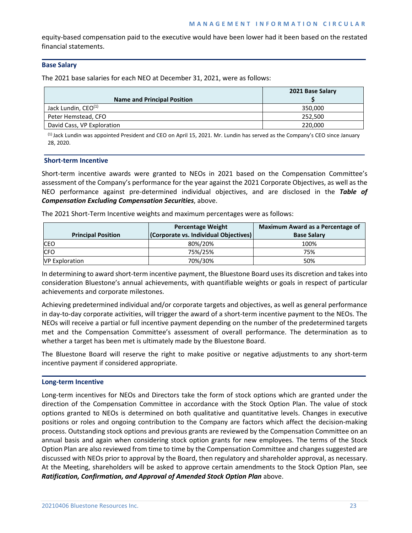equity-based compensation paid to the executive would have been lower had it been based on the restated financial statements.

# **Base Salary**

The 2021 base salaries for each NEO at December 31, 2021, were as follows:

|                                    | 2021 Base Salary |
|------------------------------------|------------------|
| <b>Name and Principal Position</b> |                  |
| Jack Lundin, CEO <sup>(1)</sup>    | 350,000          |
| Peter Hemstead, CFO                | 252,500          |
| David Cass, VP Exploration         | 220,000          |

 $<sup>(1)</sup>$  Jack Lundin was appointed President and CEO on April 15, 2021. Mr. Lundin has served as the Company's CEO since January</sup> 28, 2020.

## **Short-term Incentive**

Short-term incentive awards were granted to NEOs in 2021 based on the Compensation Committee's assessment of the Company's performance for the year against the 2021 Corporate Objectives, as well as the NEO performance against pre-determined individual objectives, and are disclosed in the *Table of Compensation Excluding Compensation Securities*, above.

The 2021 Short-Term Incentive weights and maximum percentages were as follows:

|                           | <b>Percentage Weight</b>              | <b>Maximum Award as a Percentage of</b> |
|---------------------------|---------------------------------------|-----------------------------------------|
| <b>Principal Position</b> | (Corporate vs. Individual Objectives) | <b>Base Salary</b>                      |
| <b>CEO</b>                | 80%/20%                               | 100%                                    |
| <b>CFO</b>                | 75%/25%                               | 75%                                     |
| <b>VP Exploration</b>     | 70%/30%                               | 50%                                     |

In determining to award short-term incentive payment, the Bluestone Board uses its discretion and takes into consideration Bluestone's annual achievements, with quantifiable weights or goals in respect of particular achievements and corporate milestones.

Achieving predetermined individual and/or corporate targets and objectives, as well as general performance in day-to-day corporate activities, will trigger the award of a short-term incentive payment to the NEOs. The NEOs will receive a partial or full incentive payment depending on the number of the predetermined targets met and the Compensation Committee's assessment of overall performance. The determination as to whether a target has been met is ultimately made by the Bluestone Board.

The Bluestone Board will reserve the right to make positive or negative adjustments to any short-term incentive payment if considered appropriate.

## **Long-term Incentive**

Long-term incentives for NEOs and Directors take the form of stock options which are granted under the direction of the Compensation Committee in accordance with the Stock Option Plan. The value of stock options granted to NEOs is determined on both qualitative and quantitative levels. Changes in executive positions or roles and ongoing contribution to the Company are factors which affect the decision-making process. Outstanding stock options and previous grants are reviewed by the Compensation Committee on an annual basis and again when considering stock option grants for new employees. The terms of the Stock Option Plan are also reviewed from time to time by the Compensation Committee and changes suggested are discussed with NEOs prior to approval by the Board, then regulatory and shareholder approval, as necessary. At the Meeting, shareholders will be asked to approve certain amendments to the Stock Option Plan, see *Ratification, Confirmation, and Approval of Amended Stock Option Plan* above.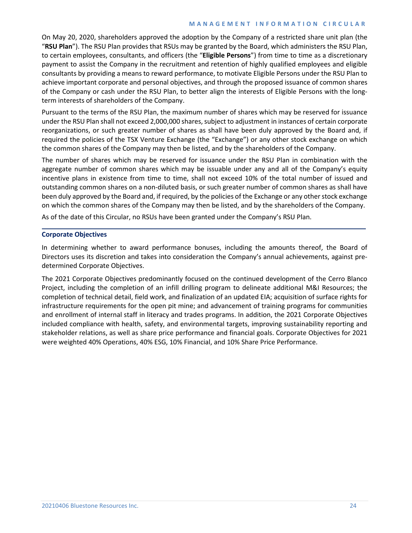#### **MANAGEMENT INFORMATION CIRCULAR**

On May 20, 2020, shareholders approved the adoption by the Company of a restricted share unit plan (the "**RSU Plan**"). The RSU Plan provides that RSUs may be granted by the Board, which administers the RSU Plan, to certain employees, consultants, and officers (the "**Eligible Persons**") from time to time as a discretionary payment to assist the Company in the recruitment and retention of highly qualified employees and eligible consultants by providing a means to reward performance, to motivate Eligible Persons under the RSU Plan to achieve important corporate and personal objectives, and through the proposed issuance of common shares of the Company or cash under the RSU Plan, to better align the interests of Eligible Persons with the longterm interests of shareholders of the Company.

Pursuant to the terms of the RSU Plan, the maximum number of shares which may be reserved for issuance under the RSU Plan shall not exceed 2,000,000 shares, subject to adjustment in instances of certain corporate reorganizations, or such greater number of shares as shall have been duly approved by the Board and, if required the policies of the TSX Venture Exchange (the "Exchange") or any other stock exchange on which the common shares of the Company may then be listed, and by the shareholders of the Company.

The number of shares which may be reserved for issuance under the RSU Plan in combination with the aggregate number of common shares which may be issuable under any and all of the Company's equity incentive plans in existence from time to time, shall not exceed 10% of the total number of issued and outstanding common shares on a non-diluted basis, or such greater number of common shares as shall have been duly approved by the Board and, if required, by the policies of the Exchange or any other stock exchange on which the common shares of the Company may then be listed, and by the shareholders of the Company.

As of the date of this Circular, no RSUs have been granted under the Company's RSU Plan.

## **Corporate Objectives**

In determining whether to award performance bonuses, including the amounts thereof, the Board of Directors uses its discretion and takes into consideration the Company's annual achievements, against predetermined Corporate Objectives.

The 2021 Corporate Objectives predominantly focused on the continued development of the Cerro Blanco Project, including the completion of an infill drilling program to delineate additional M&I Resources; the completion of technical detail, field work, and finalization of an updated EIA; acquisition of surface rights for infrastructure requirements for the open pit mine; and advancement of training programs for communities and enrollment of internal staff in literacy and trades programs. In addition, the 2021 Corporate Objectives included compliance with health, safety, and environmental targets, improving sustainability reporting and stakeholder relations, as well as share price performance and financial goals. Corporate Objectives for 2021 were weighted 40% Operations, 40% ESG, 10% Financial, and 10% Share Price Performance.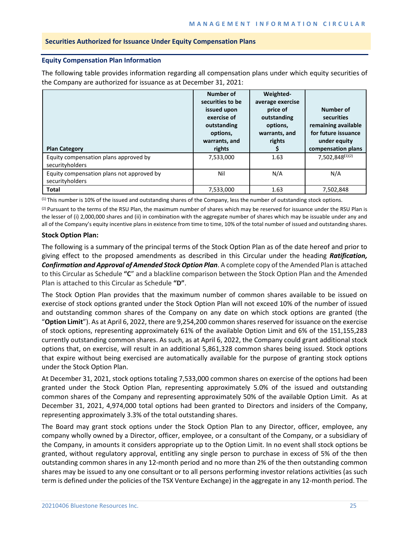## **Securities Authorized for Issuance Under Equity Compensation Plans**

## **Equity Compensation Plan Information**

The following table provides information regarding all compensation plans under which equity securities of the Company are authorized for issuance as at December 31, 2021:

| <b>Plan Category</b>                                         | Number of<br>securities to be<br>issued upon<br>exercise of<br>outstanding<br>options,<br>warrants, and<br>rights | Weighted-<br>average exercise<br>price of<br>outstanding<br>options,<br>warrants, and<br>rights | Number of<br>securities<br>remaining available<br>for future issuance<br>under equity<br>compensation plans |
|--------------------------------------------------------------|-------------------------------------------------------------------------------------------------------------------|-------------------------------------------------------------------------------------------------|-------------------------------------------------------------------------------------------------------------|
| Equity compensation plans approved by<br>securityholders     | 7,533,000                                                                                                         | 1.63                                                                                            | 7,502,848(1)(2)                                                                                             |
| Equity compensation plans not approved by<br>securityholders | Nil                                                                                                               | N/A                                                                                             | N/A                                                                                                         |
| <b>Total</b>                                                 | 7,533,000                                                                                                         | 1.63                                                                                            | 7,502,848                                                                                                   |

(1) This number is 10% of the issued and outstanding shares of the Company, less the number of outstanding stock options.

 $(2)$  Pursuant to the terms of the RSU Plan, the maximum number of shares which may be reserved for issuance under the RSU Plan is the lesser of (i) 2,000,000 shares and (ii) in combination with the aggregate number of shares which may be issuable under any and all of the Company's equity incentive plans in existence from time to time, 10% of the total number of issued and outstanding shares.

# **Stock Option Plan:**

The following is a summary of the principal terms of the Stock Option Plan as of the date hereof and prior to giving effect to the proposed amendments as described in this Circular under the heading *Ratification, Confirmation and Approval of Amended Stock Option Plan*. A complete copy of the Amended Plan is attached to this Circular as Schedule **"C**" and a blackline comparison between the Stock Option Plan and the Amended Plan is attached to this Circular as Schedule **"D"**.

The Stock Option Plan provides that the maximum number of common shares available to be issued on exercise of stock options granted under the Stock Option Plan will not exceed 10% of the number of issued and outstanding common shares of the Company on any date on which stock options are granted (the "**Option Limit**"). As at April 6, 2022, there are 9,254,200 common shares reserved for issuance on the exercise of stock options, representing approximately 61% of the available Option Limit and 6% of the 151,155,283 currently outstanding common shares. As such, as at April 6, 2022, the Company could grant additional stock options that, on exercise, will result in an additional 5,861,328 common shares being issued. Stock options that expire without being exercised are automatically available for the purpose of granting stock options under the Stock Option Plan.

At December 31, 2021, stock options totaling 7,533,000 common shares on exercise of the options had been granted under the Stock Option Plan, representing approximately 5.0% of the issued and outstanding common shares of the Company and representing approximately 50% of the available Option Limit. As at December 31, 2021, 4,974,000 total options had been granted to Directors and insiders of the Company, representing approximately 3.3% of the total outstanding shares.

The Board may grant stock options under the Stock Option Plan to any Director, officer, employee, any company wholly owned by a Director, officer, employee, or a consultant of the Company, or a subsidiary of the Company, in amounts it considers appropriate up to the Option Limit. In no event shall stock options be granted, without regulatory approval, entitling any single person to purchase in excess of 5% of the then outstanding common shares in any 12-month period and no more than 2% of the then outstanding common shares may be issued to any one consultant or to all persons performing investor relations activities (as such term is defined under the policies of the TSX Venture Exchange) in the aggregate in any 12-month period. The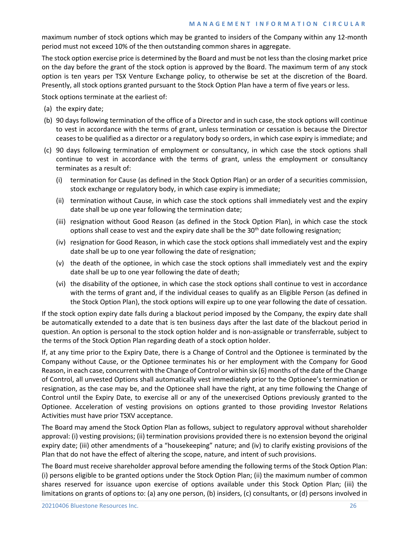## **MANAGEMENT INFORMATION CIRCULAR**

maximum number of stock options which may be granted to insiders of the Company within any 12-month period must not exceed 10% of the then outstanding common shares in aggregate.

The stock option exercise price is determined by the Board and must be not less than the closing market price on the day before the grant of the stock option is approved by the Board. The maximum term of any stock option is ten years per TSX Venture Exchange policy, to otherwise be set at the discretion of the Board. Presently, all stock options granted pursuant to the Stock Option Plan have a term of five years or less.

Stock options terminate at the earliest of:

- (a) the expiry date;
- (b) 90 days following termination of the office of a Director and in such case, the stock options will continue to vest in accordance with the terms of grant, unless termination or cessation is because the Director ceases to be qualified as a director or a regulatory body so orders, in which case expiry is immediate; and
- (c) 90 days following termination of employment or consultancy, in which case the stock options shall continue to vest in accordance with the terms of grant, unless the employment or consultancy terminates as a result of:
	- (i) termination for Cause (as defined in the Stock Option Plan) or an order of a securities commission, stock exchange or regulatory body, in which case expiry is immediate;
	- (ii) termination without Cause, in which case the stock options shall immediately vest and the expiry date shall be up one year following the termination date;
	- (iii) resignation without Good Reason (as defined in the Stock Option Plan), in which case the stock options shall cease to vest and the expiry date shall be the  $30<sup>th</sup>$  date following resignation;
	- (iv) resignation for Good Reason, in which case the stock options shall immediately vest and the expiry date shall be up to one year following the date of resignation;
	- (v) the death of the optionee, in which case the stock options shall immediately vest and the expiry date shall be up to one year following the date of death;
	- (vi) the disability of the optionee, in which case the stock options shall continue to vest in accordance with the terms of grant and, if the individual ceases to qualify as an Eligible Person (as defined in the Stock Option Plan), the stock options will expire up to one year following the date of cessation.

If the stock option expiry date falls during a blackout period imposed by the Company, the expiry date shall be automatically extended to a date that is ten business days after the last date of the blackout period in question. An option is personal to the stock option holder and is non-assignable or transferrable, subject to the terms of the Stock Option Plan regarding death of a stock option holder.

If, at any time prior to the Expiry Date, there is a Change of Control and the Optionee is terminated by the Company without Cause, or the Optionee terminates his or her employment with the Company for Good Reason, in each case, concurrent with the Change of Control or within six (6) months of the date of the Change of Control, all unvested Options shall automatically vest immediately prior to the Optionee's termination or resignation, as the case may be, and the Optionee shall have the right, at any time following the Change of Control until the Expiry Date, to exercise all or any of the unexercised Options previously granted to the Optionee. Acceleration of vesting provisions on options granted to those providing Investor Relations Activities must have prior TSXV acceptance.

The Board may amend the Stock Option Plan as follows, subject to regulatory approval without shareholder approval: (i) vesting provisions; (ii) termination provisions provided there is no extension beyond the original expiry date; (iii) other amendments of a "housekeeping" nature; and (iv) to clarify existing provisions of the Plan that do not have the effect of altering the scope, nature, and intent of such provisions.

The Board must receive shareholder approval before amending the following terms of the Stock Option Plan: (i) persons eligible to be granted options under the Stock Option Plan; (ii) the maximum number of common shares reserved for issuance upon exercise of options available under this Stock Option Plan; (iii) the limitations on grants of options to: (a) any one person, (b) insiders, (c) consultants, or (d) persons involved in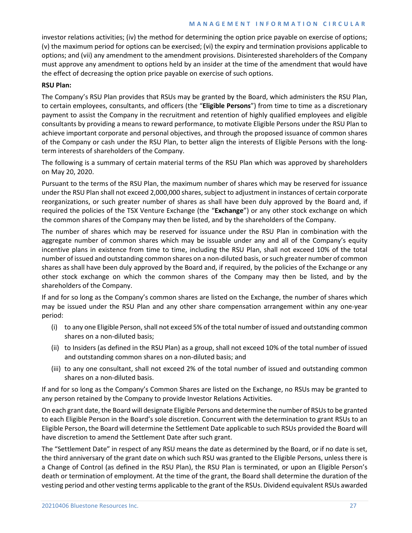# **MANAGEMENT INFORMATION CIRCULAR**

investor relations activities; (iv) the method for determining the option price payable on exercise of options; (v) the maximum period for options can be exercised; (vi) the expiry and termination provisions applicable to options; and (vii) any amendment to the amendment provisions. Disinterested shareholders of the Company must approve any amendment to options held by an insider at the time of the amendment that would have the effect of decreasing the option price payable on exercise of such options.

# **RSU Plan:**

The Company's RSU Plan provides that RSUs may be granted by the Board, which administers the RSU Plan, to certain employees, consultants, and officers (the "**Eligible Persons**") from time to time as a discretionary payment to assist the Company in the recruitment and retention of highly qualified employees and eligible consultants by providing a means to reward performance, to motivate Eligible Persons under the RSU Plan to achieve important corporate and personal objectives, and through the proposed issuance of common shares of the Company or cash under the RSU Plan, to better align the interests of Eligible Persons with the longterm interests of shareholders of the Company.

The following is a summary of certain material terms of the RSU Plan which was approved by shareholders on May 20, 2020.

Pursuant to the terms of the RSU Plan, the maximum number of shares which may be reserved for issuance under the RSU Plan shall not exceed 2,000,000 shares, subject to adjustment in instances of certain corporate reorganizations, or such greater number of shares as shall have been duly approved by the Board and, if required the policies of the TSX Venture Exchange (the "**Exchange**") or any other stock exchange on which the common shares of the Company may then be listed, and by the shareholders of the Company.

The number of shares which may be reserved for issuance under the RSU Plan in combination with the aggregate number of common shares which may be issuable under any and all of the Company's equity incentive plans in existence from time to time, including the RSU Plan, shall not exceed 10% of the total number of issued and outstanding common shares on a non-diluted basis, or such greater number of common shares as shall have been duly approved by the Board and, if required, by the policies of the Exchange or any other stock exchange on which the common shares of the Company may then be listed, and by the shareholders of the Company.

If and for so long as the Company's common shares are listed on the Exchange, the number of shares which may be issued under the RSU Plan and any other share compensation arrangement within any one-year period:

- (i) to any one Eligible Person, shall not exceed 5% of the total number of issued and outstanding common shares on a non-diluted basis;
- (ii) to Insiders (as defined in the RSU Plan) as a group, shall not exceed 10% of the total number of issued and outstanding common shares on a non-diluted basis; and
- (iii) to any one consultant, shall not exceed 2% of the total number of issued and outstanding common shares on a non-diluted basis.

If and for so long as the Company's Common Shares are listed on the Exchange, no RSUs may be granted to any person retained by the Company to provide Investor Relations Activities.

On each grant date, the Board will designate Eligible Persons and determine the number of RSUs to be granted to each Eligible Person in the Board's sole discretion. Concurrent with the determination to grant RSUs to an Eligible Person, the Board will determine the Settlement Date applicable to such RSUs provided the Board will have discretion to amend the Settlement Date after such grant.

The "Settlement Date" in respect of any RSU means the date as determined by the Board, or if no date is set, the third anniversary of the grant date on which such RSU was granted to the Eligible Persons, unless there is a Change of Control (as defined in the RSU Plan), the RSU Plan is terminated, or upon an Eligible Person's death or termination of employment. At the time of the grant, the Board shall determine the duration of the vesting period and other vesting terms applicable to the grant of the RSUs. Dividend equivalent RSUs awarded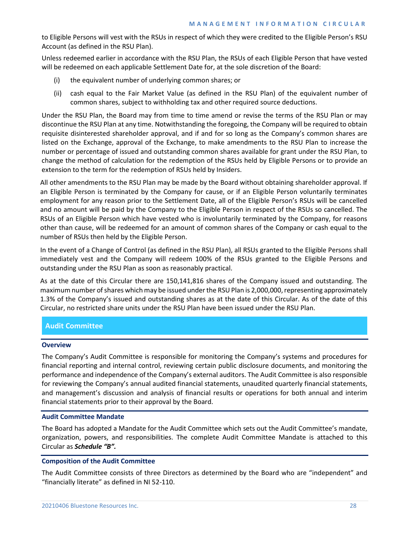to Eligible Persons will vest with the RSUs in respect of which they were credited to the Eligible Person's RSU Account (as defined in the RSU Plan).

Unless redeemed earlier in accordance with the RSU Plan, the RSUs of each Eligible Person that have vested will be redeemed on each applicable Settlement Date for, at the sole discretion of the Board:

- (i) the equivalent number of underlying common shares; or
- (ii) cash equal to the Fair Market Value (as defined in the RSU Plan) of the equivalent number of common shares, subject to withholding tax and other required source deductions.

Under the RSU Plan, the Board may from time to time amend or revise the terms of the RSU Plan or may discontinue the RSU Plan at any time. Notwithstanding the foregoing, the Company will be required to obtain requisite disinterested shareholder approval, and if and for so long as the Company's common shares are listed on the Exchange, approval of the Exchange, to make amendments to the RSU Plan to increase the number or percentage of issued and outstanding common shares available for grant under the RSU Plan, to change the method of calculation for the redemption of the RSUs held by Eligible Persons or to provide an extension to the term for the redemption of RSUs held by Insiders.

All other amendments to the RSU Plan may be made by the Board without obtaining shareholder approval. If an Eligible Person is terminated by the Company for cause, or if an Eligible Person voluntarily terminates employment for any reason prior to the Settlement Date, all of the Eligible Person's RSUs will be cancelled and no amount will be paid by the Company to the Eligible Person in respect of the RSUs so cancelled. The RSUs of an Eligible Person which have vested who is involuntarily terminated by the Company, for reasons other than cause, will be redeemed for an amount of common shares of the Company or cash equal to the number of RSUs then held by the Eligible Person.

In the event of a Change of Control (as defined in the RSU Plan), all RSUs granted to the Eligible Persons shall immediately vest and the Company will redeem 100% of the RSUs granted to the Eligible Persons and outstanding under the RSU Plan as soon as reasonably practical.

As at the date of this Circular there are 150,141,816 shares of the Company issued and outstanding. The maximum number of shares which may be issued under the RSU Plan is 2,000,000, representing approximately 1.3% of the Company's issued and outstanding shares as at the date of this Circular. As of the date of this Circular, no restricted share units under the RSU Plan have been issued under the RSU Plan.

# **Audit Committee**

## **Overview**

The Company's Audit Committee is responsible for monitoring the Company's systems and procedures for financial reporting and internal control, reviewing certain public disclosure documents, and monitoring the performance and independence of the Company's external auditors. The Audit Committee is also responsible for reviewing the Company's annual audited financial statements, unaudited quarterly financial statements, and management's discussion and analysis of financial results or operations for both annual and interim financial statements prior to their approval by the Board.

## **Audit Committee Mandate**

The Board has adopted a Mandate for the Audit Committee which sets out the Audit Committee's mandate, organization, powers, and responsibilities. The complete Audit Committee Mandate is attached to this Circular as *Schedule "B".*

## **Composition of the Audit Committee**

The Audit Committee consists of three Directors as determined by the Board who are "independent" and "financially literate" as defined in NI 52-110.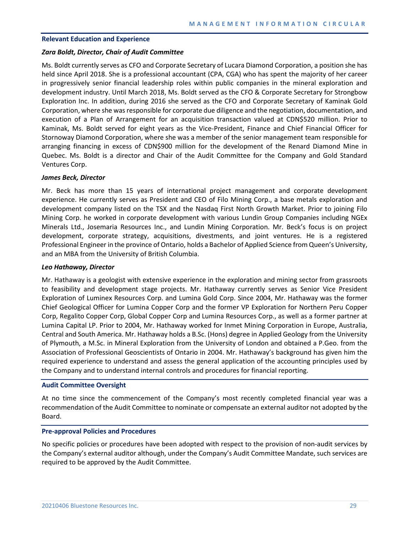#### **Relevant Education and Experience**

#### *Zara Boldt, Director, Chair of Audit Committee*

Ms. Boldt currently serves as CFO and Corporate Secretary of Lucara Diamond Corporation, a position she has held since April 2018. She is a professional accountant (CPA, CGA) who has spent the majority of her career in progressively senior financial leadership roles within public companies in the mineral exploration and development industry. Until March 2018, Ms. Boldt served as the CFO & Corporate Secretary for Strongbow Exploration Inc. In addition, during 2016 she served as the CFO and Corporate Secretary of Kaminak Gold Corporation, where she was responsible for corporate due diligence and the negotiation, documentation, and execution of a Plan of Arrangement for an acquisition transaction valued at CDN\$520 million. Prior to Kaminak, Ms. Boldt served for eight years as the Vice-President, Finance and Chief Financial Officer for Stornoway Diamond Corporation, where she was a member of the senior management team responsible for arranging financing in excess of CDN\$900 million for the development of the Renard Diamond Mine in Quebec. Ms. Boldt is a director and Chair of the Audit Committee for the Company and Gold Standard Ventures Corp.

## *James Beck, Director*

Mr. Beck has more than 15 years of international project management and corporate development experience. He currently serves as President and CEO of Filo Mining Corp., a base metals exploration and development company listed on the TSX and the Nasdaq First North Growth Market. Prior to joining Filo Mining Corp. he worked in corporate development with various Lundin Group Companies including NGEx Minerals Ltd., Josemaria Resources Inc., and Lundin Mining Corporation. Mr. Beck's focus is on project development, corporate strategy, acquisitions, divestments, and joint ventures. He is a registered Professional Engineer in the province of Ontario, holds a Bachelor of Applied Science from Queen's University, and an MBA from the University of British Columbia.

#### *Leo Hathaway, Director*

Mr. Hathaway is a geologist with extensive experience in the exploration and mining sector from grassroots to feasibility and development stage projects. Mr. Hathaway currently serves as Senior Vice President Exploration of Luminex Resources Corp. and Lumina Gold Corp. Since 2004, Mr. Hathaway was the former Chief Geological Officer for Lumina Copper Corp and the former VP Exploration for Northern Peru Copper Corp, Regalito Copper Corp, Global Copper Corp and Lumina Resources Corp., as well as a former partner at Lumina Capital LP. Prior to 2004, Mr. Hathaway worked for Inmet Mining Corporation in Europe, Australia, Central and South America. Mr. Hathaway holds a B.Sc. (Hons) degree in Applied Geology from the University of Plymouth, a M.Sc. in Mineral Exploration from the University of London and obtained a P.Geo. from the Association of Professional Geoscientists of Ontario in 2004. Mr. Hathaway's background has given him the required experience to understand and assess the general application of the accounting principles used by the Company and to understand internal controls and procedures for financial reporting.

#### **Audit Committee Oversight**

At no time since the commencement of the Company's most recently completed financial year was a recommendation of the Audit Committee to nominate or compensate an external auditor not adopted by the Board.

#### **Pre-approval Policies and Procedures**

No specific policies or procedures have been adopted with respect to the provision of non-audit services by the Company's external auditor although, under the Company's Audit Committee Mandate, such services are required to be approved by the Audit Committee.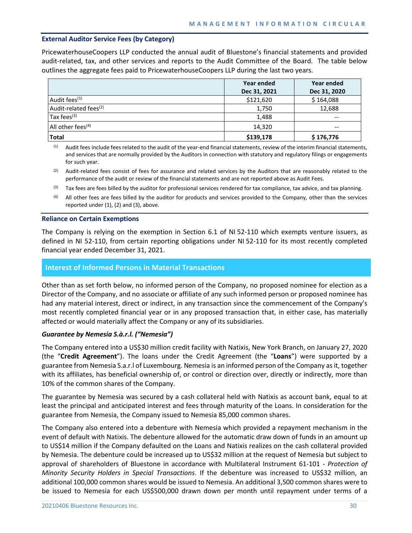# **External Auditor Service Fees (by Category)**

PricewaterhouseCoopers LLP conducted the annual audit of Bluestone's financial statements and provided audit-related, tax, and other services and reports to the Audit Committee of the Board. The table below outlines the aggregate fees paid to PricewaterhouseCoopers LLP during the last two years.

|                                   | Year ended   | Year ended   |
|-----------------------------------|--------------|--------------|
|                                   | Dec 31, 2021 | Dec 31, 2020 |
| Audit fees <sup>(1)</sup>         | \$121,620    | \$164,088    |
| Audit-related fees <sup>(2)</sup> | 1,750        | 12,688       |
| Tax fees $(3)$                    | 1,488        |              |
| All other fees <sup>(4)</sup>     | 14,320       | $-$          |
| <b>Total</b>                      | \$139,178    | \$176,776    |

(1) Audit fees include fees related to the audit of the year-end financial statements, review of the interim financial statements, and services that are normally provided by the Auditors in connection with statutory and regulatory filings or engagements for such year.

- (2) Audit-related fees consist of fees for assurance and related services by the Auditors that are reasonably related to the performance of the audit or review of the financial statements and are not reported above as Audit Fees.
- Tax fees are fees billed by the auditor for professional services rendered for tax compliance, tax advice, and tax planning.
- (4) All other fees are fees billed by the auditor for products and services provided to the Company, other than the services reported under (1), (2) and (3), above.

#### **Reliance on Certain Exemptions**

The Company is relying on the exemption in Section 6.1 of NI 52-110 which exempts venture issuers, as defined in NI 52-110, from certain reporting obligations under NI 52-110 for its most recently completed financial year ended December 31, 2021.

# **Interest of Informed Persons in Material Transactions**

Other than as set forth below, no informed person of the Company, no proposed nominee for election as a Director of the Company, and no associate or affiliate of any such informed person or proposed nominee has had any material interest, direct or indirect, in any transaction since the commencement of the Company's most recently completed financial year or in any proposed transaction that, in either case, has materially affected or would materially affect the Company or any of its subsidiaries.

## *Guarantee by Nemesia S.à.r.l. ("Nemesia")*

The Company entered into a US\$30 million credit facility with Natixis, New York Branch, on January 27, 2020 (the "**Credit Agreement**"). The loans under the Credit Agreement (the "**Loans**") were supported by a guarantee from Nemesia S.a.r.l of Luxembourg. Nemesia is an informed person of the Company as it, together with its affiliates, has beneficial ownership of, or control or direction over, directly or indirectly, more than 10% of the common shares of the Company.

The guarantee by Nemesia was secured by a cash collateral held with Natixis as account bank, equal to at least the principal and anticipated interest and fees through maturity of the Loans. In consideration for the guarantee from Nemesia, the Company issued to Nemesia 85,000 common shares.

The Company also entered into a debenture with Nemesia which provided a repayment mechanism in the event of default with Natixis. The debenture allowed for the automatic draw down of funds in an amount up to US\$14 million if the Company defaulted on the Loans and Natixis realizes on the cash collateral provided by Nemesia. The debenture could be increased up to US\$32 million at the request of Nemesia but subject to approval of shareholders of Bluestone in accordance with Multilateral Instrument 61-101 - *Protection of Minority Security Holders in Special Transactions*. If the debenture was increased to US\$32 million, an additional 100,000 common shares would be issued to Nemesia. An additional 3,500 common shares were to be issued to Nemesia for each US\$500,000 drawn down per month until repayment under terms of a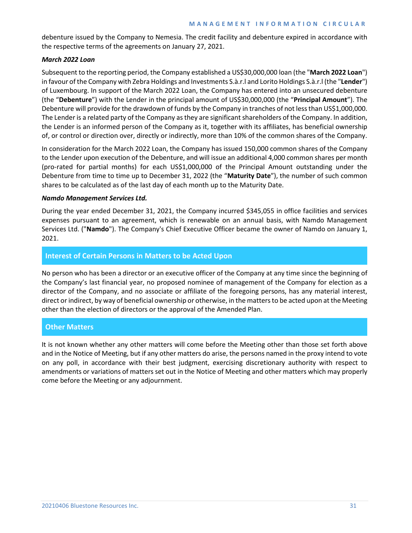debenture issued by the Company to Nemesia. The credit facility and debenture expired in accordance with the respective terms of the agreements on January 27, 2021.

# *March 2022 Loan*

Subsequent to the reporting period, the Company established a US\$30,000,000 loan (the "**March 2022 Loan**") in favour of the Company with Zebra Holdings and Investments S.à.r.l and Lorito Holdings S.à.r.l (the "**Lender**") of Luxembourg. In support of the March 2022 Loan, the Company has entered into an unsecured debenture (the "**Debenture**") with the Lender in the principal amount of US\$30,000,000 (the "**Principal Amount**"). The Debenture will provide for the drawdown of funds by the Company in tranches of not less than US\$1,000,000. The Lender is a related party of the Company as they are significant shareholders of the Company. In addition, the Lender is an informed person of the Company as it, together with its affiliates, has beneficial ownership of, or control or direction over, directly or indirectly, more than 10% of the common shares of the Company.

In consideration for the March 2022 Loan, the Company has issued 150,000 common shares of the Company to the Lender upon execution of the Debenture, and will issue an additional 4,000 common shares per month (pro-rated for partial months) for each US\$1,000,000 of the Principal Amount outstanding under the Debenture from time to time up to December 31, 2022 (the "**Maturity Date**"), the number of such common shares to be calculated as of the last day of each month up to the Maturity Date.

# *Namdo Management Services Ltd.*

During the year ended December 31, 2021, the Company incurred \$345,055 in office facilities and services expenses pursuant to an agreement, which is renewable on an annual basis, with Namdo Management Services Ltd. ("**Namdo**"). The Company's Chief Executive Officer became the owner of Namdo on January 1, 2021.

# **Interest of Certain Persons in Matters to be Acted Upon**

No person who has been a director or an executive officer of the Company at any time since the beginning of the Company's last financial year, no proposed nominee of management of the Company for election as a director of the Company, and no associate or affiliate of the foregoing persons, has any material interest, direct or indirect, by way of beneficial ownership or otherwise, in the matters to be acted upon at the Meeting other than the election of directors or the approval of the Amended Plan.

# **Other Matters**

It is not known whether any other matters will come before the Meeting other than those set forth above and in the Notice of Meeting, but if any other matters do arise, the persons named in the proxy intend to vote on any poll, in accordance with their best judgment, exercising discretionary authority with respect to amendments or variations of matters set out in the Notice of Meeting and other matters which may properly come before the Meeting or any adjournment.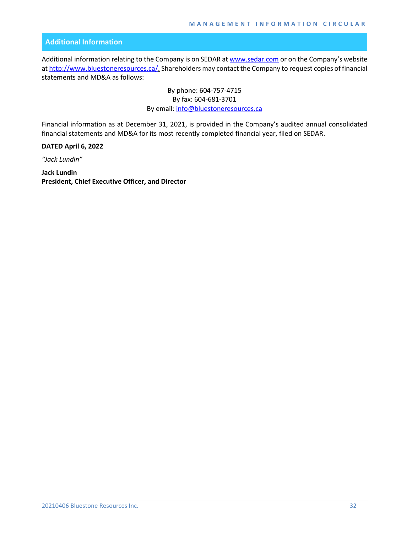# **Additional Information**

Additional information relating to the Company is on SEDAR a[t www.sedar.com](http://www.sedar.com/) or on the Company's website a[t http://www.bluestoneresources.ca/.](http://www.bluestoneresources.ca/) Shareholders may contact the Company to request copies of financial statements and MD&A as follows:

> By phone: 604-757-4715 By fax: 604-681-3701 By email: [info@bluestoneresources.ca](mailto:info@bluestoneresources.ca)

Financial information as at December 31, 2021, is provided in the Company's audited annual consolidated financial statements and MD&A for its most recently completed financial year, filed on SEDAR.

**DATED April 6, 2022**

*"Jack Lundin"*

**Jack Lundin President, Chief Executive Officer, and Director**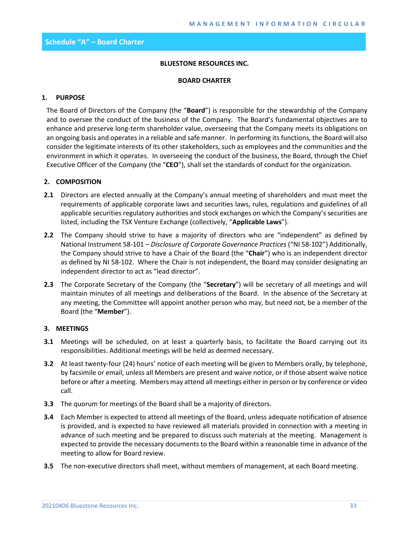## **BLUESTONE RESOURCES INC.**

#### **BOARD CHARTER**

# **1. PURPOSE**

The Board of Directors of the Company (the "**Board**") is responsible for the stewardship of the Company and to oversee the conduct of the business of the Company. The Board's fundamental objectives are to enhance and preserve long-term shareholder value, overseeing that the Company meets its obligations on an ongoing basis and operates in a reliable and safe manner. In performing its functions, the Board will also consider the legitimate interests of its other stakeholders, such as employees and the communities and the environment in which it operates. In overseeing the conduct of the business, the Board, through the Chief Executive Officer of the Company (the "**CEO**"), shall set the standards of conduct for the organization.

# **2. COMPOSITION**

- **2.1** Directors are elected annually at the Company's annual meeting of shareholders and must meet the requirements of applicable corporate laws and securities laws, rules, regulations and guidelines of all applicable securities regulatory authorities and stock exchanges on which the Company's securities are listed, including the TSX Venture Exchange (collectively, "**Applicable Laws**").
- **2.2** The Company should strive to have a majority of directors who are "independent" as defined by National Instrument 58-101 – *Disclosure of Corporate Governance Practices* ("NI 58-102") Additionally, the Company should strive to have a Chair of the Board (the "**Chair**") who is an independent director as defined by NI 58-102. Where the Chair is not independent, the Board may consider designating an independent director to act as "lead director".
- **2.3** The Corporate Secretary of the Company (the "**Secretary**") will be secretary of all meetings and will maintain minutes of all meetings and deliberations of the Board. In the absence of the Secretary at any meeting, the Committee will appoint another person who may, but need not, be a member of the Board (the "**Member**").

# **3. MEETINGS**

- **3.1** Meetings will be scheduled, on at least a quarterly basis, to facilitate the Board carrying out its responsibilities. Additional meetings will be held as deemed necessary.
- **3.2** At least twenty-four (24) hours' notice of each meeting will be given to Members orally, by telephone, by facsimile or email, unless all Members are present and waive notice, or if those absent waive notice before or after a meeting. Members may attend all meetings either in person or by conference or video call.
- **3.3** The quorum for meetings of the Board shall be a majority of directors.
- **3.4** Each Member is expected to attend all meetings of the Board, unless adequate notification of absence is provided, and is expected to have reviewed all materials provided in connection with a meeting in advance of such meeting and be prepared to discuss such materials at the meeting. Management is expected to provide the necessary documents to the Board within a reasonable time in advance of the meeting to allow for Board review.
- **3.5** The non-executive directors shall meet, without members of management, at each Board meeting.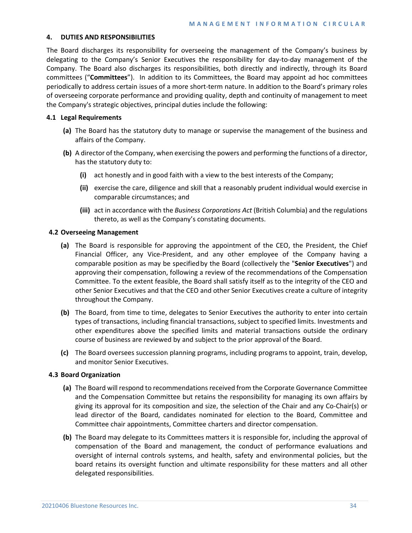## **4. DUTIES AND RESPONSIBILITIES**

The Board discharges its responsibility for overseeing the management of the Company's business by delegating to the Company's Senior Executives the responsibility for day-to-day management of the Company. The Board also discharges its responsibilities, both directly and indirectly, through its Board committees ("**Committees**"). In addition to its Committees, the Board may appoint ad hoc committees periodically to address certain issues of a more short-term nature. In addition to the Board's primary roles of overseeing corporate performance and providing quality, depth and continuity of management to meet the Company's strategic objectives, principal duties include the following:

# **4.1 Legal Requirements**

- **(a)** The Board has the statutory duty to manage or supervise the management of the business and affairs of the Company.
- **(b)** A director of the Company, when exercising the powers and performing the functions of a director, has the statutory duty to:
	- **(i)** act honestly and in good faith with a view to the best interests of the Company;
	- **(ii)** exercise the care, diligence and skill that a reasonably prudent individual would exercise in comparable circumstances; and
	- **(iii)** act in accordance with the *Business Corporations Act* (British Columbia) and the regulations thereto, as well as the Company's constating documents.

# **4.2 Overseeing Management**

- **(a)** The Board is responsible for approving the appointment of the CEO, the President, the Chief Financial Officer, any Vice-President, and any other employee of the Company having a comparable position as may be specifiedby the Board (collectively the "**Senior Executives**") and approving their compensation, following a review of the recommendations of the Compensation Committee. To the extent feasible, the Board shall satisfy itself as to the integrity of the CEO and other Senior Executives and that the CEO and other Senior Executives create a culture of integrity throughout the Company.
- **(b)** The Board, from time to time, delegates to Senior Executives the authority to enter into certain types of transactions, including financial transactions, subject to specified limits. Investments and other expenditures above the specified limits and material transactions outside the ordinary course of business are reviewed by and subject to the prior approval of the Board.
- **(c)** The Board oversees succession planning programs, including programs to appoint, train, develop, and monitor Senior Executives.

## **4.3 Board Organization**

- **(a)** The Board will respond to recommendations received from the Corporate Governance Committee and the Compensation Committee but retains the responsibility for managing its own affairs by giving its approval for its composition and size, the selection of the Chair and any Co-Chair(s) or lead director of the Board, candidates nominated for election to the Board, Committee and Committee chair appointments, Committee charters and director compensation.
- **(b)** The Board may delegate to its Committees matters it is responsible for, including the approval of compensation of the Board and management, the conduct of performance evaluations and oversight of internal controls systems, and health, safety and environmental policies, but the board retains its oversight function and ultimate responsibility for these matters and all other delegated responsibilities.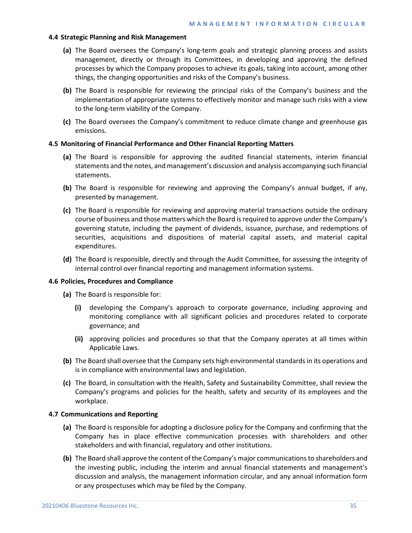## **4.4 Strategic Planning and Risk Management**

- **(a)** The Board oversees the Company's long-term goals and strategic planning process and assists management, directly or through its Committees, in developing and approving the defined processes by which the Company proposes to achieve its goals, taking into account, among other things, the changing opportunities and risks of the Company's business.
- **(b)** The Board is responsible for reviewing the principal risks of the Company's business and the implementation of appropriate systems to effectively monitor and manage such risks with a view to the long-term viability of the Company.
- **(c)** The Board oversees the Company's commitment to reduce climate change and greenhouse gas emissions.

## **4.5 Monitoring of Financial Performance and Other Financial Reporting Matters**

- **(a)** The Board is responsible for approving the audited financial statements, interim financial statements and the notes, and management's discussion and analysis accompanying such financial statements.
- **(b)** The Board is responsible for reviewing and approving the Company's annual budget, if any, presented by management.
- **(c)** The Board is responsible for reviewing and approving material transactions outside the ordinary course of business and those matters which the Board is required to approve under the Company's governing statute, including the payment of dividends, issuance, purchase, and redemptions of securities, acquisitions and dispositions of material capital assets, and material capital expenditures.
- **(d)** The Board is responsible, directly and through the Audit Committee, for assessing the integrity of internal control over financial reporting and management information systems.

## **4.6 Policies, Procedures and Compliance**

- **(a)** The Board is responsible for:
	- **(i)** developing the Company's approach to corporate governance, including approving and monitoring compliance with all significant policies and procedures related to corporate governance; and
	- **(ii)** approving policies and procedures so that that the Company operates at all times within Applicable Laws.
- **(b)** The Board shall oversee that the Company sets high environmental standards in its operations and is in compliance with environmental laws and legislation.
- **(c)** The Board, in consultation with the Health, Safety and Sustainability Committee, shall review the Company's programs and policies for the health, safety and security of its employees and the workplace.

## **4.7 Communications and Reporting**

- **(a)** The Board is responsible for adopting a disclosure policy for the Company and confirming that the Company has in place effective communication processes with shareholders and other stakeholders and with financial, regulatory and other institutions.
- **(b)** The Board shall approve the content of the Company's major communications to shareholders and the investing public, including the interim and annual financial statements and management's discussion and analysis, the management information circular, and any annual information form or any prospectuses which may be filed by the Company.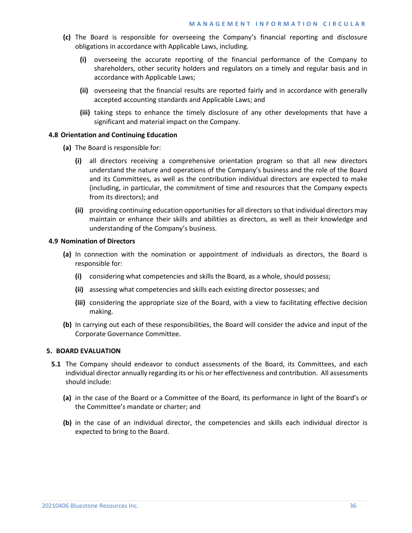- **(c)** The Board is responsible for overseeing the Company's financial reporting and disclosure obligations in accordance with Applicable Laws, including.
	- **(i)** overseeing the accurate reporting of the financial performance of the Company to shareholders, other security holders and regulators on a timely and regular basis and in accordance with Applicable Laws;
	- **(ii)** overseeing that the financial results are reported fairly and in accordance with generally accepted accounting standards and Applicable Laws; and
	- **(iii)** taking steps to enhance the timely disclosure of any other developments that have a significant and material impact on the Company.

## **4.8 Orientation and Continuing Education**

- **(a)** The Board is responsible for:
	- **(i)** all directors receiving a comprehensive orientation program so that all new directors understand the nature and operations of the Company's business and the role of the Board and its Committees, as well as the contribution individual directors are expected to make (including, in particular, the commitment of time and resources that the Company expects from its directors); and
	- **(ii)** providing continuing education opportunities for all directors so that individual directors may maintain or enhance their skills and abilities as directors, as well as their knowledge and understanding of the Company's business.

#### **4.9 Nomination of Directors**

- **(a)** In connection with the nomination or appointment of individuals as directors, the Board is responsible for:
	- **(i)** considering what competencies and skills the Board, as a whole, should possess;
	- **(ii)** assessing what competencies and skills each existing director possesses; and
	- **(iii)** considering the appropriate size of the Board, with a view to facilitating effective decision making.
- **(b)** In carrying out each of these responsibilities, the Board will consider the advice and input of the Corporate Governance Committee.

#### **5. BOARD EVALUATION**

- **5.1** The Company should endeavor to conduct assessments of the Board, its Committees, and each individual director annually regarding its or his or her effectiveness and contribution. All assessments should include:
	- **(a)** in the case of the Board or a Committee of the Board, its performance in light of the Board's or the Committee's mandate or charter; and
	- **(b)** in the case of an individual director, the competencies and skills each individual director is expected to bring to the Board.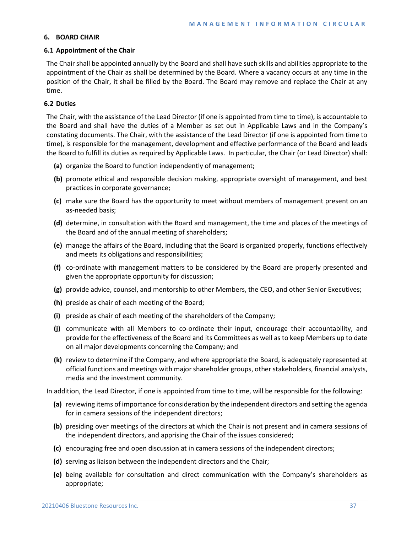# **6. BOARD CHAIR**

# **6.1 Appointment of the Chair**

The Chair shall be appointed annually by the Board and shall have such skills and abilities appropriate to the appointment of the Chair as shall be determined by the Board. Where a vacancy occurs at any time in the position of the Chair, it shall be filled by the Board. The Board may remove and replace the Chair at any time.

# **6.2 Duties**

The Chair, with the assistance of the Lead Director (if one is appointed from time to time), is accountable to the Board and shall have the duties of a Member as set out in Applicable Laws and in the Company's constating documents. The Chair, with the assistance of the Lead Director (if one is appointed from time to time), is responsible for the management, development and effective performance of the Board and leads the Board to fulfill its duties as required by Applicable Laws. In particular, the Chair (or Lead Director) shall:

- **(a)** organize the Board to function independently of management;
- **(b)** promote ethical and responsible decision making, appropriate oversight of management, and best practices in corporate governance;
- **(c)** make sure the Board has the opportunity to meet without members of management present on an as-needed basis;
- **(d)** determine, in consultation with the Board and management, the time and places of the meetings of the Board and of the annual meeting of shareholders;
- **(e)** manage the affairs of the Board, including that the Board is organized properly, functions effectively and meets its obligations and responsibilities;
- **(f)** co-ordinate with management matters to be considered by the Board are properly presented and given the appropriate opportunity for discussion;
- **(g)** provide advice, counsel, and mentorship to other Members, the CEO, and other Senior Executives;
- **(h)** preside as chair of each meeting of the Board;
- **(i)** preside as chair of each meeting of the shareholders of the Company;
- **(j)** communicate with all Members to co-ordinate their input, encourage their accountability, and provide for the effectiveness of the Board and its Committees as well as to keep Members up to date on all major developments concerning the Company; and
- **(k)** review to determine if the Company, and where appropriate the Board, is adequately represented at official functions and meetings with major shareholder groups, other stakeholders, financial analysts, media and the investment community.

In addition, the Lead Director, if one is appointed from time to time, will be responsible for the following:

- **(a)** reviewing items of importance for consideration by the independent directors and setting the agenda for in camera sessions of the independent directors;
- **(b)** presiding over meetings of the directors at which the Chair is not present and in camera sessions of the independent directors, and apprising the Chair of the issues considered;
- **(c)** encouraging free and open discussion at in camera sessions of the independent directors;
- **(d)** serving as liaison between the independent directors and the Chair;
- **(e)** being available for consultation and direct communication with the Company's shareholders as appropriate;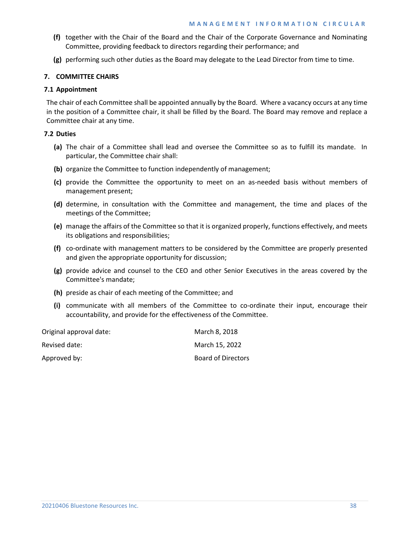- **(f)** together with the Chair of the Board and the Chair of the Corporate Governance and Nominating Committee, providing feedback to directors regarding their performance; and
- **(g)** performing such other duties as the Board may delegate to the Lead Director from time to time.

# **7. COMMITTEE CHAIRS**

# **7.1 Appointment**

The chair of each Committee shall be appointed annually by the Board. Where a vacancy occurs at any time in the position of a Committee chair, it shall be filled by the Board. The Board may remove and replace a Committee chair at any time.

# **7.2 Duties**

- **(a)** The chair of a Committee shall lead and oversee the Committee so as to fulfill its mandate. In particular, the Committee chair shall:
- **(b)** organize the Committee to function independently of management;
- **(c)** provide the Committee the opportunity to meet on an as-needed basis without members of management present;
- **(d)** determine, in consultation with the Committee and management, the time and places of the meetings of the Committee;
- **(e)** manage the affairs of the Committee so that it is organized properly, functions effectively, and meets its obligations and responsibilities;
- **(f)** co-ordinate with management matters to be considered by the Committee are properly presented and given the appropriate opportunity for discussion;
- **(g)** provide advice and counsel to the CEO and other Senior Executives in the areas covered by the Committee's mandate;
- **(h)** preside as chair of each meeting of the Committee; and
- **(i)** communicate with all members of the Committee to co-ordinate their input, encourage their accountability, and provide for the effectiveness of the Committee.

| Original approval date: | March 8, 2018             |
|-------------------------|---------------------------|
| Revised date:           | March 15, 2022            |
| Approved by:            | <b>Board of Directors</b> |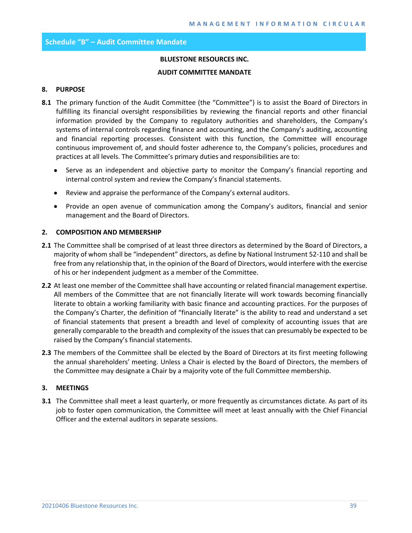## **Schedule "B" – Audit Committee Mandate**

## **BLUESTONE RESOURCES INC.**

#### **AUDIT COMMITTEE MANDATE**

## **8. PURPOSE**

- **8.1** The primary function of the Audit Committee (the "Committee") is to assist the Board of Directors in fulfilling its financial oversight responsibilities by reviewing the financial reports and other financial information provided by the Company to regulatory authorities and shareholders, the Company's systems of internal controls regarding finance and accounting, and the Company's auditing, accounting and financial reporting processes. Consistent with this function, the Committee will encourage continuous improvement of, and should foster adherence to, the Company's policies, procedures and practices at all levels. The Committee's primary duties and responsibilities are to:
	- Serve as an independent and objective party to monitor the Company's financial reporting and internal control system and review the Company's financial statements.
	- Review and appraise the performance of the Company's external auditors.
	- Provide an open avenue of communication among the Company's auditors, financial and senior management and the Board of Directors.

#### **2. COMPOSITION AND MEMBERSHIP**

- **2.1** The Committee shall be comprised of at least three directors as determined by the Board of Directors, a majority of whom shall be "independent" directors, as define by National Instrument 52-110 and shall be free from any relationship that, in the opinion of the Board of Directors, would interfere with the exercise of his or her independent judgment as a member of the Committee.
- **2.2** At least one member of the Committee shall have accounting or related financial management expertise. All members of the Committee that are not financially literate will work towards becoming financially literate to obtain a working familiarity with basic finance and accounting practices. For the purposes of the Company's Charter, the definition of "financially literate" is the ability to read and understand a set of financial statements that present a breadth and level of complexity of accounting issues that are generally comparable to the breadth and complexity of the issues that can presumably be expected to be raised by the Company's financial statements.
- **2.3** The members of the Committee shall be elected by the Board of Directors at its first meeting following the annual shareholders' meeting. Unless a Chair is elected by the Board of Directors, the members of the Committee may designate a Chair by a majority vote of the full Committee membership.

## **3. MEETINGS**

**3.1** The Committee shall meet a least quarterly, or more frequently as circumstances dictate. As part of its job to foster open communication, the Committee will meet at least annually with the Chief Financial Officer and the external auditors in separate sessions.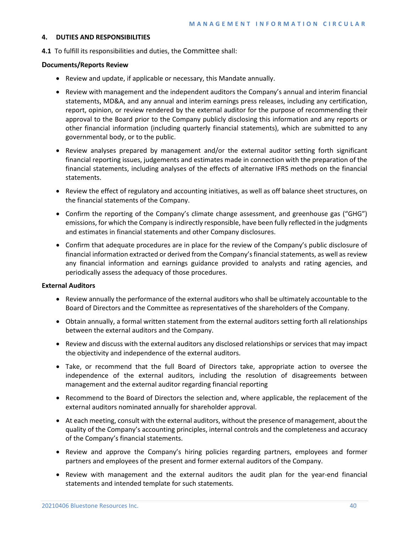#### **4. DUTIES AND RESPONSIBILITIES**

**4.1** To fulfill its responsibilities and duties, the Committee shall:

## **Documents/Reports Review**

- Review and update, if applicable or necessary, this Mandate annually.
- Review with management and the independent auditors the Company's annual and interim financial statements, MD&A, and any annual and interim earnings press releases, including any certification, report, opinion, or review rendered by the external auditor for the purpose of recommending their approval to the Board prior to the Company publicly disclosing this information and any reports or other financial information (including quarterly financial statements), which are submitted to any governmental body, or to the public.
- Review analyses prepared by management and/or the external auditor setting forth significant financial reporting issues, judgements and estimates made in connection with the preparation of the financial statements, including analyses of the effects of alternative IFRS methods on the financial statements.
- Review the effect of regulatory and accounting initiatives, as well as off balance sheet structures, on the financial statements of the Company.
- Confirm the reporting of the Company's climate change assessment, and greenhouse gas ("GHG") emissions, for which the Company is indirectly responsible, have been fully reflected in the judgments and estimates in financial statements and other Company disclosures.
- Confirm that adequate procedures are in place for the review of the Company's public disclosure of financial information extracted or derived from the Company's financial statements, as well as review any financial information and earnings guidance provided to analysts and rating agencies, and periodically assess the adequacy of those procedures.

## **External Auditors**

- Review annually the performance of the external auditors who shall be ultimately accountable to the Board of Directors and the Committee as representatives of the shareholders of the Company.
- Obtain annually, a formal written statement from the external auditors setting forth all relationships between the external auditors and the Company.
- Review and discuss with the external auditors any disclosed relationships or services that may impact the objectivity and independence of the external auditors.
- Take, or recommend that the full Board of Directors take, appropriate action to oversee the independence of the external auditors, including the resolution of disagreements between management and the external auditor regarding financial reporting
- Recommend to the Board of Directors the selection and, where applicable, the replacement of the external auditors nominated annually for shareholder approval.
- At each meeting, consult with the external auditors, without the presence of management, about the quality of the Company's accounting principles, internal controls and the completeness and accuracy of the Company's financial statements.
- Review and approve the Company's hiring policies regarding partners, employees and former partners and employees of the present and former external auditors of the Company.
- Review with management and the external auditors the audit plan for the year-end financial statements and intended template for such statements.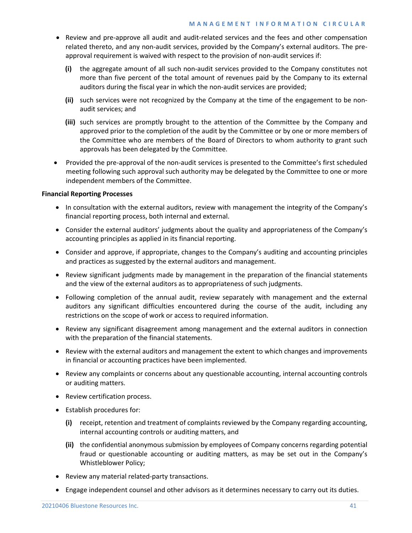- Review and pre-approve all audit and audit-related services and the fees and other compensation related thereto, and any non-audit services, provided by the Company's external auditors. The preapproval requirement is waived with respect to the provision of non-audit services if:
	- **(i)** the aggregate amount of all such non-audit services provided to the Company constitutes not more than five percent of the total amount of revenues paid by the Company to its external auditors during the fiscal year in which the non-audit services are provided;
	- **(ii)** such services were not recognized by the Company at the time of the engagement to be nonaudit services; and
	- **(iii)** such services are promptly brought to the attention of the Committee by the Company and approved prior to the completion of the audit by the Committee or by one or more members of the Committee who are members of the Board of Directors to whom authority to grant such approvals has been delegated by the Committee.
- Provided the pre-approval of the non-audit services is presented to the Committee's first scheduled meeting following such approval such authority may be delegated by the Committee to one or more independent members of the Committee.

# **Financial Reporting Processes**

- In consultation with the external auditors, review with management the integrity of the Company's financial reporting process, both internal and external.
- Consider the external auditors' judgments about the quality and appropriateness of the Company's accounting principles as applied in its financial reporting.
- Consider and approve, if appropriate, changes to the Company's auditing and accounting principles and practices as suggested by the external auditors and management.
- Review significant judgments made by management in the preparation of the financial statements and the view of the external auditors as to appropriateness of such judgments.
- Following completion of the annual audit, review separately with management and the external auditors any significant difficulties encountered during the course of the audit, including any restrictions on the scope of work or access to required information.
- Review any significant disagreement among management and the external auditors in connection with the preparation of the financial statements.
- Review with the external auditors and management the extent to which changes and improvements in financial or accounting practices have been implemented.
- Review any complaints or concerns about any questionable accounting, internal accounting controls or auditing matters.
- Review certification process.
- Establish procedures for:
	- **(i)** receipt, retention and treatment of complaints reviewed by the Company regarding accounting, internal accounting controls or auditing matters, and
	- **(ii)** the confidential anonymous submission by employees of Company concerns regarding potential fraud or questionable accounting or auditing matters, as may be set out in the Company's Whistleblower Policy;
- Review any material related-party transactions.
- Engage independent counsel and other advisors as it determines necessary to carry out its duties.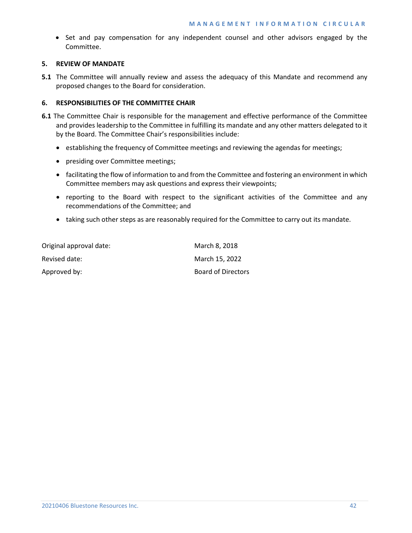• Set and pay compensation for any independent counsel and other advisors engaged by the Committee.

## **5. REVIEW OF MANDATE**

**5.1** The Committee will annually review and assess the adequacy of this Mandate and recommend any proposed changes to the Board for consideration.

# **6. RESPONSIBILITIES OF THE COMMITTEE CHAIR**

- **6.1** The Committee Chair is responsible for the management and effective performance of the Committee and provides leadership to the Committee in fulfilling its mandate and any other matters delegated to it by the Board. The Committee Chair's responsibilities include:
	- establishing the frequency of Committee meetings and reviewing the agendas for meetings;
	- presiding over Committee meetings;
	- facilitating the flow of information to and from the Committee and fostering an environment in which Committee members may ask questions and express their viewpoints;
	- reporting to the Board with respect to the significant activities of the Committee and any recommendations of the Committee; and
	- taking such other steps as are reasonably required for the Committee to carry out its mandate.

| Original approval date: | March 8, 2018      |
|-------------------------|--------------------|
| Revised date:           | March 15, 2022     |
| Approved by:            | Board of Directors |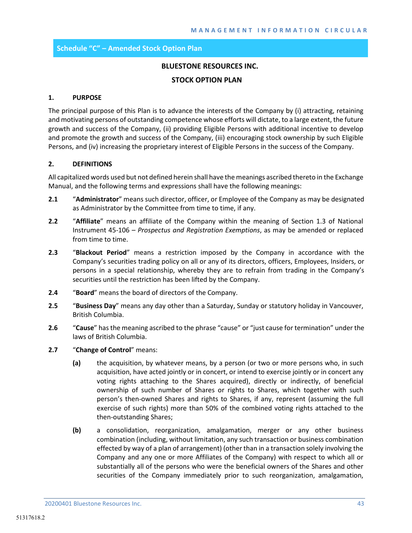# **Schedule "C" – Amended Stock Option Plan**

# **BLUESTONE RESOURCES INC.**

#### **STOCK OPTION PLAN**

#### **1. PURPOSE**

The principal purpose of this Plan is to advance the interests of the Company by (i) attracting, retaining and motivating persons of outstanding competence whose efforts will dictate, to a large extent, the future growth and success of the Company, (ii) providing Eligible Persons with additional incentive to develop and promote the growth and success of the Company, (iii) encouraging stock ownership by such Eligible Persons, and (iv) increasing the proprietary interest of Eligible Persons in the success of the Company.

## **2. DEFINITIONS**

All capitalized words used but not defined herein shall have the meanings ascribed thereto in the Exchange Manual, and the following terms and expressions shall have the following meanings:

- **2.1** "**Administrator**" means such director, officer, or Employee of the Company as may be designated as Administrator by the Committee from time to time, if any.
- **2.2** "**Affiliate**" means an affiliate of the Company within the meaning of Section 1.3 of National Instrument 45-106 – *Prospectus and Registration Exemptions*, as may be amended or replaced from time to time.
- **2.3** "**Blackout Period**" means a restriction imposed by the Company in accordance with the Company's securities trading policy on all or any of its directors, officers, Employees, Insiders, or persons in a special relationship, whereby they are to refrain from trading in the Company's securities until the restriction has been lifted by the Company.
- **2.4** "**Board**" means the board of directors of the Company.
- **2.5** "**Business Day**" means any day other than a Saturday, Sunday or statutory holiday in Vancouver, British Columbia.
- **2.6** "**Cause**" has the meaning ascribed to the phrase "cause" or "just cause for termination" under the laws of British Columbia.
- **2.7** "**Change of Control**" means:
	- **(a)** the acquisition, by whatever means, by a person (or two or more persons who, in such acquisition, have acted jointly or in concert, or intend to exercise jointly or in concert any voting rights attaching to the Shares acquired), directly or indirectly, of beneficial ownership of such number of Shares or rights to Shares, which together with such person's then-owned Shares and rights to Shares, if any, represent (assuming the full exercise of such rights) more than 50% of the combined voting rights attached to the then-outstanding Shares;
	- **(b)** a consolidation, reorganization, amalgamation, merger or any other business combination (including, without limitation, any such transaction or business combination effected by way of a plan of arrangement) (other than in a transaction solely involving the Company and any one or more Affiliates of the Company) with respect to which all or substantially all of the persons who were the beneficial owners of the Shares and other securities of the Company immediately prior to such reorganization, amalgamation,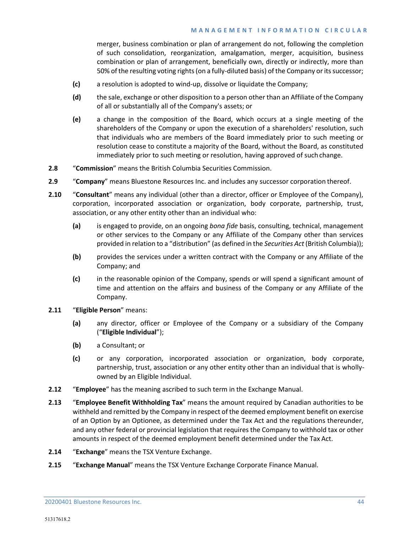merger, business combination or plan of arrangement do not, following the completion of such consolidation, reorganization, amalgamation, merger, acquisition, business combination or plan of arrangement, beneficially own, directly or indirectly, more than 50% of the resulting voting rights (on a fully-diluted basis) of the Company or its successor;

- **(c)** a resolution is adopted to wind-up, dissolve or liquidate the Company;
- **(d)** the sale, exchange or other disposition to a person other than an Affiliate of the Company of all or substantially all of the Company's assets; or
- **(e)** a change in the composition of the Board, which occurs at a single meeting of the shareholders of the Company or upon the execution of a shareholders' resolution, such that individuals who are members of the Board immediately prior to such meeting or resolution cease to constitute a majority of the Board, without the Board, as constituted immediately prior to such meeting or resolution, having approved of such change.
- **2.8** "**Commission**" means the British Columbia Securities Commission.
- **2.9** "**Company**" means Bluestone Resources Inc. and includes any successor corporation thereof.
- **2.10** "**Consultant**" means any individual (other than a director, officer or Employee of the Company), corporation, incorporated association or organization, body corporate, partnership, trust, association, or any other entity other than an individual who:
	- **(a)** is engaged to provide, on an ongoing *bona fide* basis, consulting, technical, management or other services to the Company or any Affiliate of the Company other than services provided in relation to a "distribution" (as defined in the *Securities Act* (British Columbia));
	- **(b)** provides the services under a written contract with the Company or any Affiliate of the Company; and
	- **(c)** in the reasonable opinion of the Company, spends or will spend a significant amount of time and attention on the affairs and business of the Company or any Affiliate of the Company.

# **2.11** "**Eligible Person**" means:

- **(a)** any director, officer or Employee of the Company or a subsidiary of the Company ("**Eligible Individual**");
- **(b)** a Consultant; or
- **(c)** or any corporation, incorporated association or organization, body corporate, partnership, trust, association or any other entity other than an individual that is whollyowned by an Eligible Individual.
- **2.12** "**Employee**" has the meaning ascribed to such term in the Exchange Manual.
- **2.13** "**Employee Benefit Withholding Tax**" means the amount required by Canadian authorities to be withheld and remitted by the Company in respect of the deemed employment benefit on exercise of an Option by an Optionee, as determined under the Tax Act and the regulations thereunder, and any other federal or provincial legislation that requires the Company to withhold tax or other amounts in respect of the deemed employment benefit determined under the Tax Act.
- **2.14** "**Exchange**" means the TSX Venture Exchange.
- **2.15** "**Exchange Manual**" means the TSX Venture Exchange Corporate Finance Manual.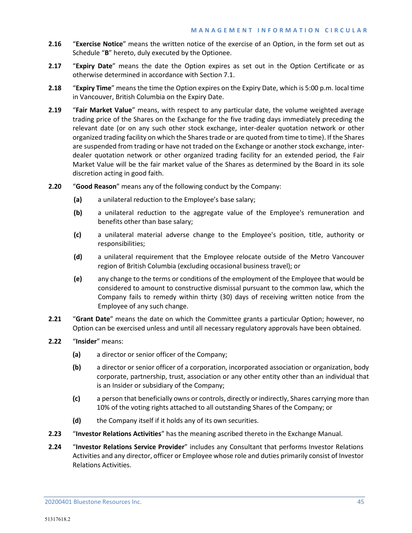- **2.16** "**Exercise Notice**" means the written notice of the exercise of an Option, in the form set out as Schedule "**B**" hereto, duly executed by the Optionee.
- **2.17** "**Expiry Date**" means the date the Option expires as set out in the Option Certificate or as otherwise determined in accordance with Section 7.1.
- **2.18** "**Expiry Time**" means the time the Option expires on the Expiry Date, which is 5:00 p.m. local time in Vancouver, British Columbia on the Expiry Date.
- **2.19** "**Fair Market Value**" means, with respect to any particular date, the volume weighted average trading price of the Shares on the Exchange for the five trading days immediately preceding the relevant date (or on any such other stock exchange, inter-dealer quotation network or other organized trading facility on which the Shares trade or are quoted from time to time). If the Shares are suspended from trading or have not traded on the Exchange or another stock exchange, interdealer quotation network or other organized trading facility for an extended period, the Fair Market Value will be the fair market value of the Shares as determined by the Board in its sole discretion acting in good faith.
- **2.20** "**Good Reason**" means any of the following conduct by the Company:
	- **(a)** a unilateral reduction to the Employee's base salary;
	- **(b)** a unilateral reduction to the aggregate value of the Employee's remuneration and benefits other than base salary;
	- **(c)** a unilateral material adverse change to the Employee's position, title, authority or responsibilities;
	- **(d)** a unilateral requirement that the Employee relocate outside of the Metro Vancouver region of British Columbia (excluding occasional business travel); or
	- **(e)** any change to the terms or conditions of the employment of the Employee that would be considered to amount to constructive dismissal pursuant to the common law, which the Company fails to remedy within thirty (30) days of receiving written notice from the Employee of any such change.
- **2.21** "**Grant Date**" means the date on which the Committee grants a particular Option; however, no Option can be exercised unless and until all necessary regulatory approvals have been obtained.
- **2.22** "**Insider**" means:
	- **(a)** a director or senior officer of the Company;
	- **(b)** a director or senior officer of a corporation, incorporated association or organization, body corporate, partnership, trust, association or any other entity other than an individual that is an Insider or subsidiary of the Company;
	- **(c)** a person that beneficially owns or controls, directly or indirectly, Shares carrying more than 10% of the voting rights attached to all outstanding Shares of the Company; or
	- **(d)** the Company itself if it holds any of its own securities.
- **2.23** "**Investor Relations Activities**" has the meaning ascribed thereto in the Exchange Manual.
- **2.24** "**Investor Relations Service Provider**" includes any Consultant that performs Investor Relations Activities and any director, officer or Employee whose role and duties primarily consist of Investor Relations Activities.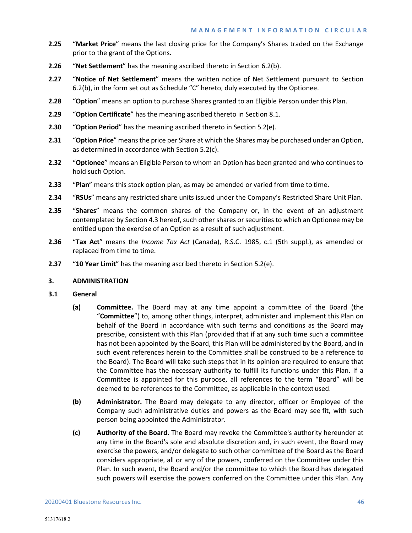- **2.25** "**Market Price**" means the last closing price for the Company's Shares traded on the Exchange prior to the grant of the Options.
- **2.26** "**Net Settlement**" has the meaning ascribed thereto in Section 6.2(b).
- **2.27** "**Notice of Net Settlement**" means the written notice of Net Settlement pursuant to Section 6.2(b), in the form set out as Schedule "C" hereto, duly executed by the Optionee.
- **2.28** "**Option**" means an option to purchase Shares granted to an Eligible Person under this Plan.
- **2.29** "**Option Certificate**" has the meaning ascribed thereto in Section [8.1.](#page-56-0)
- **2.30** "**Option Period**" has the meaning ascribed thereto in Section [5.2\(e\).](#page-52-0)
- **2.31** "**Option Price**" means the price per Share at which the Shares may be purchased under an Option, as determined in accordance with Section [5.2\(c\).](#page-52-1)
- **2.32** "**Optionee**" means an Eligible Person to whom an Option has been granted and who continues to hold such Option.
- **2.33** "**Plan**" means this stock option plan, as may be amended or varied from time to time.
- **2.34** "**RSUs**" means any restricted share units issued under the Company's Restricted Share Unit Plan.
- **2.35** "**Shares**" means the common shares of the Company or, in the event of an adjustment contemplated by Section 4.3 hereof, such other shares or securities to which an Optionee may be entitled upon the exercise of an Option as a result of such adjustment.
- **2.36** "**Tax Act**" means the *Income Tax Act* (Canada), R.S.C. 1985, c.1 (5th suppl.), as amended or replaced from time to time.
- **2.37** "**10 Year Limit**" has the meaning ascribed thereto in Section 5.2(e).

#### **3. ADMINISTRATION**

- **3.1 General**
	- **(a) Committee.** The Board may at any time appoint a committee of the Board (the "**Committee**") to, among other things, interpret, administer and implement this Plan on behalf of the Board in accordance with such terms and conditions as the Board may prescribe, consistent with this Plan (provided that if at any such time such a committee has not been appointed by the Board, this Plan will be administered by the Board, and in such event references herein to the Committee shall be construed to be a reference to the Board). The Board will take such steps that in its opinion are required to ensure that the Committee has the necessary authority to fulfill its functions under this Plan. If a Committee is appointed for this purpose, all references to the term "Board" will be deemed to be references to the Committee, as applicable in the context used.
	- **(b) Administrator.** The Board may delegate to any director, officer or Employee of the Company such administrative duties and powers as the Board may see fit, with such person being appointed the Administrator.
	- **(c) Authority of the Board.** The Board may revoke the Committee's authority hereunder at any time in the Board's sole and absolute discretion and, in such event, the Board may exercise the powers, and/or delegate to such other committee of the Board as the Board considers appropriate, all or any of the powers, conferred on the Committee under this Plan. In such event, the Board and/or the committee to which the Board has delegated such powers will exercise the powers conferred on the Committee under this Plan. Any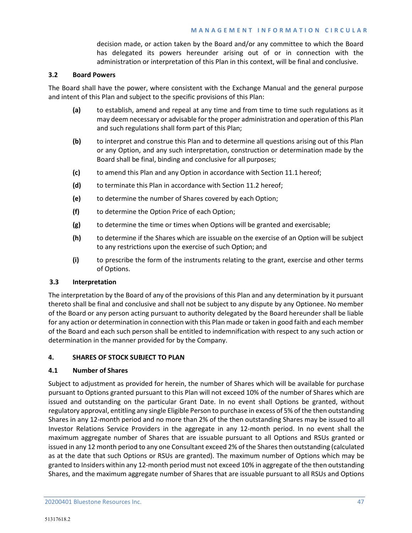decision made, or action taken by the Board and/or any committee to which the Board has delegated its powers hereunder arising out of or in connection with the administration or interpretation of this Plan in this context, will be final and conclusive.

# **3.2 Board Powers**

The Board shall have the power, where consistent with the Exchange Manual and the general purpose and intent of this Plan and subject to the specific provisions of this Plan:

- **(a)** to establish, amend and repeal at any time and from time to time such regulations as it may deem necessary or advisable for the proper administration and operation of this Plan and such regulations shall form part of this Plan;
- **(b)** to interpret and construe this Plan and to determine all questions arising out of this Plan or any Option, and any such interpretation, construction or determination made by the Board shall be final, binding and conclusive for all purposes;
- **(c)** to amend this Plan and any Option in accordance with Section 11.1 hereof;
- **(d)** to terminate this Plan in accordance with Section 11.2 hereof;
- **(e)** to determine the number of Shares covered by each Option;
- **(f)** to determine the Option Price of each Option;
- **(g)** to determine the time or times when Options will be granted and exercisable;
- **(h)** to determine if the Shares which are issuable on the exercise of an Option will be subject to any restrictions upon the exercise of such Option; and
- **(i)** to prescribe the form of the instruments relating to the grant, exercise and other terms of Options.

# **3.3 Interpretation**

The interpretation by the Board of any of the provisions of this Plan and any determination by it pursuant thereto shall be final and conclusive and shall not be subject to any dispute by any Optionee. No member of the Board or any person acting pursuant to authority delegated by the Board hereunder shall be liable for any action or determination in connection with this Plan made or taken in good faith and each member of the Board and each such person shall be entitled to indemnification with respect to any such action or determination in the manner provided for by the Company.

# **4. SHARES OF STOCK SUBJECT TO PLAN**

# **4.1 Number of Shares**

Subject to adjustment as provided for herein, the number of Shares which will be available for purchase pursuant to Options granted pursuant to this Plan will not exceed 10% of the number of Shares which are issued and outstanding on the particular Grant Date. In no event shall Options be granted, without regulatory approval, entitling any single Eligible Person to purchase in excess of 5% of the then outstanding Shares in any 12-month period and no more than 2% of the then outstanding Shares may be issued to all Investor Relations Service Providers in the aggregate in any 12-month period. In no event shall the maximum aggregate number of Shares that are issuable pursuant to all Options and RSUs granted or issued in any 12 month period to any one Consultant exceed 2% of the Shares then outstanding (calculated as at the date that such Options or RSUs are granted). The maximum number of Options which may be granted to Insiders within any 12-month period must not exceed 10% in aggregate of the then outstanding Shares, and the maximum aggregate number of Shares that are issuable pursuant to all RSUs and Options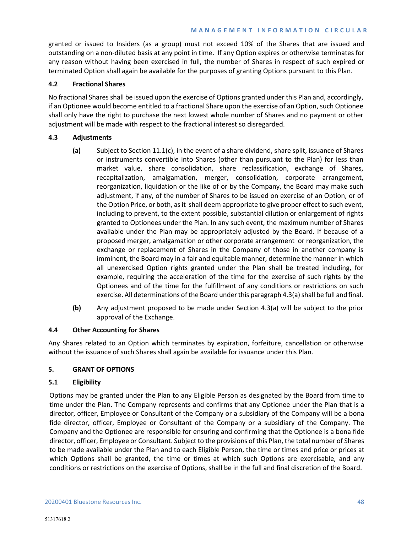granted or issued to Insiders (as a group) must not exceed 10% of the Shares that are issued and outstanding on a non-diluted basis at any point in time. If any Option expires or otherwise terminates for any reason without having been exercised in full, the number of Shares in respect of such expired or terminated Option shall again be available for the purposes of granting Options pursuant to this Plan.

# **4.2 Fractional Shares**

No fractional Shares shall be issued upon the exercise of Options granted under this Plan and, accordingly, if an Optionee would become entitled to a fractional Share upon the exercise of an Option, such Optionee shall only have the right to purchase the next lowest whole number of Shares and no payment or other adjustment will be made with respect to the fractional interest so disregarded.

# **4.3 Adjustments**

- **(a)** Subject to Sectio[n 11.1\(c\),](#page-58-0) in the event of a share dividend, share split, issuance of Shares or instruments convertible into Shares (other than pursuant to the Plan) for less than market value, share consolidation, share reclassification, exchange of Shares, recapitalization, amalgamation, merger, consolidation, corporate arrangement, reorganization, liquidation or the like of or by the Company, the Board may make such adjustment, if any, of the number of Shares to be issued on exercise of an Option, or of the Option Price, or both, as it shall deem appropriate to give proper effect to such event, including to prevent, to the extent possible, substantial dilution or enlargement of rights granted to Optionees under the Plan. In any such event, the maximum number of Shares available under the Plan may be appropriately adjusted by the Board. If because of a proposed merger, amalgamation or other corporate arrangement or reorganization, the exchange or replacement of Shares in the Company of those in another company is imminent, the Board may in a fair and equitable manner, determine the manner in which all unexercised Option rights granted under the Plan shall be treated including, for example, requiring the acceleration of the time for the exercise of such rights by the Optionees and of the time for the fulfillment of any conditions or restrictions on such exercise. All determinations of the Board under this paragraph 4.3(a) shall be full and final.
- **(b)** Any adjustment proposed to be made under Section 4.3(a) will be subject to the prior approval of the Exchange.

# **4.4 Other Accounting for Shares**

Any Shares related to an Option which terminates by expiration, forfeiture, cancellation or otherwise without the issuance of such Shares shall again be available for issuance under this Plan.

# **5. GRANT OF OPTIONS**

# **5.1 Eligibility**

Options may be granted under the Plan to any Eligible Person as designated by the Board from time to time under the Plan. The Company represents and confirms that any Optionee under the Plan that is a director, officer, Employee or Consultant of the Company or a subsidiary of the Company will be a bona fide director, officer, Employee or Consultant of the Company or a subsidiary of the Company. The Company and the Optionee are responsible for ensuring and confirming that the Optionee is a bona fide director, officer, Employee or Consultant. Subject to the provisions of this Plan, the total number of Shares to be made available under the Plan and to each Eligible Person, the time or times and price or prices at which Options shall be granted, the time or times at which such Options are exercisable, and any conditions or restrictions on the exercise of Options, shall be in the full and final discretion of the Board.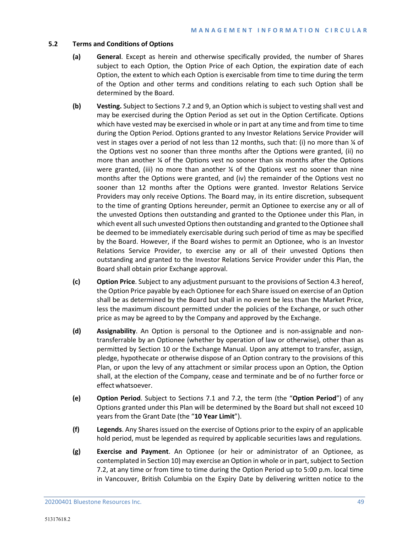# **5.2 Terms and Conditions of Options**

- **(a) General**. Except as herein and otherwise specifically provided, the number of Shares subject to each Option, the Option Price of each Option, the expiration date of each Option, the extent to which each Option is exercisable from time to time during the term of the Option and other terms and conditions relating to each such Option shall be determined by the Board.
- **(b) Vesting.** Subject to Sections 7.2 and 9, an Option which is subject to vesting shall vest and may be exercised during the Option Period as set out in the Option Certificate. Options which have vested may be exercised in whole or in part at any time and from time to time during the Option Period. Options granted to any Investor Relations Service Provider will vest in stages over a period of not less than 12 months, such that: (i) no more than ¼ of the Options vest no sooner than three months after the Options were granted, (ii) no more than another ¼ of the Options vest no sooner than six months after the Options were granted, (iii) no more than another  $\frac{1}{4}$  of the Options vest no sooner than nine months after the Options were granted, and (iv) the remainder of the Options vest no sooner than 12 months after the Options were granted. Investor Relations Service Providers may only receive Options. The Board may, in its entire discretion, subsequent to the time of granting Options hereunder, permit an Optionee to exercise any or all of the unvested Options then outstanding and granted to the Optionee under this Plan, in which event all such unvested Options then outstanding and granted to the Optionee shall be deemed to be immediately exercisable during such period of time as may be specified by the Board. However, if the Board wishes to permit an Optionee, who is an Investor Relations Service Provider, to exercise any or all of their unvested Options then outstanding and granted to the Investor Relations Service Provider under this Plan, the Board shall obtain prior Exchange approval.
- <span id="page-52-1"></span>**(c) Option Price**. Subject to any adjustment pursuant to the provisions of Section 4.3 hereof, the Option Price payable by each Optionee for each Share issued on exercise of an Option shall be as determined by the Board but shall in no event be less than the Market Price, less the maximum discount permitted under the policies of the Exchange, or such other price as may be agreed to by the Company and approved by the Exchange.
- **(d) Assignability**. An Option is personal to the Optionee and is non-assignable and nontransferrable by an Optionee (whether by operation of law or otherwise), other than as permitted by Section [10](#page-57-0) or the Exchange Manual. Upon any attempt to transfer, assign, pledge, hypothecate or otherwise dispose of an Option contrary to the provisions of this Plan, or upon the levy of any attachment or similar process upon an Option, the Option shall, at the election of the Company, cease and terminate and be of no further force or effectwhatsoever.
- <span id="page-52-0"></span>**(e) Option Period**. Subject to Sections 7.1 and 7.2, the term (the "**Option Period**") of any Options granted under this Plan will be determined by the Board but shall not exceed 10 years from the Grant Date (the "**10 Year Limit**").
- **(f) Legends**. Any Shares issued on the exercise of Options prior to the expiry of an applicable hold period, must be legended as required by applicable securities laws and regulations.
- **(g) Exercise and Payment**. An Optionee (or heir or administrator of an Optionee, as contemplated in Sectio[n 10\)](#page-57-0) may exercise an Option in whole or in part, subject to Section 7.2, at any time or from time to time during the Option Period up to 5:00 p.m. local time in Vancouver, British Columbia on the Expiry Date by delivering written notice to the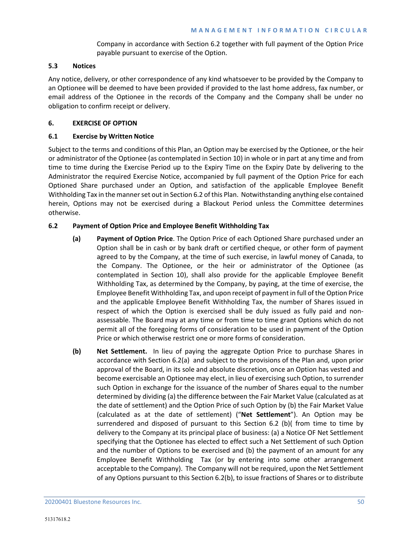Company in accordance with Section 6.2 together with full payment of the Option Price payable pursuant to exercise of the Option.

# **5.3 Notices**

Any notice, delivery, or other correspondence of any kind whatsoever to be provided by the Company to an Optionee will be deemed to have been provided if provided to the last home address, fax number, or email address of the Optionee in the records of the Company and the Company shall be under no obligation to confirm receipt or delivery.

# **6. EXERCISE OF OPTION**

# **6.1 Exercise by Written Notice**

Subject to the terms and conditions of this Plan, an Option may be exercised by the Optionee, or the heir or administrator of the Optionee (as contemplated in Sectio[n 10\)](#page-57-0) in whole or in part at any time and from time to time during the Exercise Period up to the Expiry Time on the Expiry Date by delivering to the Administrator the required Exercise Notice, accompanied by full payment of the Option Price for each Optioned Share purchased under an Option, and satisfaction of the applicable Employee Benefit Withholding Tax in the manner set out in Section 6.2 of this Plan. Notwithstanding anything else contained herein, Options may not be exercised during a Blackout Period unless the Committee determines otherwise.

# **6.2 Payment of Option Price and Employee Benefit Withholding Tax**

- **(a) Payment of Option Price**. The Option Price of each Optioned Share purchased under an Option shall be in cash or by bank draft or certified cheque, or other form of payment agreed to by the Company, at the time of such exercise, in lawful money of Canada, to the Company. The Optionee, or the heir or administrator of the Optionee (as contemplated in Section [10\)](#page-57-0), shall also provide for the applicable Employee Benefit Withholding Tax, as determined by the Company, by paying, at the time of exercise, the Employee Benefit Withholding Tax, and upon receipt of payment in full of the Option Price and the applicable Employee Benefit Withholding Tax, the number of Shares issued in respect of which the Option is exercised shall be duly issued as fully paid and nonassessable. The Board may at any time or from time to time grant Options which do not permit all of the foregoing forms of consideration to be used in payment of the Option Price or which otherwise restrict one or more forms of consideration.
- **(b) Net Settlement.** In lieu of paying the aggregate Option Price to purchase Shares in accordance with Section 6.2(a) and subject to the provisions of the Plan and, upon prior approval of the Board, in its sole and absolute discretion, once an Option has vested and become exercisable an Optionee may elect, in lieu of exercising such Option, to surrender such Option in exchange for the issuance of the number of Shares equal to the number determined by dividing (a) the difference between the Fair Market Value (calculated as at the date of settlement) and the Option Price of such Option by (b) the Fair Market Value (calculated as at the date of settlement) ("**Net Settlement**"). An Option may be surrendered and disposed of pursuant to this Section 6.2 (b)( from time to time by delivery to the Company at its principal place of business: (a) a Notice OF Net Settlement specifying that the Optionee has elected to effect such a Net Settlement of such Option and the number of Options to be exercised and (b) the payment of an amount for any Employee Benefit Withholding Tax (or by entering into some other arrangement acceptable to the Company). The Company will not be required, upon the Net Settlement of any Options pursuant to this Section 6.2(b), to issue fractions of Shares or to distribute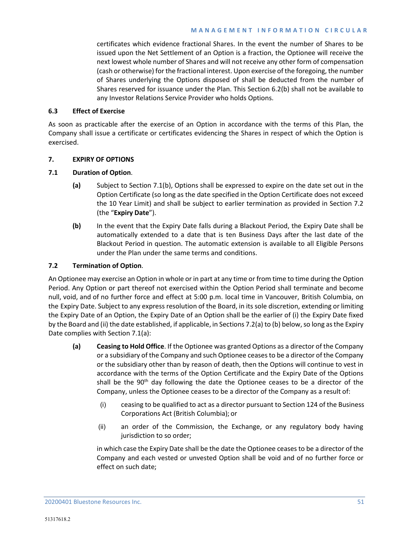certificates which evidence fractional Shares. In the event the number of Shares to be issued upon the Net Settlement of an Option is a fraction, the Optionee will receive the next lowest whole number of Shares and will not receive any other form of compensation (cash or otherwise) for the fractional interest. Upon exercise of the foregoing, the number of Shares underlying the Options disposed of shall be deducted from the number of Shares reserved for issuance under the Plan. This Section 6.2(b) shall not be available to any Investor Relations Service Provider who holds Options.

# **6.3 Effect of Exercise**

As soon as practicable after the exercise of an Option in accordance with the terms of this Plan, the Company shall issue a certificate or certificates evidencing the Shares in respect of which the Option is exercised.

# **7. EXPIRY OF OPTIONS**

# **7.1 Duration of Option**.

- **(a)** Subject to Section 7.1(b), Options shall be expressed to expire on the date set out in the Option Certificate (so long as the date specified in the Option Certificate does not exceed the 10 Year Limit) and shall be subject to earlier termination as provided in Section 7.2 (the "**Expiry Date**").
- **(b)** In the event that the Expiry Date falls during a Blackout Period, the Expiry Date shall be automatically extended to a date that is ten Business Days after the last date of the Blackout Period in question. The automatic extension is available to all Eligible Persons under the Plan under the same terms and conditions.

# **7.2 Termination of Option**.

An Optionee may exercise an Option in whole or in part at any time or from time to time during the Option Period. Any Option or part thereof not exercised within the Option Period shall terminate and become null, void, and of no further force and effect at 5:00 p.m. local time in Vancouver, British Columbia, on the Expiry Date. Subject to any express resolution of the Board, in its sole discretion, extending or limiting the Expiry Date of an Option, the Expiry Date of an Option shall be the earlier of (i) the Expiry Date fixed by the Board and (ii) the date established, if applicable, in Sections 7.2(a) to (b) below, so long as the Expiry Date complies with Section 7.1(a):

- **(a) Ceasing to Hold Office**. If the Optionee was granted Options as a director of the Company or a subsidiary of the Company and such Optionee ceases to be a director of the Company or the subsidiary other than by reason of death, then the Options will continue to vest in accordance with the terms of the Option Certificate and the Expiry Date of the Options shall be the  $90<sup>th</sup>$  day following the date the Optionee ceases to be a director of the Company, unless the Optionee ceases to be a director of the Company as a result of:
	- (i) ceasing to be qualified to act as a director pursuant to Section 124 of the Business Corporations Act (British Columbia); or
	- (ii) an order of the Commission, the Exchange, or any regulatory body having jurisdiction to so order;

in which case the Expiry Date shall be the date the Optionee ceases to be a director of the Company and each vested or unvested Option shall be void and of no further force or effect on such date;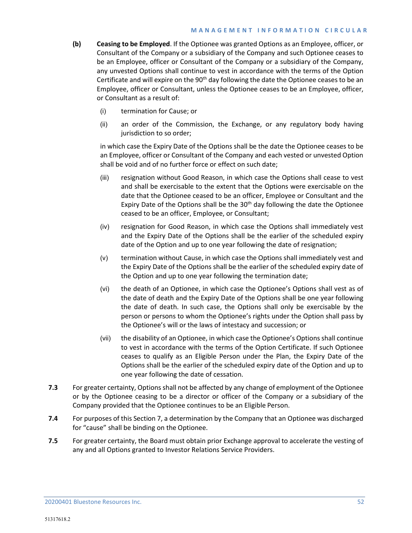- **(b) Ceasing to be Employed**. If the Optionee was granted Options as an Employee, officer, or Consultant of the Company or a subsidiary of the Company and such Optionee ceases to be an Employee, officer or Consultant of the Company or a subsidiary of the Company, any unvested Options shall continue to vest in accordance with the terms of the Option Certificate and will expire on the 90<sup>th</sup> day following the date the Optionee ceases to be an Employee, officer or Consultant, unless the Optionee ceases to be an Employee, officer, or Consultant as a result of:
	- (i) termination for Cause; or
	- (ii) an order of the Commission, the Exchange, or any regulatory body having jurisdiction to so order;

in which case the Expiry Date of the Options shall be the date the Optionee ceases to be an Employee, officer or Consultant of the Company and each vested or unvested Option shall be void and of no further force or effect on such date;

- (iii) resignation without Good Reason, in which case the Options shall cease to vest and shall be exercisable to the extent that the Options were exercisable on the date that the Optionee ceased to be an officer, Employee or Consultant and the Expiry Date of the Options shall be the  $30<sup>th</sup>$  day following the date the Optionee ceased to be an officer, Employee, or Consultant;
- (iv) resignation for Good Reason, in which case the Options shall immediately vest and the Expiry Date of the Options shall be the earlier of the scheduled expiry date of the Option and up to one year following the date of resignation;
- (v) termination without Cause, in which case the Options shall immediately vest and the Expiry Date of the Options shall be the earlier of the scheduled expiry date of the Option and up to one year following the termination date;
- <span id="page-55-0"></span>(vi) the death of an Optionee, in which case the Optionee's Options shall vest as of the date of death and the Expiry Date of the Options shall be one year following the date of death. In such case, the Options shall only be exercisable by the person or persons to whom the Optionee's rights under the Option shall pass by the Optionee's will or the laws of intestacy and succession; or
- (vii) the disability of an Optionee, in which case the Optionee's Options shall continue to vest in accordance with the terms of the Option Certificate. If such Optionee ceases to qualify as an Eligible Person under the Plan, the Expiry Date of the Options shall be the earlier of the scheduled expiry date of the Option and up to one year following the date of cessation.
- **7.3** For greater certainty, Options shall not be affected by any change of employment of the Optionee or by the Optionee ceasing to be a director or officer of the Company or a subsidiary of the Company provided that the Optionee continues to be an Eligible Person.
- **7.4** For purposes of this Section 7, a determination by the Company that an Optionee was discharged for "cause" shall be binding on the Optionee.
- **7.5** For greater certainty, the Board must obtain prior Exchange approval to accelerate the vesting of any and all Options granted to Investor Relations Service Providers.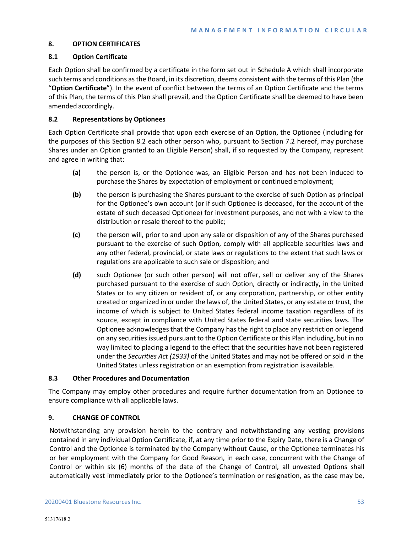# **8. OPTION CERTIFICATES**

# <span id="page-56-0"></span>**8.1 Option Certificate**

Each Option shall be confirmed by a certificate in the form set out in Schedule A which shall incorporate such terms and conditions as the Board, in its discretion, deems consistent with the terms of this Plan (the "**Option Certificate**"). In the event of conflict between the terms of an Option Certificate and the terms of this Plan, the terms of this Plan shall prevail, and the Option Certificate shall be deemed to have been amended accordingly.

# **8.2 Representations by Optionees**

Each Option Certificate shall provide that upon each exercise of an Option, the Optionee (including for the purposes of this Section 8.2 each other person who, pursuant to Section 7.2 hereof, may purchase Shares under an Option granted to an Eligible Person) shall, if so requested by the Company, represent and agree in writing that:

- **(a)** the person is, or the Optionee was, an Eligible Person and has not been induced to purchase the Shares by expectation of employment or continued employment;
- **(b)** the person is purchasing the Shares pursuant to the exercise of such Option as principal for the Optionee's own account (or if such Optionee is deceased, for the account of the estate of such deceased Optionee) for investment purposes, and not with a view to the distribution or resale thereof to the public;
- **(c)** the person will, prior to and upon any sale or disposition of any of the Shares purchased pursuant to the exercise of such Option, comply with all applicable securities laws and any other federal, provincial, or state laws or regulations to the extent that such laws or regulations are applicable to such sale or disposition; and
- **(d)** such Optionee (or such other person) will not offer, sell or deliver any of the Shares purchased pursuant to the exercise of such Option, directly or indirectly, in the United States or to any citizen or resident of, or any corporation, partnership, or other entity created or organized in or under the laws of, the United States, or any estate or trust, the income of which is subject to United States federal income taxation regardless of its source, except in compliance with United States federal and state securities laws. The Optionee acknowledges that the Company has the right to place any restriction or legend on any securities issued pursuant to the Option Certificate or this Plan including, but in no way limited to placing a legend to the effect that the securities have not been registered under the *Securities Act (1933)* of the United States and may not be offered or sold in the United States unless registration or an exemption from registration is available.

# **8.3 Other Procedures and Documentation**

The Company may employ other procedures and require further documentation from an Optionee to ensure compliance with all applicable laws.

# **9. CHANGE OF CONTROL**

Notwithstanding any provision herein to the contrary and notwithstanding any vesting provisions contained in any individual Option Certificate, if, at any time prior to the Expiry Date, there is a Change of Control and the Optionee is terminated by the Company without Cause, or the Optionee terminates his or her employment with the Company for Good Reason, in each case, concurrent with the Change of Control or within six (6) months of the date of the Change of Control, all unvested Options shall automatically vest immediately prior to the Optionee's termination or resignation, as the case may be,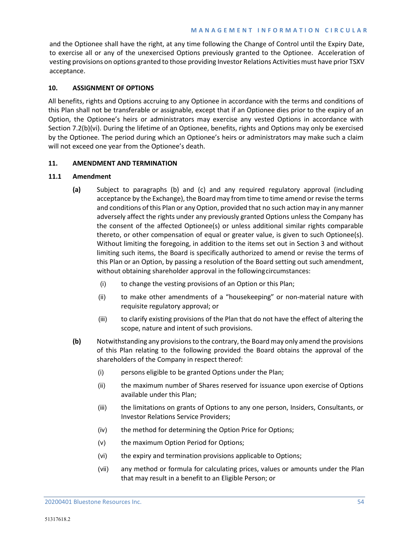and the Optionee shall have the right, at any time following the Change of Control until the Expiry Date, to exercise all or any of the unexercised Options previously granted to the Optionee. Acceleration of vesting provisions on options granted to those providing Investor Relations Activities must have prior TSXV acceptance.

# <span id="page-57-0"></span>**10. ASSIGNMENT OF OPTIONS**

All benefits, rights and Options accruing to any Optionee in accordance with the terms and conditions of this Plan shall not be transferable or assignable, except that if an Optionee dies prior to the expiry of an Option, the Optionee's heirs or administrators may exercise any vested Options in accordance with Sectio[n 7.2\(b\)\(vi\).](#page-55-0) During the lifetime of an Optionee, benefits, rights and Options may only be exercised by the Optionee. The period during which an Optionee's heirs or administrators may make such a claim will not exceed one year from the Optionee's death.

# **11. AMENDMENT AND TERMINATION**

# **11.1 Amendment**

- **(a)** Subject to paragraphs [\(b\)](#page-57-1) and [\(c\)](#page-58-0) and any required regulatory approval (including acceptance by the Exchange), the Board may from time to time amend or revise the terms and conditions of this Plan or any Option, provided that no such action may in any manner adversely affect the rights under any previously granted Options unless the Company has the consent of the affected Optionee(s) or unless additional similar rights comparable thereto, or other compensation of equal or greater value, is given to such Optionee(s). Without limiting the foregoing, in addition to the items set out in Section 3 and without limiting such items, the Board is specifically authorized to amend or revise the terms of this Plan or an Option, by passing a resolution of the Board setting out such amendment, without obtaining shareholder approval in the followingcircumstances:
	- (i) to change the vesting provisions of an Option or this Plan;
	- (ii) to make other amendments of a "housekeeping" or non-material nature with requisite regulatory approval; or
	- (iii) to clarify existing provisions of the Plan that do not have the effect of altering the scope, nature and intent of such provisions.
- <span id="page-57-1"></span>**(b)** Notwithstanding any provisions to the contrary, the Board may only amend the provisions of this Plan relating to the following provided the Board obtains the approval of the shareholders of the Company in respect thereof:
	- (i) persons eligible to be granted Options under the Plan;
	- (ii) the maximum number of Shares reserved for issuance upon exercise of Options available under this Plan;
	- (iii) the limitations on grants of Options to any one person, Insiders, Consultants, or Investor Relations Service Providers;
	- (iv) the method for determining the Option Price for Options;
	- (v) the maximum Option Period for Options;
	- (vi) the expiry and termination provisions applicable to Options;
	- (vii) any method or formula for calculating prices, values or amounts under the Plan that may result in a benefit to an Eligible Person; or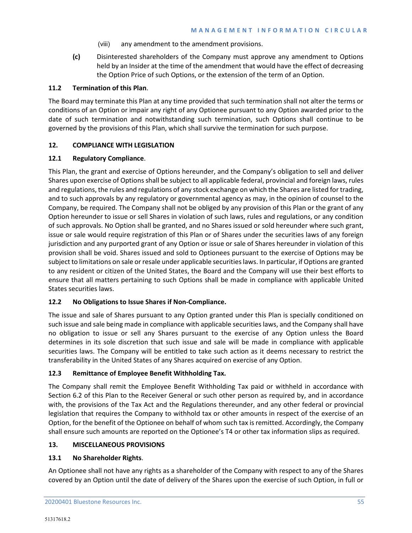- (viii) any amendment to the amendment provisions.
- **(c)** Disinterested shareholders of the Company must approve any amendment to Options held by an Insider at the time of the amendment that would have the effect of decreasing the Option Price of such Options, or the extension of the term of an Option.

# <span id="page-58-0"></span>**11.2 Termination of this Plan**.

The Board may terminate this Plan at any time provided that such termination shall not alter the terms or conditions of an Option or impair any right of any Optionee pursuant to any Option awarded prior to the date of such termination and notwithstanding such termination, such Options shall continue to be governed by the provisions of this Plan, which shall survive the termination for such purpose.

# **12. COMPLIANCE WITH LEGISLATION**

# **12.1 Regulatory Compliance**.

This Plan, the grant and exercise of Options hereunder, and the Company's obligation to sell and deliver Shares upon exercise of Options shall be subject to all applicable federal, provincial and foreign laws, rules and regulations, the rules and regulations of any stock exchange on which the Shares are listed for trading, and to such approvals by any regulatory or governmental agency as may, in the opinion of counsel to the Company, be required. The Company shall not be obliged by any provision of this Plan or the grant of any Option hereunder to issue or sell Shares in violation of such laws, rules and regulations, or any condition of such approvals. No Option shall be granted, and no Shares issued or sold hereunder where such grant, issue or sale would require registration of this Plan or of Shares under the securities laws of any foreign jurisdiction and any purported grant of any Option or issue or sale of Shares hereunder in violation of this provision shall be void. Shares issued and sold to Optionees pursuant to the exercise of Options may be subject to limitations on sale or resale under applicable securities laws. In particular, if Options are granted to any resident or citizen of the United States, the Board and the Company will use their best efforts to ensure that all matters pertaining to such Options shall be made in compliance with applicable United States securities laws.

# **12.2 No Obligations to Issue Shares if Non-Compliance.**

The issue and sale of Shares pursuant to any Option granted under this Plan is specially conditioned on such issue and sale being made in compliance with applicable securities laws, and the Company shall have no obligation to issue or sell any Shares pursuant to the exercise of any Option unless the Board determines in its sole discretion that such issue and sale will be made in compliance with applicable securities laws. The Company will be entitled to take such action as it deems necessary to restrict the transferability in the United States of any Shares acquired on exercise of any Option.

# **12.3 Remittance of Employee Benefit Withholding Tax.**

The Company shall remit the Employee Benefit Withholding Tax paid or withheld in accordance with Section 6.2 of this Plan to the Receiver General or such other person as required by, and in accordance with, the provisions of the Tax Act and the Regulations thereunder, and any other federal or provincial legislation that requires the Company to withhold tax or other amounts in respect of the exercise of an Option, for the benefit of the Optionee on behalf of whom such tax is remitted. Accordingly, the Company shall ensure such amounts are reported on the Optionee's T4 or other tax information slips as required.

# **13. MISCELLANEOUS PROVISIONS**

# **13.1 No Shareholder Rights**.

An Optionee shall not have any rights as a shareholder of the Company with respect to any of the Shares covered by an Option until the date of delivery of the Shares upon the exercise of such Option, in full or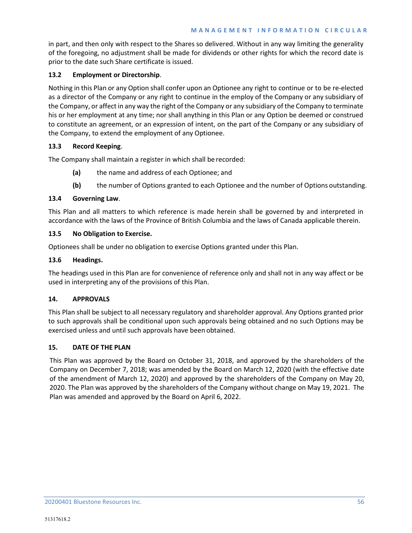in part, and then only with respect to the Shares so delivered. Without in any way limiting the generality of the foregoing, no adjustment shall be made for dividends or other rights for which the record date is prior to the date such Share certificate is issued.

# **13.2 Employment or Directorship**.

Nothing in this Plan or any Option shall confer upon an Optionee any right to continue or to be re-elected as a director of the Company or any right to continue in the employ of the Company or any subsidiary of the Company, or affect in any way the right of the Company or any subsidiary of the Company to terminate his or her employment at any time; nor shall anything in this Plan or any Option be deemed or construed to constitute an agreement, or an expression of intent, on the part of the Company or any subsidiary of the Company, to extend the employment of any Optionee.

# **13.3 Record Keeping**.

The Company shall maintain a register in which shall be recorded:

- **(a)** the name and address of each Optionee; and
- **(b)** the number of Options granted to each Optionee and the number of Options outstanding.

## **13.4 Governing Law**.

This Plan and all matters to which reference is made herein shall be governed by and interpreted in accordance with the laws of the Province of British Columbia and the laws of Canada applicable therein.

## **13.5 No Obligation to Exercise.**

Optionees shall be under no obligation to exercise Options granted under this Plan.

## **13.6 Headings.**

The headings used in this Plan are for convenience of reference only and shall not in any way affect or be used in interpreting any of the provisions of this Plan.

## **14. APPROVALS**

This Plan shall be subject to all necessary regulatory and shareholder approval. Any Options granted prior to such approvals shall be conditional upon such approvals being obtained and no such Options may be exercised unless and until such approvals have been obtained.

## **15. DATE OF THE PLAN**

This Plan was approved by the Board on October 31, 2018, and approved by the shareholders of the Company on December 7, 2018; was amended by the Board on March 12, 2020 (with the effective date of the amendment of March 12, 2020) and approved by the shareholders of the Company on May 20, 2020. The Plan was approved by the shareholders of the Company without change on May 19, 2021. The Plan was amended and approved by the Board on April 6, 2022.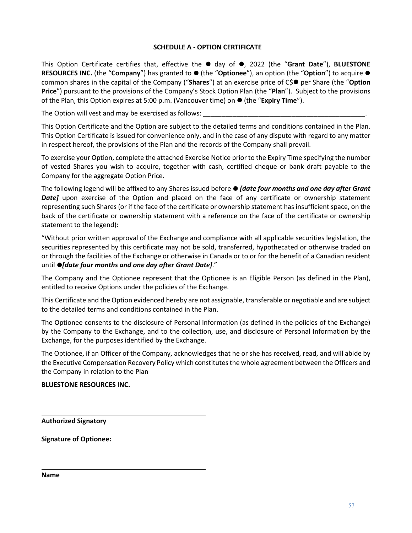# **SCHEDULE A - OPTION CERTIFICATE**

This Option Certificate certifies that, effective the  $\bullet$  day of  $\bullet$ , 2022 (the "**Grant Date**"), **BLUESTONE RESOURCES INC.** (the "**Company**") has granted to ● (the "**Optionee**"), an option (the "**Option**") to acquire ● common shares in the capital of the Company ("**Shares**") at an exercise price of C\$ per Share (the "**Option Price**") pursuant to the provisions of the Company's Stock Option Plan (the "**Plan**"). Subject to the provisions of the Plan, this Option expires at 5:00 p.m. (Vancouver time) on (the "**Expiry Time**").

The Option will vest and may be exercised as follows:

This Option Certificate and the Option are subject to the detailed terms and conditions contained in the Plan. This Option Certificate is issued for convenience only, and in the case of any dispute with regard to any matter in respect hereof, the provisions of the Plan and the records of the Company shall prevail.

To exercise your Option, complete the attached Exercise Notice prior to the Expiry Time specifying the number of vested Shares you wish to acquire, together with cash, certified cheque or bank draft payable to the Company for the aggregate Option Price.

The following legend will be affixed to any Shares issued before *[date four months and one day after Grant*  Date] upon exercise of the Option and placed on the face of any certificate or ownership statement representing such Shares (or if the face of the certificate or ownership statement has insufficient space, on the back of the certificate or ownership statement with a reference on the face of the certificate or ownership statement to the legend):

"Without prior written approval of the Exchange and compliance with all applicable securities legislation, the securities represented by this certificate may not be sold, transferred, hypothecated or otherwise traded on or through the facilities of the Exchange or otherwise in Canada or to or for the benefit of a Canadian resident until  $\bullet$ *[date four months and one day after Grant Date].*"

The Company and the Optionee represent that the Optionee is an Eligible Person (as defined in the Plan), entitled to receive Options under the policies of the Exchange.

This Certificate and the Option evidenced hereby are not assignable, transferable or negotiable and are subject to the detailed terms and conditions contained in the Plan.

The Optionee consents to the disclosure of Personal Information (as defined in the policies of the Exchange) by the Company to the Exchange, and to the collection, use, and disclosure of Personal Information by the Exchange, for the purposes identified by the Exchange.

The Optionee, if an Officer of the Company, acknowledges that he or she has received, read, and will abide by the Executive Compensation Recovery Policy which constitutes the whole agreement between the Officers and the Company in relation to the Plan

# **BLUESTONE RESOURCES INC.**

**Authorized Signatory**

**Signature of Optionee:**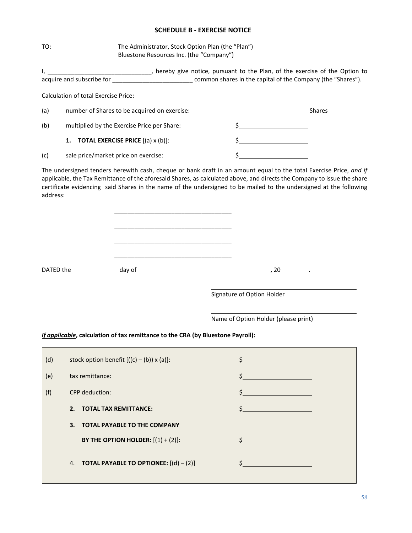# **SCHEDULE B - EXERCISE NOTICE**

TO: The Administrator, Stock Option Plan (the "Plan") Bluestone Resources Inc. (the "Company")

|          |                                                                                 | I, ___________________________________, hereby give notice, pursuant to the Plan, of the exercise of the Option to                                                                                                                                                                                                                                                                                                                                                                                               |
|----------|---------------------------------------------------------------------------------|------------------------------------------------------------------------------------------------------------------------------------------------------------------------------------------------------------------------------------------------------------------------------------------------------------------------------------------------------------------------------------------------------------------------------------------------------------------------------------------------------------------|
|          |                                                                                 | acquire and subscribe for _________________________________ common shares in the capital of the Company (the "Shares").                                                                                                                                                                                                                                                                                                                                                                                          |
|          | <b>Calculation of total Exercise Price:</b>                                     |                                                                                                                                                                                                                                                                                                                                                                                                                                                                                                                  |
| (a)      | number of Shares to be acquired on exercise:                                    | <b>Example 2016</b> Shares                                                                                                                                                                                                                                                                                                                                                                                                                                                                                       |
| (b)      | multiplied by the Exercise Price per Share:                                     | $\begin{array}{c c} \n \multicolumn{3}{c }{\textbf{\small .}} & \multicolumn{3}{c }{\textbf{\small .}} & \multicolumn{3}{c }{\textbf{\small .}} & \multicolumn{3}{c }{\textbf{\small .}} & \multicolumn{3}{c }{\textbf{\small .}} & \multicolumn{3}{c }{\textbf{\small .}} & \multicolumn{3}{c }{\textbf{\small .}} & \multicolumn{3}{c }{\textbf{\small .}} & \multicolumn{3}{c }{\textbf{\small .}} & \multicolumn{3}{c }{\textbf{\small .}} & \multicolumn{3}{c }{\textbf{\small .}} & \multicolumn{3}{c }{\$ |
|          | <b>TOTAL EXERCISE PRICE</b> $[(a) \times (b)]$ :<br>1.                          | $\frac{1}{2}$                                                                                                                                                                                                                                                                                                                                                                                                                                                                                                    |
| (c)      | sale price/market price on exercise:                                            |                                                                                                                                                                                                                                                                                                                                                                                                                                                                                                                  |
| address: |                                                                                 | The undersigned tenders herewith cash, cheque or bank draft in an amount equal to the total Exercise Price, and if<br>applicable, the Tax Remittance of the aforesaid Shares, as calculated above, and directs the Company to issue the share<br>certificate evidencing said Shares in the name of the undersigned to be mailed to the undersigned at the following                                                                                                                                              |
|          |                                                                                 | Signature of Option Holder                                                                                                                                                                                                                                                                                                                                                                                                                                                                                       |
|          | If applicable, calculation of tax remittance to the CRA (by Bluestone Payroll): | Name of Option Holder (please print)                                                                                                                                                                                                                                                                                                                                                                                                                                                                             |
| (d)      | stock option benefit $[((c) - (b)) \times (a)]$ :                               | $\frac{1}{2}$                                                                                                                                                                                                                                                                                                                                                                                                                                                                                                    |
| (e)      | tax remittance:                                                                 | \$                                                                                                                                                                                                                                                                                                                                                                                                                                                                                                               |
| (f)      | CPP deduction:                                                                  | \$                                                                                                                                                                                                                                                                                                                                                                                                                                                                                                               |
|          | 2. TOTAL TAX REMITTANCE:                                                        | \$                                                                                                                                                                                                                                                                                                                                                                                                                                                                                                               |
|          | 3.<br><b>TOTAL PAYABLE TO THE COMPANY</b>                                       |                                                                                                                                                                                                                                                                                                                                                                                                                                                                                                                  |
|          | BY THE OPTION HOLDER: $[(1) + (2)]$ :                                           | \$                                                                                                                                                                                                                                                                                                                                                                                                                                                                                                               |
|          | 4. <b>TOTAL PAYABLE TO OPTIONEE:</b> $[(d) - (2)]$                              | \$                                                                                                                                                                                                                                                                                                                                                                                                                                                                                                               |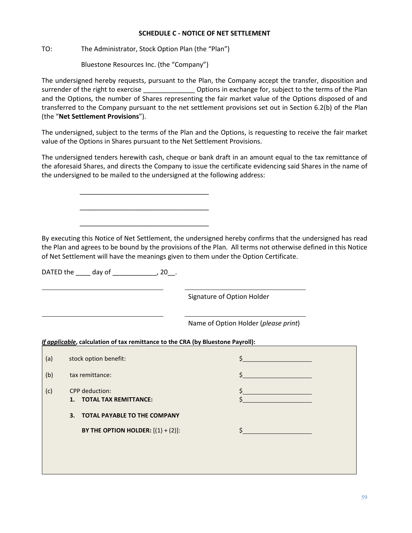## **SCHEDULE C - NOTICE OF NET SETTLEMENT**

TO: The Administrator, Stock Option Plan (the "Plan")

Bluestone Resources Inc. (the "Company")

\_\_\_\_\_\_\_\_\_\_\_\_\_\_\_\_\_\_\_\_\_\_\_\_\_\_\_\_\_\_\_\_\_\_\_

\_\_\_\_\_\_\_\_\_\_\_\_\_\_\_\_\_\_\_\_\_\_\_\_\_\_\_\_\_\_\_\_\_\_\_

\_\_\_\_\_\_\_\_\_\_\_\_\_\_\_\_\_\_\_\_\_\_\_\_\_\_\_\_\_\_\_\_\_\_\_

The undersigned hereby requests, pursuant to the Plan, the Company accept the transfer, disposition and surrender of the right to exercise **Exercise Let up to Define the Separate Contains to the terms of the Plan** and the Options, the number of Shares representing the fair market value of the Options disposed of and transferred to the Company pursuant to the net settlement provisions set out in Section 6.2(b) of the Plan (the "**Net Settlement Provisions**").

The undersigned, subject to the terms of the Plan and the Options, is requesting to receive the fair market value of the Options in Shares pursuant to the Net Settlement Provisions.

The undersigned tenders herewith cash, cheque or bank draft in an amount equal to the tax remittance of the aforesaid Shares, and directs the Company to issue the certificate evidencing said Shares in the name of the undersigned to be mailed to the undersigned at the following address:

By executing this Notice of Net Settlement, the undersigned hereby confirms that the undersigned has read the Plan and agrees to be bound by the provisions of the Plan. All terms not otherwise defined in this Notice of Net Settlement will have the meanings given to them under the Option Certificate.

DATED the \_\_\_\_\_ day of \_\_\_\_\_\_\_\_\_\_\_\_\_, 20\_\_.

Signature of Option Holder

Name of Option Holder (*please print*)

*If applicable***, calculation of tax remittance to the CRA (by Bluestone Payroll):**

| stock option benefit:                             |  |
|---------------------------------------------------|--|
| tax remittance:                                   |  |
| <b>CPP</b> deduction:<br>1. TOTAL TAX REMITTANCE: |  |
| 3. TOTAL PAYABLE TO THE COMPANY                   |  |
| BY THE OPTION HOLDER: $[(1) + (2)]$ :             |  |
|                                                   |  |
|                                                   |  |
|                                                   |  |